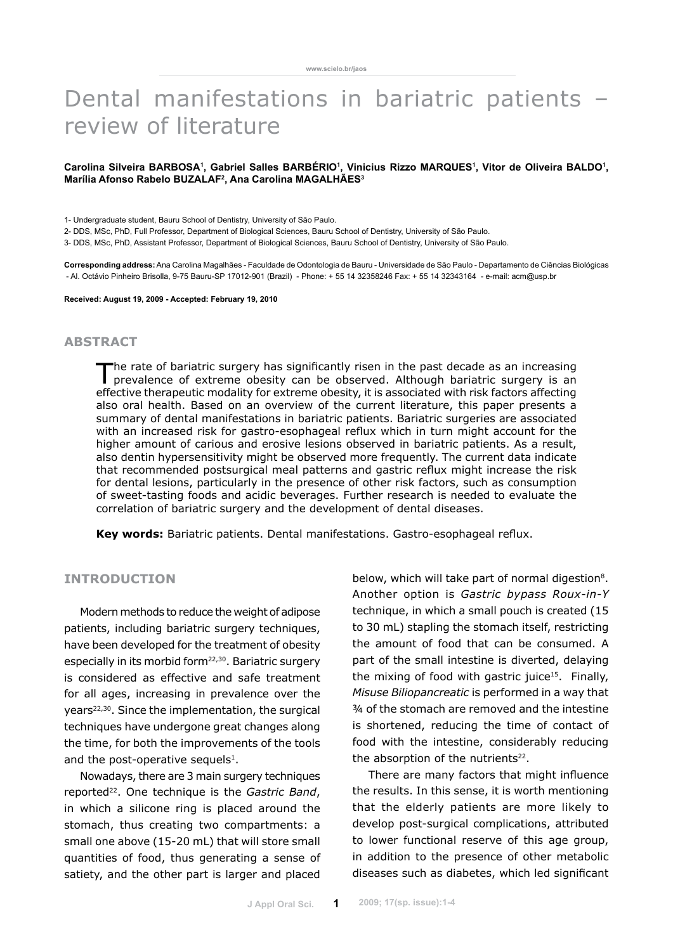# Dental manifestations in bariatric patients – review of literature

### Carolina Silveira BARBOSA1, Gabriel Salles BARBERIO<sup>1</sup>, Vinicius Rizzo MARQUES<sup>1</sup>, Vitor de Oliveira BALDO<sup>1</sup>, **Marília Afonso Rabelo BUZALAF2 , Ana Carolina MAGALHÃES3**

1- Undergraduate student, Bauru School of Dentistry, University of São Paulo.

2- DDS, MSc, PhD, Full Professor, Department of Biological Sciences, Bauru School of Dentistry, University of São Paulo.

3- DDS, MSc, PhD, Assistant Professor, Department of Biological Sciences, Bauru School of Dentistry, University of São Paulo.

**Corresponding address:** Ana Carolina Magalhães - Faculdade de Odontologia de Bauru - Universidade de São Paulo - Departamento de Ciências Biológicas - Al. Octávio Pinheiro Brisolla, 9-75 Bauru-SP 17012-901 (Brazil) - Phone: + 55 14 32358246 Fax: + 55 14 32343164 - e-mail: acm@usp.br

**Received: August 19, 2009 - Accepted: February 19, 2010**

## **abstract**

The rate of bariatric surgery has significantly risen in the past decade as an increasing prevalence of extreme obesity can be observed. Although bariatric surgery is an effective therapeutic modality for extreme obesity, it is associated with risk factors affecting also oral health. Based on an overview of the current literature, this paper presents a summary of dental manifestations in bariatric patients. Bariatric surgeries are associated with an increased risk for gastro-esophageal reflux which in turn might account for the higher amount of carious and erosive lesions observed in bariatric patients. As a result, also dentin hypersensitivity might be observed more frequently. The current data indicate that recommended postsurgical meal patterns and gastric reflux might increase the risk for dental lesions, particularly in the presence of other risk factors, such as consumption of sweet-tasting foods and acidic beverages. Further research is needed to evaluate the correlation of bariatric surgery and the development of dental diseases.

**Key words:** Bariatric patients. Dental manifestations. Gastro-esophageal reflux.

# **INTRODUCTION**

Modern methods to reduce the weight of adipose patients, including bariatric surgery techniques, have been developed for the treatment of obesity especially in its morbid form<sup>22,30</sup>. Bariatric surgery is considered as effective and safe treatment for all ages, increasing in prevalence over the years<sup>22,30</sup>. Since the implementation, the surgical techniques have undergone great changes along the time, for both the improvements of the tools and the post-operative sequels<sup>1</sup>.

Nowadays, there are 3 main surgery techniques reported<sup>22</sup>. One technique is the *Gastric Band*, in which a silicone ring is placed around the stomach, thus creating two compartments: a small one above (15-20 mL) that will store small quantities of food, thus generating a sense of satiety, and the other part is larger and placed below, which will take part of normal digestion<sup>8</sup>. Another option is *Gastric bypass Roux-in-Y*  technique, in which a small pouch is created (15 to 30 mL) stapling the stomach itself, restricting the amount of food that can be consumed. A part of the small intestine is diverted, delaying the mixing of food with gastric juice<sup>15</sup>. Finally, *Misuse Biliopancreatic* is performed in a way that ¾ of the stomach are removed and the intestine is shortened, reducing the time of contact of food with the intestine, considerably reducing the absorption of the nutrients<sup>22</sup>.

There are many factors that might influence the results. In this sense, it is worth mentioning that the elderly patients are more likely to develop post-surgical complications, attributed to lower functional reserve of this age group, in addition to the presence of other metabolic diseases such as diabetes, which led significant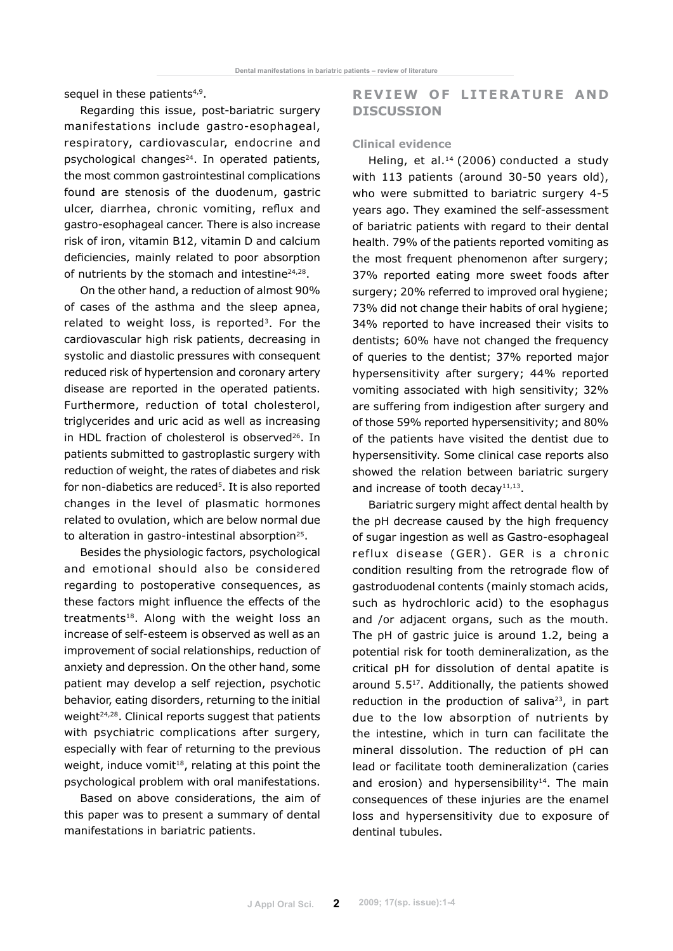sequel in these patients<sup>4,9</sup>.

Regarding this issue, post-bariatric surgery manifestations include gastro-esophageal, respiratory, cardiovascular, endocrine and psychological changes<sup>24</sup>. In operated patients, the most common gastrointestinal complications found are stenosis of the duodenum, gastric ulcer, diarrhea, chronic vomiting, reflux and gastro-esophageal cancer. There is also increase risk of iron, vitamin B12, vitamin D and calcium deficiencies, mainly related to poor absorption of nutrients by the stomach and intestine<sup>24,28</sup>.

On the other hand, a reduction of almost 90% of cases of the asthma and the sleep apnea, related to weight loss, is reported<sup>3</sup>. For the cardiovascular high risk patients, decreasing in systolic and diastolic pressures with consequent reduced risk of hypertension and coronary artery disease are reported in the operated patients. Furthermore, reduction of total cholesterol, triglycerides and uric acid as well as increasing in HDL fraction of cholesterol is observed<sup>26</sup>. In patients submitted to gastroplastic surgery with reduction of weight, the rates of diabetes and risk for non-diabetics are reduced<sup>5</sup>. It is also reported changes in the level of plasmatic hormones related to ovulation, which are below normal due to alteration in gastro-intestinal absorption25.

Besides the physiologic factors, psychological and emotional should also be considered regarding to postoperative consequences, as these factors might influence the effects of the treatments<sup>18</sup>. Along with the weight loss an increase of self-esteem is observed as well as an improvement of social relationships, reduction of anxiety and depression. On the other hand, some patient may develop a self rejection, psychotic behavior, eating disorders, returning to the initial weight<sup>24,28</sup>. Clinical reports suggest that patients with psychiatric complications after surgery, especially with fear of returning to the previous weight, induce vomit<sup>18</sup>, relating at this point the psychological problem with oral manifestations.

Based on above considerations, the aim of this paper was to present a summary of dental manifestations in bariatric patients.

# **REVIEW OF LITERATURE AND DISCUSSION**

## **Clinical evidence**

Heling, et al.<sup>14</sup> (2006) conducted a study with 113 patients (around 30-50 years old), who were submitted to bariatric surgery 4-5 years ago. They examined the self-assessment of bariatric patients with regard to their dental health. 79% of the patients reported vomiting as the most frequent phenomenon after surgery; 37% reported eating more sweet foods after surgery; 20% referred to improved oral hygiene; 73% did not change their habits of oral hygiene; 34% reported to have increased their visits to dentists; 60% have not changed the frequency of queries to the dentist; 37% reported major hypersensitivity after surgery; 44% reported vomiting associated with high sensitivity; 32% are suffering from indigestion after surgery and of those 59% reported hypersensitivity; and 80% of the patients have visited the dentist due to hypersensitivity. Some clinical case reports also showed the relation between bariatric surgery and increase of tooth decay $11,13$ .

Bariatric surgery might affect dental health by the pH decrease caused by the high frequency of sugar ingestion as well as Gastro-esophageal re flux disease (GER) . GER is a chronic condition resulting from the retrograde flow of gastroduodenal contents (mainly stomach acids, such as hydrochloric acid) to the esophagus and /or adjacent organs, such as the mouth. The pH of gastric juice is around 1.2, being a potential risk for tooth demineralization, as the critical pH for dissolution of dental apatite is around 5.517. Additionally, the patients showed reduction in the production of saliva<sup>23</sup>, in part due to the low absorption of nutrients by the intestine, which in turn can facilitate the mineral dissolution. The reduction of pH can lead or facilitate tooth demineralization (caries and erosion) and hypersensibility<sup>14</sup>. The main consequences of these injuries are the enamel loss and hypersensitivity due to exposure of dentinal tubules.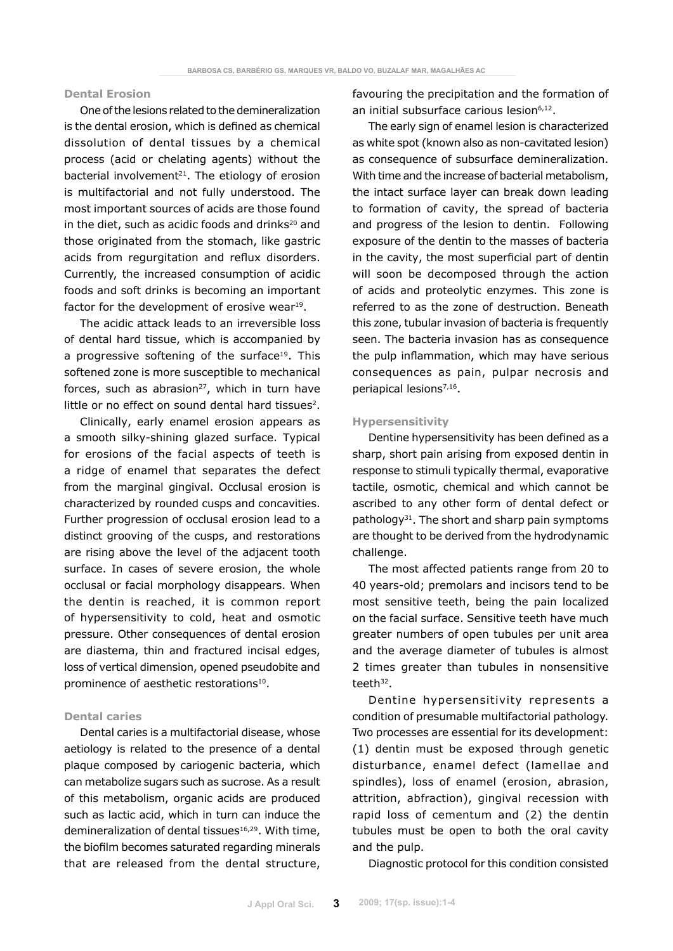## **Dental Erosion**

One of the lesions related to the demineralization is the dental erosion, which is defined as chemical dissolution of dental tissues by a chemical process (acid or chelating agents) without the bacterial involvement $21$ . The etiology of erosion is multifactorial and not fully understood. The most important sources of acids are those found in the diet, such as acidic foods and drinks $20$  and those originated from the stomach, like gastric acids from regurgitation and reflux disorders. Currently, the increased consumption of acidic foods and soft drinks is becoming an important factor for the development of erosive wear<sup>19</sup>.

The acidic attack leads to an irreversible loss of dental hard tissue, which is accompanied by a progressive softening of the surface<sup>19</sup>. This softened zone is more susceptible to mechanical forces, such as abrasion $27$ , which in turn have little or no effect on sound dental hard tissues<sup>2</sup>.

Clinically, early enamel erosion appears as a smooth silky-shining glazed surface. Typical for erosions of the facial aspects of teeth is a ridge of enamel that separates the defect from the marginal gingival. Occlusal erosion is characterized by rounded cusps and concavities. Further progression of occlusal erosion lead to a distinct grooving of the cusps, and restorations are rising above the level of the adjacent tooth surface. In cases of severe erosion, the whole occlusal or facial morphology disappears. When the dentin is reached, it is common report of hypersensitivity to cold, heat and osmotic pressure. Other consequences of dental erosion are diastema, thin and fractured incisal edges, loss of vertical dimension, opened pseudobite and prominence of aesthetic restorations<sup>10</sup>.

### **Dental caries**

Dental caries is a multifactorial disease, whose aetiology is related to the presence of a dental plaque composed by cariogenic bacteria, which can metabolize sugars such as sucrose. As a result of this metabolism, organic acids are produced such as lactic acid, which in turn can induce the demineralization of dental tissues<sup>16,29</sup>. With time, the biofilm becomes saturated regarding minerals that are released from the dental structure, favouring the precipitation and the formation of an initial subsurface carious lesion<sup>6,12</sup>.

The early sign of enamel lesion is characterized as white spot (known also as non-cavitated lesion) as consequence of subsurface demineralization. With time and the increase of bacterial metabolism, the intact surface layer can break down leading to formation of cavity, the spread of bacteria and progress of the lesion to dentin. Following exposure of the dentin to the masses of bacteria in the cavity, the most superficial part of dentin will soon be decomposed through the action of acids and proteolytic enzymes. This zone is referred to as the zone of destruction. Beneath this zone, tubular invasion of bacteria is frequently seen. The bacteria invasion has as consequence the pulp inflammation, which may have serious consequences as pain, pulpar necrosis and periapical lesions<sup>7,16</sup>.

#### **Hypersensitivity**

Dentine hypersensitivity has been defined as a sharp, short pain arising from exposed dentin in response to stimuli typically thermal, evaporative tactile, osmotic, chemical and which cannot be ascribed to any other form of dental defect or pathology<sup>31</sup>. The short and sharp pain symptoms are thought to be derived from the hydrodynamic challenge.

The most affected patients range from 20 to 40 years-old; premolars and incisors tend to be most sensitive teeth, being the pain localized on the facial surface. Sensitive teeth have much greater numbers of open tubules per unit area and the average diameter of tubules is almost 2 times greater than tubules in nonsensitive teeth $32$ .

Dentine hypersensitivity represents a condition of presumable multifactorial pathology. Two processes are essential for its development: (1) dentin must be exposed through genetic disturbance, enamel defect (lamellae and spindles), loss of enamel (erosion, abrasion, attrition, abfraction), gingival recession with rapid loss of cementum and (2) the dentin tubules must be open to both the oral cavity and the pulp.

Diagnostic protocol for this condition consisted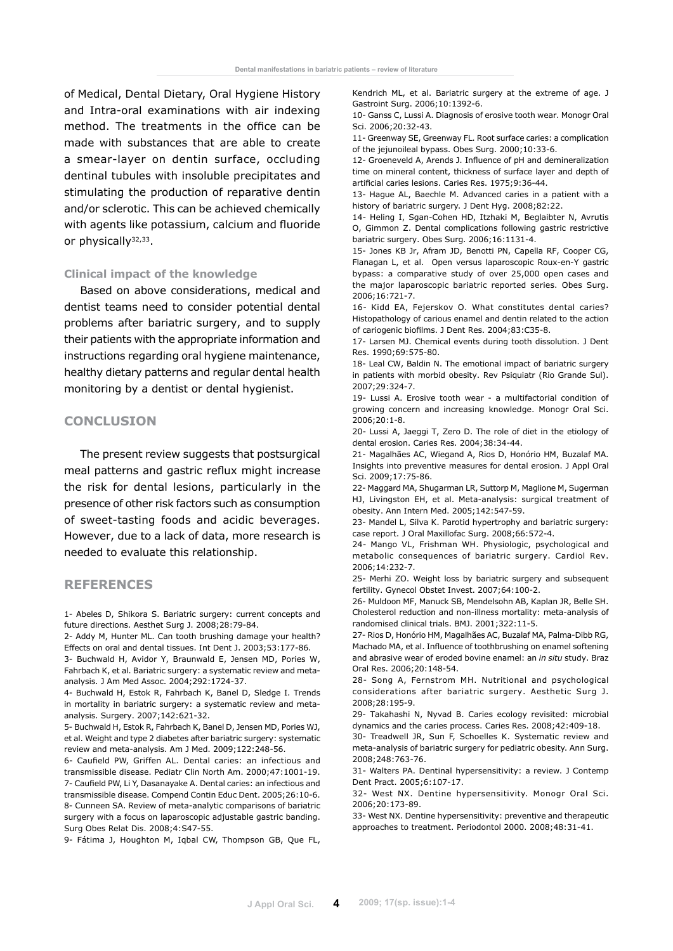of Medical, Dental Dietary, Oral Hygiene History and Intra-oral examinations with air indexing method. The treatments in the office can be made with substances that are able to create a smear-layer on dentin surface, occluding dentinal tubules with insoluble precipitates and stimulating the production of reparative dentin and/or sclerotic. This can be achieved chemically with agents like potassium, calcium and fluoride or physically<sup>32,33</sup>.

### **Clinical impact of the knowledge**

Based on above considerations, medical and dentist teams need to consider potential dental problems after bariatric surgery, and to supply their patients with the appropriate information and instructions regarding oral hygiene maintenance, healthy dietary patterns and regular dental health monitoring by a dentist or dental hygienist.

# **Conclusion**

The present review suggests that postsurgical meal patterns and gastric reflux might increase the risk for dental lesions, particularly in the presence of other risk factors such as consumption of sweet-tasting foods and acidic beverages. However, due to a lack of data, more research is needed to evaluate this relationship.

### **References**

1- Abeles D, Shikora S. Bariatric surgery: current concepts and future directions. Aesthet Surg J. 2008;28:79-84.

2- Addy M, Hunter ML. Can tooth brushing damage your health? Effects on oral and dental tissues. Int Dent J. 2003;53:177-86.

3- Buchwald H, Avidor Y, Braunwald E, Jensen MD, Pories W, Fahrbach K, et al. Bariatric surgery: a systematic review and metaanalysis. J Am Med Assoc. 2004;292:1724-37.

4- Buchwald H, Estok R, Fahrbach K, Banel D, Sledge I. Trends in mortality in bariatric surgery: a systematic review and metaanalysis. Surgery. 2007;142:621-32.

5- Buchwald H, Estok R, Fahrbach K, Banel D, Jensen MD, Pories WJ, et al. Weight and type 2 diabetes after bariatric surgery: systematic review and meta-analysis. Am J Med. 2009;122:248-56.

6- Caufield PW, Griffen AL. Dental caries: an infectious and transmissible disease. Pediatr Clin North Am. 2000;47:1001-19. 7- Caufield PW, Li Y, Dasanayake A. Dental caries: an infectious and transmissible disease. Compend Contin Educ Dent. 2005;26:10-6. 8- Cunneen SA. Review of meta-analytic comparisons of bariatric surgery with a focus on laparoscopic adjustable gastric banding. Surg Obes Relat Dis. 2008;4:S47-55.

9- Fátima J, Houghton M, Iqbal CW, Thompson GB, Que FL,

Kendrich ML, et al. Bariatric surgery at the extreme of age. J Gastroint Surg. 2006;10:1392-6.

10- Ganss C, Lussi A. Diagnosis of erosive tooth wear. Monogr Oral Sci. 2006;20:32-43.

11- Greenway SE, Greenway FL. Root surface caries: a complication of the jejunoileal bypass. Obes Surg. 2000;10:33-6.

12- Groeneveld A, Arends J. Influence of pH and demineralization time on mineral content, thickness of surface layer and depth of artificial caries lesions. Caries Res. 1975;9:36-44.

13- Hague AL, Baechle M. Advanced caries in a patient with a history of bariatric surgery. J Dent Hyg. 2008;82:22.

14- Heling I, Sgan-Cohen HD, Itzhaki M, Beglaibter N, Avrutis O, Gimmon Z. Dental complications following gastric restrictive bariatric surgery. Obes Surg. 2006;16:1131-4.

15- Jones KB Jr, Afram JD, Benotti PN, Capella RF, Cooper CG, Flanagan L, et al. Open versus laparoscopic Roux-en-Y gastric bypass: a comparative study of over 25,000 open cases and the major laparoscopic bariatric reported series. Obes Surg. 2006;16:721-7.

16- Kidd EA, Fejerskov O. What constitutes dental caries? Histopathology of carious enamel and dentin related to the action of cariogenic biofilms. J Dent Res. 2004;83:C35-8.

17- Larsen MJ. Chemical events during tooth dissolution. J Dent Res. 1990;69:575-80.

18- Leal CW, Baldin N. The emotional impact of bariatric surgery in patients with morbid obesity. Rev Psiquiatr (Rio Grande Sul). 2007;29:324-7.

19- Lussi A. Erosive tooth wear - a multifactorial condition of growing concern and increasing knowledge. Monogr Oral Sci. 2006;20:1-8.

20- Lussi A, Jaeggi T, Zero D. The role of diet in the etiology of dental erosion. Caries Res. 2004;38:34-44.

21- Magalhães AC, Wiegand A, Rios D, Honório HM, Buzalaf MA. Insights into preventive measures for dental erosion. J Appl Oral Sci. 2009;17:75-86.

22- Maggard MA, Shugarman LR, Suttorp M, Maglione M, Sugerman HJ, Livingston EH, et al. Meta-analysis: surgical treatment of obesity. Ann Intern Med. 2005;142:547-59.

23- Mandel L, Silva K. Parotid hypertrophy and bariatric surgery: case report. J Oral Maxillofac Surg. 2008;66:572-4.

24- Mango VL, Frishman WH. Physiologic, psychological and metabolic consequences of bariatric surgery. Cardiol Rev. 2006;14:232-7.

25- Merhi ZO. Weight loss by bariatric surgery and subsequent fertility. Gynecol Obstet Invest. 2007;64:100-2.

26- Muldoon MF, Manuck SB, Mendelsohn AB, Kaplan JR, Belle SH. Cholesterol reduction and non-illness mortality: meta-analysis of randomised clinical trials. BMJ. 2001;322:11-5.

27- Rios D, Honório HM, Magalhães AC, Buzalaf MA, Palma-Dibb RG, Machado MA, et al. Influence of toothbrushing on enamel softening and abrasive wear of eroded bovine enamel: an *in situ* study. Braz Oral Res. 2006;20:148-54.

28- Song A, Fernstrom mH. Nutritional and psychological considerations after bariatric surgery. Aesthetic Surg J. 2008;28:195-9.

29- Takahashi N, Nyvad B. Caries ecology revisited: microbial dynamics and the caries process. Caries Res. 2008;42:409-18.

30- Treadwell JR, Sun F, Schoelles K. Systematic review and meta-analysis of bariatric surgery for pediatric obesity. Ann Surg. 2008;248:763-76.

31- Walters PA. Dentinal hypersensitivity: a review. J Contemp Dent Pract. 2005;6:107-17.

32- West NX. Dentine hypersensitivity. Monogr Oral Sci. 2006;20:173-89.

33- West NX. Dentine hypersensitivity: preventive and therapeutic approaches to treatment. Periodontol 2000. 2008;48:31-41.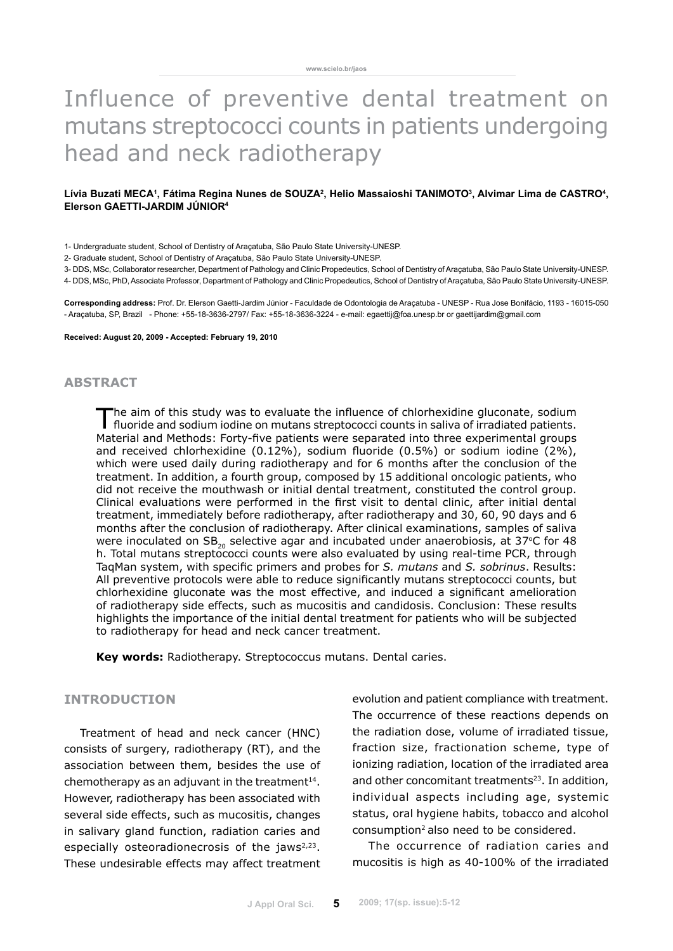# Influence of preventive dental treatment on mutans streptococci counts in patients undergoing head and neck radiotherapy

### Lívia Buzati MECA1, Fátima Regina Nunes de SOUZA<sup>2</sup>, Helio Massaioshi TANIMOTO<sup>3</sup>, Alvimar Lima de CASTRO<sup>4</sup>, **Elerson Gaetti-Jardim Júnior4**

1- Undergraduate student, School of Dentistry of Araçatuba, São Paulo State University-UNESP.

2- Graduate student, School of Dentistry of Araçatuba, São Paulo State University-UNESP.

3- DDS, MSc, Collaborator researcher, Department of Pathology and Clinic Propedeutics, School of Dentistry of Araçatuba, São Paulo State University-UNESP.

4- DDS, MSc, PhD, Associate Professor, Department of Pathology and Clinic Propedeutics, School of Dentistry of Araçatuba, São Paulo State University-UNESP.

**Corresponding address:** Prof. Dr. Elerson Gaetti-Jardim Júnior - Faculdade de Odontologia de Araçatuba - UNESP - Rua Jose Bonifácio, 1193 - 16015-050 - Araçatuba, SP, Brazil - Phone: +55-18-3636-2797/ Fax: +55-18-3636-3224 - e-mail: egaettij@foa.unesp.br or gaettijardim@gmail.com

**Received: August 20, 2009 - Accepted: February 19, 2010**

## **abstract**

The aim of this study was to evaluate the influence of chlorhexidine gluconate, sodium fluoride and sodium iodine on mutans streptococci counts in saliva of irradiated patients. Material and Methods: Forty-five patients were separated into three experimental groups and received chlorhexidine (0.12%), sodium fluoride (0.5%) or sodium iodine (2%), which were used daily during radiotherapy and for 6 months after the conclusion of the treatment. In addition, a fourth group, composed by 15 additional oncologic patients, who did not receive the mouthwash or initial dental treatment, constituted the control group. Clinical evaluations were performed in the first visit to dental clinic, after initial dental treatment, immediately before radiotherapy, after radiotherapy and 30, 60, 90 days and 6 months after the conclusion of radiotherapy. After clinical examinations, samples of saliva were inoculated on  $SB_{20}$  selective agar and incubated under anaerobiosis, at 37°C for 48 h. Total mutans streptococci counts were also evaluated by using real-time PCR, through TaqMan system, with specific primers and probes for *S. mutans* and *S. sobrinus*. Results: All preventive protocols were able to reduce significantly mutans streptococci counts, but chlorhexidine gluconate was the most effective, and induced a significant amelioration of radiotherapy side effects, such as mucositis and candidosis. Conclusion: These results highlights the importance of the initial dental treatment for patients who will be subjected to radiotherapy for head and neck cancer treatment.

**Key words:** Radiotherapy. Streptococcus mutans. Dental caries.

# **Introduction**

Treatment of head and neck cancer (HNC) consists of surgery, radiotherapy (RT), and the association between them, besides the use of chemotherapy as an adjuvant in the treatment $14$ . However, radiotherapy has been associated with several side effects, such as mucositis, changes in salivary gland function, radiation caries and especially osteoradionecrosis of the jaws $2,23$ . These undesirable effects may affect treatment evolution and patient compliance with treatment. The occurrence of these reactions depends on the radiation dose, volume of irradiated tissue, fraction size, fractionation scheme, type of ionizing radiation, location of the irradiated area and other concomitant treatments<sup>23</sup>. In addition, individual aspects including age, systemic status, oral hygiene habits, tobacco and alcohol consumption2 also need to be considered.

The occurrence of radiation caries and mucositis is high as 40-100% of the irradiated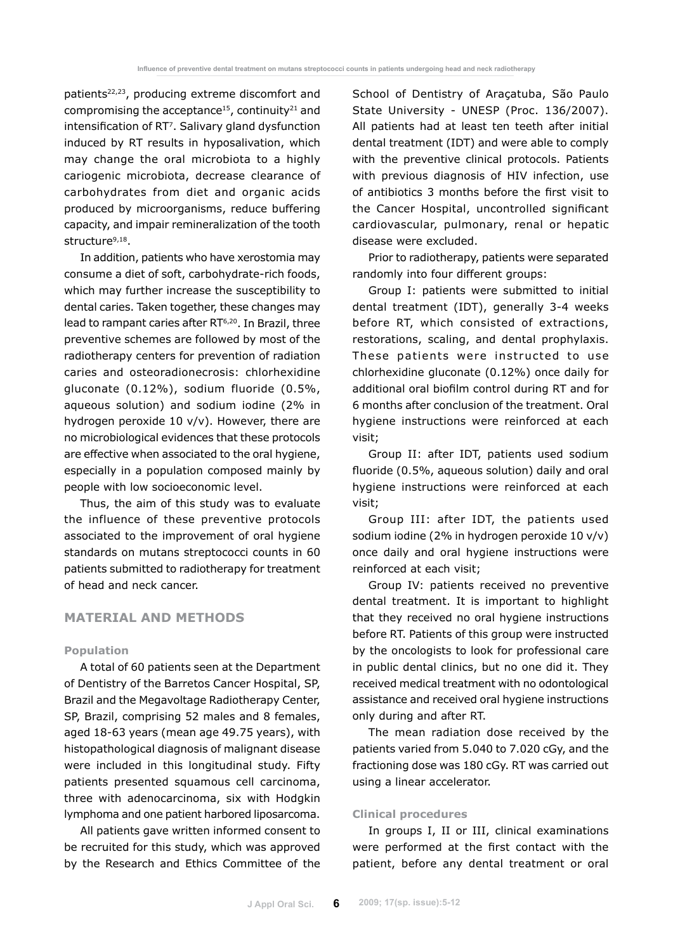patients22,23, producing extreme discomfort and compromising the acceptance<sup>15</sup>, continuity<sup>21</sup> and intensification of RT7. Salivary gland dysfunction induced by RT results in hyposalivation, which may change the oral microbiota to a highly cariogenic microbiota, decrease clearance of carbohydrates from diet and organic acids produced by microorganisms, reduce buffering capacity, and impair remineralization of the tooth structure<sup>9,18</sup>.

In addition, patients who have xerostomia may consume a diet of soft, carbohydrate-rich foods, which may further increase the susceptibility to dental caries. Taken together, these changes may lead to rampant caries after RT<sup>6,20</sup>. In Brazil, three preventive schemes are followed by most of the radiotherapy centers for prevention of radiation caries and osteoradionecrosis: chlorhexidine gluconate (0.12%), sodium fluoride (0.5%, aqueous solution) and sodium iodine (2% in hydrogen peroxide 10 v/v). However, there are no microbiological evidences that these protocols are effective when associated to the oral hygiene, especially in a population composed mainly by people with low socioeconomic level.

Thus, the aim of this study was to evaluate the influence of these preventive protocols associated to the improvement of oral hygiene standards on mutans streptococci counts in 60 patients submitted to radiotherapy for treatment of head and neck cancer.

## **Material and Methods**

### **Population**

A total of 60 patients seen at the Department of Dentistry of the Barretos Cancer Hospital, SP, Brazil and the Megavoltage Radiotherapy Center, SP, Brazil, comprising 52 males and 8 females, aged 18-63 years (mean age 49.75 years), with histopathological diagnosis of malignant disease were included in this longitudinal study. Fifty patients presented squamous cell carcinoma, three with adenocarcinoma, six with Hodgkin lymphoma and one patient harbored liposarcoma.

All patients gave written informed consent to be recruited for this study, which was approved by the Research and Ethics Committee of the School of Dentistry of Araçatuba, São Paulo State University - UNESP (Proc. 136/2007). All patients had at least ten teeth after initial dental treatment (IDT) and were able to comply with the preventive clinical protocols. Patients with previous diagnosis of HIV infection, use of antibiotics 3 months before the first visit to the Cancer Hospital, uncontrolled significant cardiovascular, pulmonary, renal or hepatic disease were excluded.

Prior to radiotherapy, patients were separated randomly into four different groups:

Group I: patients were submitted to initial dental treatment (IDT), generally 3-4 weeks before RT, which consisted of extractions, restorations, scaling, and dental prophylaxis. These patients were instructed to use chlorhexidine gluconate (0.12%) once daily for additional oral biofilm control during RT and for 6 months after conclusion of the treatment. Oral hygiene instructions were reinforced at each visit;

Group II: after IDT, patients used sodium fluoride (0.5%, aqueous solution) daily and oral hygiene instructions were reinforced at each visit;

Group III: after IDT, the patients used sodium iodine (2% in hydrogen peroxide 10 v/v) once daily and oral hygiene instructions were reinforced at each visit;

Group IV: patients received no preventive dental treatment. It is important to highlight that they received no oral hygiene instructions before RT. Patients of this group were instructed by the oncologists to look for professional care in public dental clinics, but no one did it. They received medical treatment with no odontological assistance and received oral hygiene instructions only during and after RT.

The mean radiation dose received by the patients varied from 5.040 to 7.020 cGy, and the fractioning dose was 180 cGy. RT was carried out using a linear accelerator.

### **Clinical procedures**

In groups I, II or III, clinical examinations were performed at the first contact with the patient, before any dental treatment or oral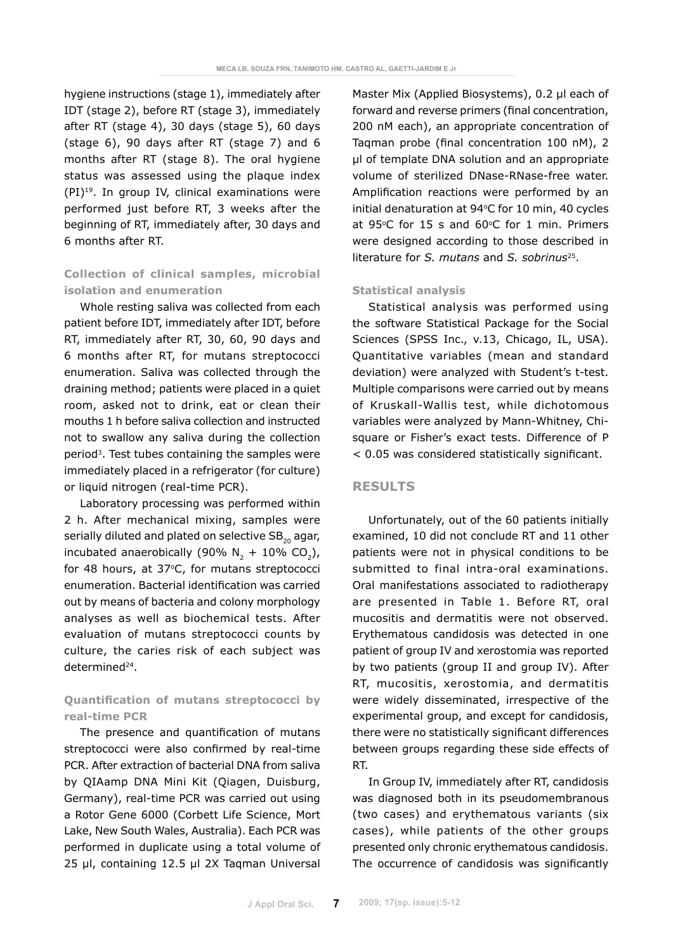hygiene instructions (stage 1), immediately after IDT (stage 2), before RT (stage 3), immediately after RT (stage 4), 30 days (stage 5), 60 days (stage 6), 90 days after RT (stage 7) and 6 months after RT (stage 8). The oral hygiene status was assessed using the plaque index (PI)19. In group IV, clinical examinations were performed just before RT, 3 weeks after the beginning of RT, immediately after, 30 days and 6 months after RT.

# **Collection of clinical samples, microbial isolation and enumeration**

Whole resting saliva was collected from each patient before IDT, immediately after IDT, before RT, immediately after RT, 30, 60, 90 days and 6 months after RT, for mutans streptococci enumeration. Saliva was collected through the draining method; patients were placed in a quiet room, asked not to drink, eat or clean their mouths 1 h before saliva collection and instructed not to swallow any saliva during the collection period3. Test tubes containing the samples were immediately placed in a refrigerator (for culture) or liquid nitrogen (real-time PCR).

Laboratory processing was performed within 2 h. After mechanical mixing, samples were serially diluted and plated on selective  $SB_{20}$  agar, incubated anaerobically (90%  $N_2 + 10\%$  CO<sub>2</sub>), for 48 hours, at 37°C, for mutans streptococci enumeration. Bacterial identification was carried out by means of bacteria and colony morphology analyses as well as biochemical tests. After evaluation of mutans streptococci counts by culture, the caries risk of each subject was determined<sup>24</sup>.

# **Quantification of mutans streptococci by real-time PCR**

The presence and quantification of mutans streptococci were also confirmed by real-time PCR. After extraction of bacterial DNA from saliva by QIAamp DNA Mini Kit (Qiagen, Duisburg, Germany), real-time PCR was carried out using a Rotor Gene 6000 (Corbett Life Science, Mort Lake, New South Wales, Australia). Each PCR was performed in duplicate using a total volume of 25 µl, containing 12.5 µl 2X Taqman Universal Master Mix (Applied Biosystems), 0.2 µl each of forward and reverse primers (final concentration, 200 nM each), an appropriate concentration of Taqman probe (final concentration 100 nM), 2 µl of template DNA solution and an appropriate volume of sterilized DNase-RNase-free water. Amplification reactions were performed by an initial denaturation at  $94^{\circ}$ C for 10 min, 40 cycles at 95 $°C$  for 15 s and 60 $°C$  for 1 min. Primers were designed according to those described in literature for *S. mutans* and *S. sobrinus*25.

### **Statistical analysis**

Statistical analysis was performed using the software Statistical Package for the Social Sciences (SPSS Inc., v.13, Chicago, IL, USA). Quantitative variables (mean and standard deviation) were analyzed with Student's t-test. Multiple comparisons were carried out by means of Kruskall-Wallis test, while dichotomous variables were analyzed by Mann-Whitney, Chisquare or Fisher's exact tests. Difference of P < 0.05 was considered statistically significant.

# **Results**

Unfortunately, out of the 60 patients initially examined, 10 did not conclude RT and 11 other patients were not in physical conditions to be submitted to final intra-oral examinations. Oral manifestations associated to radiotherapy are presented in Table 1. Before RT, oral mucositis and dermatitis were not observed. Erythematous candidosis was detected in one patient of group IV and xerostomia was reported by two patients (group II and group IV). After RT, mucositis, xerostomia, and dermatitis were widely disseminated, irrespective of the experimental group, and except for candidosis, there were no statistically significant differences between groups regarding these side effects of RT.

In Group IV, immediately after RT, candidosis was diagnosed both in its pseudomembranous (two cases) and erythematous variants (six cases), while patients of the other groups presented only chronic erythematous candidosis. The occurrence of candidosis was significantly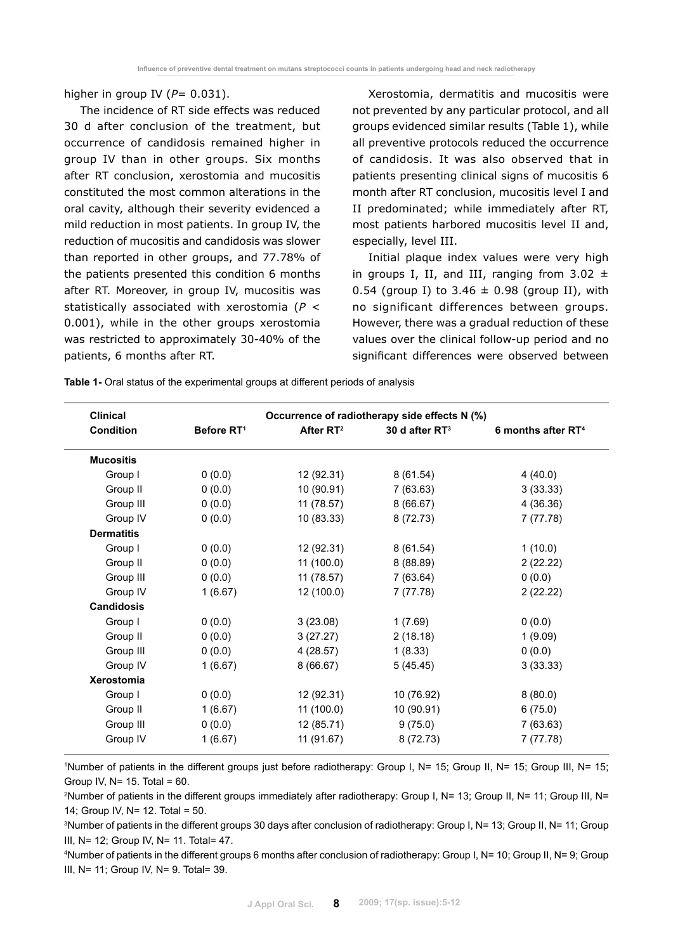higher in group IV  $(P= 0.031)$ .

The incidence of RT side effects was reduced 30 d after conclusion of the treatment, but occurrence of candidosis remained higher in group IV than in other groups. Six months after RT conclusion, xerostomia and mucositis constituted the most common alterations in the oral cavity, although their severity evidenced a mild reduction in most patients. In group IV, the reduction of mucositis and candidosis was slower than reported in other groups, and 77.78% of the patients presented this condition 6 months after RT. Moreover, in group IV, mucositis was statistically associated with xerostomia (*P* < 0.001), while in the other groups xerostomia was restricted to approximately 30-40% of the patients, 6 months after RT.

Xerostomia, dermatitis and mucositis were not prevented by any particular protocol, and all groups evidenced similar results (Table 1), while all preventive protocols reduced the occurrence of candidosis. It was also observed that in patients presenting clinical signs of mucositis 6 month after RT conclusion, mucositis level I and II predominated; while immediately after RT, most patients harbored mucositis level II and, especially, level III.

Initial plaque index values were very high in groups I, II, and III, ranging from  $3.02 \pm$ 0.54 (group I) to 3.46  $\pm$  0.98 (group II), with no significant differences between groups. However, there was a gradual reduction of these values over the clinical follow-up period and no significant differences were observed between

**Table 1-** Oral status of the experimental groups at different periods of analysis

| <b>Clinical</b>   |                        | Occurrence of radiotherapy side effects N (%)       |            |                                |
|-------------------|------------------------|-----------------------------------------------------|------------|--------------------------------|
| <b>Condition</b>  | Before RT <sup>1</sup> | After RT <sup>2</sup><br>30 d after RT <sup>3</sup> |            | 6 months after RT <sup>4</sup> |
| <b>Mucositis</b>  |                        |                                                     |            |                                |
| Group I           | 0(0.0)                 | 12 (92.31)                                          | 8(61.54)   | 4(40.0)                        |
| Group II          | 0(0.0)                 | 10 (90.91)                                          | 7(63.63)   | 3(33.33)                       |
| Group III         | 0(0.0)                 | 11 (78.57)                                          | 8(66.67)   | 4(36.36)                       |
| Group IV          | 0(0.0)                 | 10 (83.33)                                          | 8 (72.73)  | 7(77.78)                       |
| <b>Dermatitis</b> |                        |                                                     |            |                                |
| Group I           | 0(0.0)                 | 12 (92.31)                                          | 8(61.54)   | 1(10.0)                        |
| Group II          | 0(0.0)                 | 11 (100.0)                                          | 8 (88.89)  | 2(22.22)                       |
| Group III         | 0(0.0)                 | 11 (78.57)                                          | 7(63.64)   | 0(0.0)                         |
| Group IV          | 1(6.67)                | 12 (100.0)                                          | 7(77.78)   | 2(22.22)                       |
| <b>Candidosis</b> |                        |                                                     |            |                                |
| Group I           | 0(0.0)                 | 3(23.08)                                            | 1(7.69)    | 0(0.0)                         |
| Group II          | 0(0.0)                 | 3(27.27)                                            | 2(18.18)   | 1(9.09)                        |
| Group III         | 0(0.0)                 | 4 (28.57)                                           | 1(8.33)    | 0(0.0)                         |
| Group IV          | 1(6.67)                | 8(66.67)                                            | 5(45.45)   | 3(33.33)                       |
| Xerostomia        |                        |                                                     |            |                                |
| Group I           | 0(0.0)                 | 12 (92.31)                                          | 10 (76.92) | 8(80.0)                        |
| Group II          | 1(6.67)                | 11(100.0)                                           | 10 (90.91) | 6(75.0)                        |
| Group III         | 0(0.0)                 | 12 (85.71)                                          | 9(75.0)    | 7(63.63)                       |
| Group IV          | 1(6.67)                | 11 (91.67)                                          | 8 (72.73)  | 7 (77.78)                      |

1 Number of patients in the different groups just before radiotherapy: Group I, N= 15; Group II, N= 15; Group III, N= 15; Group IV,  $N= 15$ . Total = 60.

2 Number of patients in the different groups immediately after radiotherapy: Group I, N= 13; Group II, N= 11; Group III, N= 14; Group IV, N= 12. Total = 50.

3 Number of patients in the different groups 30 days after conclusion of radiotherapy: Group I, N= 13; Group II, N= 11; Group III, N= 12; Group IV, N= 11. Total= 47.

4 Number of patients in the different groups 6 months after conclusion of radiotherapy: Group I, N= 10; Group II, N= 9; Group III, N= 11; Group IV, N= 9. Total= 39.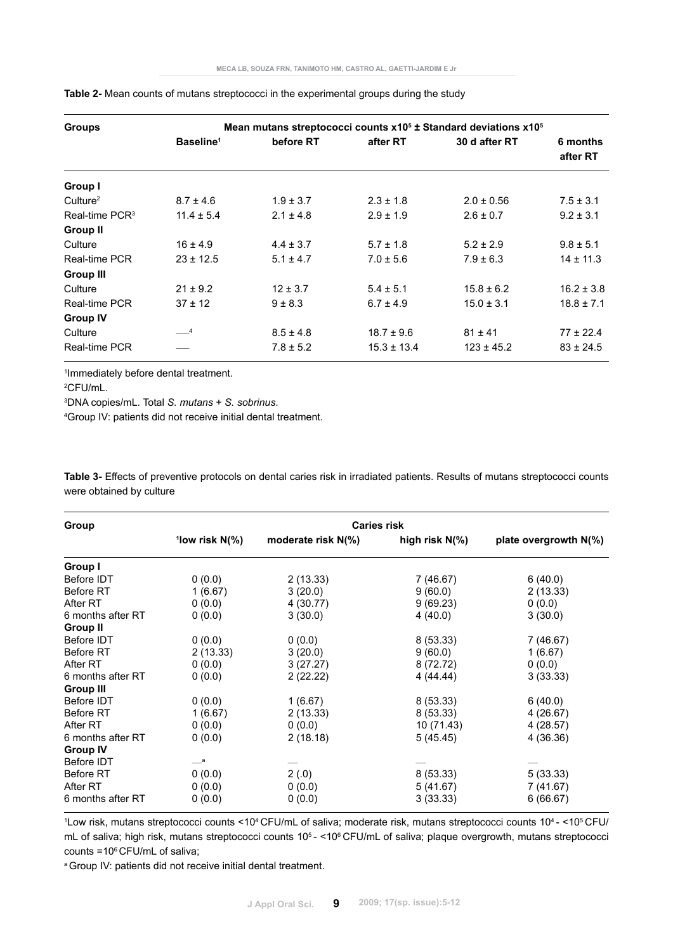| <b>Groups</b>        |                       | Mean mutans streptococci counts x10 <sup>5</sup> ± Standard deviations x10 <sup>5</sup> |                 |                |                      |  |  |  |
|----------------------|-----------------------|-----------------------------------------------------------------------------------------|-----------------|----------------|----------------------|--|--|--|
|                      | Baseline <sup>1</sup> | before RT                                                                               | after RT        | 30 d after RT  | 6 months<br>after RT |  |  |  |
| Group I              |                       |                                                                                         |                 |                |                      |  |  |  |
| Culture <sup>2</sup> | $8.7 \pm 4.6$         | $1.9 \pm 3.7$                                                                           | $2.3 \pm 1.8$   | $2.0 \pm 0.56$ | $7.5 \pm 3.1$        |  |  |  |
| Real-time $PCR3$     | $11.4 \pm 5.4$        | $2.1 \pm 4.8$                                                                           | $2.9 \pm 1.9$   | $2.6 \pm 0.7$  | $9.2 \pm 3.1$        |  |  |  |
| <b>Group II</b>      |                       |                                                                                         |                 |                |                      |  |  |  |
| Culture              | $16 \pm 4.9$          | $4.4 \pm 3.7$                                                                           | $5.7 \pm 1.8$   | $5.2 \pm 2.9$  | $9.8 \pm 5.1$        |  |  |  |
| Real-time PCR        | $23 \pm 12.5$         | $5.1 \pm 4.7$                                                                           | $7.0 \pm 5.6$   | $7.9 \pm 6.3$  | $14 \pm 11.3$        |  |  |  |
| <b>Group III</b>     |                       |                                                                                         |                 |                |                      |  |  |  |
| Culture              | $21 \pm 9.2$          | $12 \pm 3.7$                                                                            | $5.4 \pm 5.1$   | $15.8 \pm 6.2$ | $16.2 \pm 3.8$       |  |  |  |
| Real-time PCR        | $37 \pm 12$           | $9 \pm 8.3$                                                                             | $6.7 \pm 4.9$   | $15.0 \pm 3.1$ | $18.8 \pm 7.1$       |  |  |  |
| <b>Group IV</b>      |                       |                                                                                         |                 |                |                      |  |  |  |
| Culture              | $-4$                  | $8.5 \pm 4.8$                                                                           | $18.7 \pm 9.6$  | $81 \pm 41$    | $77 \pm 22.4$        |  |  |  |
| Real-time PCR        |                       | $7.8 \pm 5.2$                                                                           | $15.3 \pm 13.4$ | $123 \pm 45.2$ | $83 \pm 24.5$        |  |  |  |

### **Table 2-** Mean counts of mutans streptococci in the experimental groups during the study

1 Immediately before dental treatment.

2 CFU/mL.

3 DNA copies/mL. Total *S. mutans* + *S. sobrinus*.

4 Group IV: patients did not receive initial dental treatment.

**Table 3-** Effects of preventive protocols on dental caries risk in irradiated patients. Results of mutans streptococci counts were obtained by culture

| Group             | <b>Caries risk</b> |                    |                |                          |  |  |  |
|-------------------|--------------------|--------------------|----------------|--------------------------|--|--|--|
|                   | $^1$ low risk N(%) | moderate risk N(%) | high risk N(%) | plate overgrowth $N(\%)$ |  |  |  |
| Group I           |                    |                    |                |                          |  |  |  |
| Before IDT        | 0(0.0)             | 2(13.33)           | 7 (46.67)      | 6(40.0)                  |  |  |  |
| Before RT         | 1(6.67)            | 3(20.0)            | 9(60.0)        | 2(13.33)                 |  |  |  |
| After RT          | 0(0.0)             | 4 (30.77)          | 9(69.23)       | 0(0.0)                   |  |  |  |
| 6 months after RT | 0(0.0)             | 3(30.0)            | 4(40.0)        | 3(30.0)                  |  |  |  |
| <b>Group II</b>   |                    |                    |                |                          |  |  |  |
| Before IDT        | 0(0.0)             | 0(0.0)             | 8(53.33)       | 7 (46.67)                |  |  |  |
| <b>Before RT</b>  | 2(13.33)           | 3(20.0)            | 9(60.0)        | 1(6.67)                  |  |  |  |
| After RT          | 0(0.0)             | 3(27.27)           | 8 (72.72)      | 0(0.0)                   |  |  |  |
| 6 months after RT | 0(0.0)             | 2(22.22)           | 4(44.44)       | 3(33.33)                 |  |  |  |
| <b>Group III</b>  |                    |                    |                |                          |  |  |  |
| Before IDT        | 0(0.0)             | 1(6.67)            | 8(53.33)       | 6(40.0)                  |  |  |  |
| <b>Before RT</b>  | 1(6.67)            | 2(13.33)           | 8(53.33)       | 4 (26.67)                |  |  |  |
| After RT          | 0(0.0)             | 0(0.0)             | 10 (71.43)     | 4(28.57)                 |  |  |  |
| 6 months after RT | 0(0.0)             | 2(18.18)           | 5(45.45)       | 4 (36.36)                |  |  |  |
| <b>Group IV</b>   |                    |                    |                |                          |  |  |  |
| Before IDT        | $-$ a              |                    |                |                          |  |  |  |
| Before RT         | 0(0.0)             | 2(.0)              | 8(53.33)       | 5(33.33)                 |  |  |  |
| After RT          | 0(0.0)             | 0(0.0)             | 5(41.67)       | 7 (41.67)                |  |  |  |
| 6 months after RT | 0(0.0)             | 0(0.0)             | 3(33.33)       | 6(66.67)                 |  |  |  |

<sup>1</sup>Low risk, mutans streptococci counts <10<sup>4</sup> CFU/mL of saliva; moderate risk, mutans streptococci counts 10<sup>4</sup> - <10<sup>5</sup> CFU/ mL of saliva; high risk, mutans streptococci counts 10<sup>5</sup> - <10<sup>6</sup> CFU/mL of saliva; plaque overgrowth, mutans streptococci counts =10 $\degree$  CFU/mL of saliva;

<sup>a</sup> Group IV: patients did not receive initial dental treatment.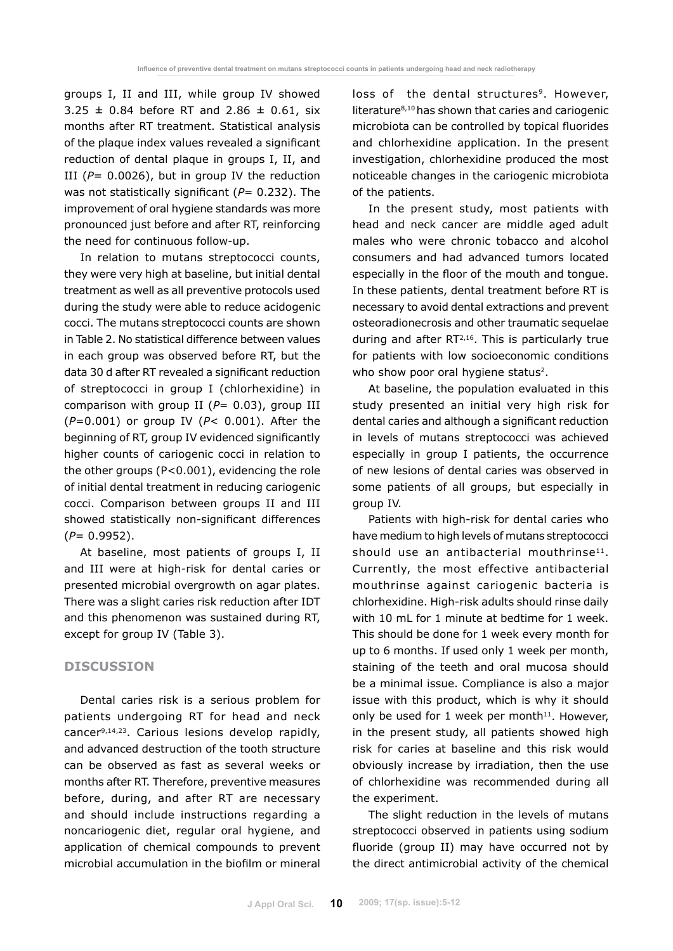groups I, II and III, while group IV showed  $3.25 \pm 0.84$  before RT and 2.86  $\pm$  0.61, six months after RT treatment. Statistical analysis of the plaque index values revealed a significant reduction of dental plaque in groups I, II, and III  $(P= 0.0026)$ , but in group IV the reduction was not statistically significant ( $P= 0.232$ ). The improvement of oral hygiene standards was more pronounced just before and after RT, reinforcing the need for continuous follow-up.

In relation to mutans streptococci counts, they were very high at baseline, but initial dental treatment as well as all preventive protocols used during the study were able to reduce acidogenic cocci. The mutans streptococci counts are shown in Table 2. No statistical difference between values in each group was observed before RT, but the data 30 d after RT revealed a significant reduction of streptococci in group I (chlorhexidine) in comparison with group II (*P*= 0.03), group III (*P*=0.001) or group IV (*P*< 0.001). After the beginning of RT, group IV evidenced significantly higher counts of cariogenic cocci in relation to the other groups (P<0.001), evidencing the role of initial dental treatment in reducing cariogenic cocci. Comparison between groups II and III showed statistically non-significant differences (*P*= 0.9952).

At baseline, most patients of groups I, II and III were at high-risk for dental caries or presented microbial overgrowth on agar plates. There was a slight caries risk reduction after IDT and this phenomenon was sustained during RT, except for group IV (Table 3).

# **Discussion**

Dental caries risk is a serious problem for patients undergoing RT for head and neck cancer9,14,23. Carious lesions develop rapidly, and advanced destruction of the tooth structure can be observed as fast as several weeks or months after RT. Therefore, preventive measures before, during, and after RT are necessary and should include instructions regarding a noncariogenic diet, regular oral hygiene, and application of chemical compounds to prevent microbial accumulation in the biofilm or mineral loss of the dental structures<sup>9</sup>. However, literature8,10 has shown that caries and cariogenic microbiota can be controlled by topical fluorides and chlorhexidine application. In the present investigation, chlorhexidine produced the most noticeable changes in the cariogenic microbiota of the patients.

In the present study, most patients with head and neck cancer are middle aged adult males who were chronic tobacco and alcohol consumers and had advanced tumors located especially in the floor of the mouth and tongue. In these patients, dental treatment before RT is necessary to avoid dental extractions and prevent osteoradionecrosis and other traumatic sequelae during and after RT<sup>2,16</sup>. This is particularly true for patients with low socioeconomic conditions who show poor oral hygiene status<sup>2</sup>.

At baseline, the population evaluated in this study presented an initial very high risk for dental caries and although a significant reduction in levels of mutans streptococci was achieved especially in group I patients, the occurrence of new lesions of dental caries was observed in some patients of all groups, but especially in group IV.

Patients with high-risk for dental caries who have medium to high levels of mutans streptococci should use an antibacterial mouthrinse<sup>11</sup>. Currently, the most effective antibacterial mouthrinse against cariogenic bacteria is chlorhexidine. High-risk adults should rinse daily with 10 mL for 1 minute at bedtime for 1 week. This should be done for 1 week every month for up to 6 months. If used only 1 week per month, staining of the teeth and oral mucosa should be a minimal issue. Compliance is also a major issue with this product, which is why it should only be used for 1 week per month $11$ . However, in the present study, all patients showed high risk for caries at baseline and this risk would obviously increase by irradiation, then the use of chlorhexidine was recommended during all the experiment.

The slight reduction in the levels of mutans streptococci observed in patients using sodium fluoride (group II) may have occurred not by the direct antimicrobial activity of the chemical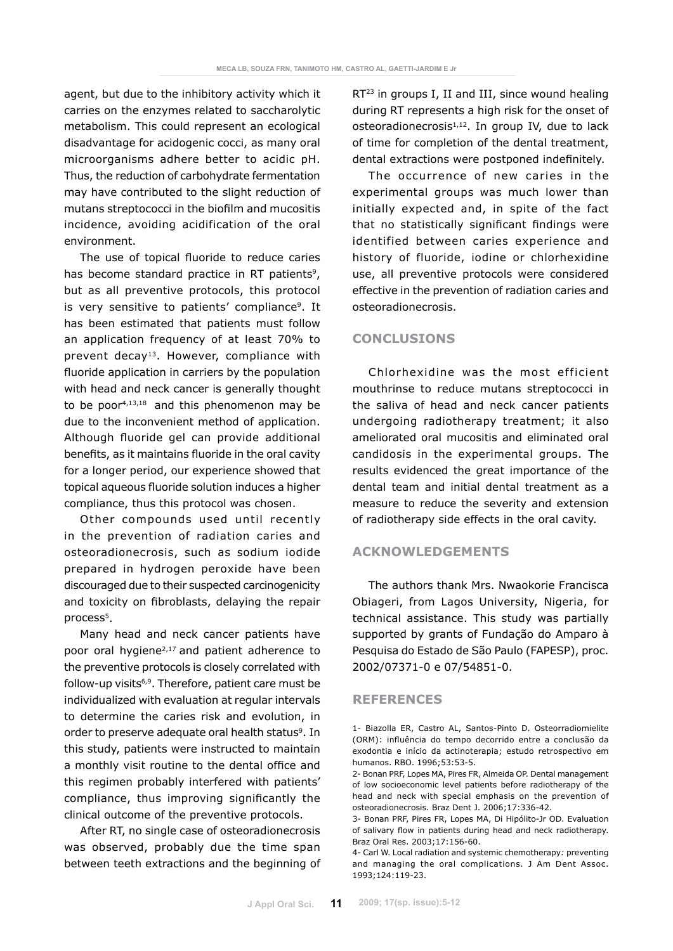agent, but due to the inhibitory activity which it carries on the enzymes related to saccharolytic metabolism. This could represent an ecological disadvantage for acidogenic cocci, as many oral microorganisms adhere better to acidic pH. Thus, the reduction of carbohydrate fermentation may have contributed to the slight reduction of mutans streptococci in the biofilm and mucositis incidence, avoiding acidification of the oral environment.

The use of topical fluoride to reduce caries has become standard practice in RT patients<sup>9</sup>, but as all preventive protocols, this protocol is very sensitive to patients' compliance<sup>9</sup>. It has been estimated that patients must follow an application frequency of at least 70% to prevent decay<sup>13</sup>. However, compliance with fluoride application in carriers by the population with head and neck cancer is generally thought to be poor4,13,18 and this phenomenon may be due to the inconvenient method of application. Although fluoride gel can provide additional benefits, as it maintains fluoride in the oral cavity for a longer period, our experience showed that topical aqueous fluoride solution induces a higher compliance, thus this protocol was chosen.

Other compounds used until recently in the prevention of radiation caries and osteoradionecrosis, such as sodium iodide prepared in hydrogen peroxide have been discouraged due to their suspected carcinogenicity and toxicity on fibroblasts, delaying the repair process<sup>5</sup>.

Many head and neck cancer patients have poor oral hygiene<sup>2,17</sup> and patient adherence to the preventive protocols is closely correlated with follow-up visits $6,9$ . Therefore, patient care must be individualized with evaluation at regular intervals to determine the caries risk and evolution, in order to preserve adequate oral health status<sup>9</sup>. In this study, patients were instructed to maintain a monthly visit routine to the dental office and this regimen probably interfered with patients' compliance, thus improving significantly the clinical outcome of the preventive protocols.

After RT, no single case of osteoradionecrosis was observed, probably due the time span between teeth extractions and the beginning of RT<sup>23</sup> in groups I, II and III, since wound healing during RT represents a high risk for the onset of osteoradionecrosis $1,12$ . In group IV, due to lack of time for completion of the dental treatment, dental extractions were postponed indefinitely.

The occurrence of new caries in the experimental groups was much lower than initially expected and, in spite of the fact that no statistically significant findings were identified between caries experience and history of fluoride, iodine or chlorhexidine use, all preventive protocols were considered effective in the prevention of radiation caries and osteoradionecrosis.

# **Conclusions**

Chlorhexidine was the most efficient mouthrinse to reduce mutans streptococci in the saliva of head and neck cancer patients undergoing radiotherapy treatment; it also ameliorated oral mucositis and eliminated oral candidosis in the experimental groups. The results evidenced the great importance of the dental team and initial dental treatment as a measure to reduce the severity and extension of radiotherapy side effects in the oral cavity.

## **Acknowledgements**

The authors thank Mrs. Nwaokorie Francisca Obiageri, from Lagos University, Nigeria, for technical assistance. This study was partially supported by grants of Fundação do Amparo à Pesquisa do Estado de São Paulo (FAPESP), proc. 2002/07371-0 e 07/54851-0.

### **References**

<sup>1-</sup> Biazolla ER, Castro AL, Santos-Pinto D. Osteorradiomielite (ORM): influência do tempo decorrido entre a conclusão da exodontia e início da actinoterapia; estudo retrospectivo em humanos. RBO. 1996;53:53-5.

<sup>2-</sup> Bonan PRF, Lopes MA, Pires FR, Almeida OP. Dental management of low socioeconomic level patients before radiotherapy of the head and neck with special emphasis on the prevention of osteoradionecrosis. Braz Dent J. 2006;17:336-42.

<sup>3-</sup> Bonan PRF, Pires FR, Lopes MA, Di Hipólito-Jr OD. Evaluation of salivary flow in patients during head and neck radiotherapy. Braz Oral Res. 2003;17:156-60.

<sup>4-</sup> Carl W. Local radiation and systemic chemotherapy*:* preventing and managing the oral complications. J Am Dent Assoc. 1993;124:119-23.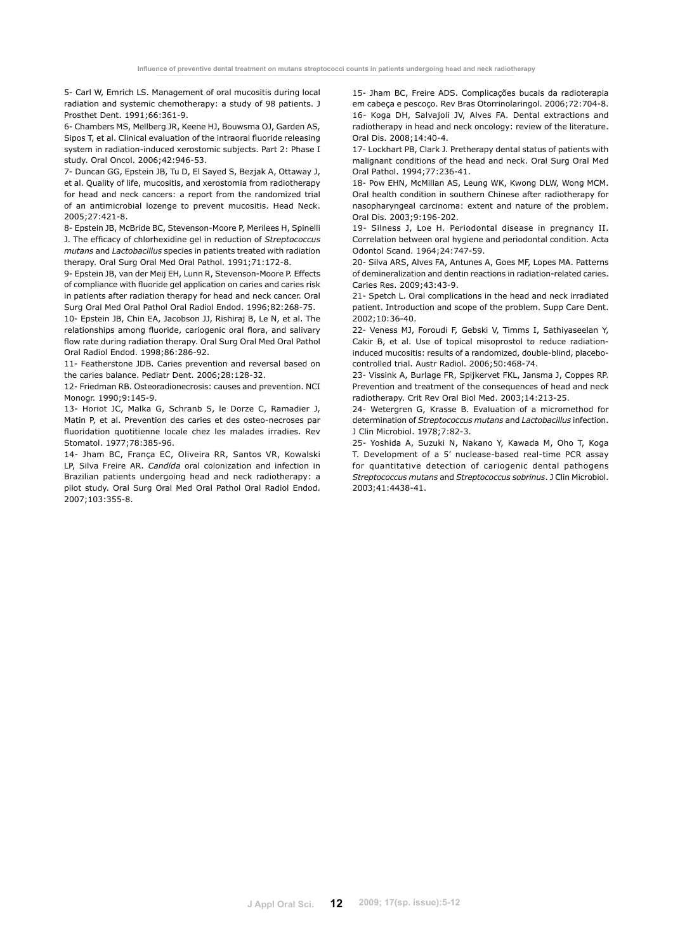5- Carl W, Emrich LS. Management of oral mucositis during local radiation and systemic chemotherapy: a study of 98 patients. J Prosthet Dent. 1991;66:361-9.

6- Chambers MS, Mellberg JR, Keene HJ, Bouwsma OJ, Garden AS, Sipos T, et al. Clinical evaluation of the intraoral fluoride releasing system in radiation-induced xerostomic subjects. Part 2: Phase I study. Oral Oncol. 2006;42:946-53.

7- Duncan GG, Epstein JB, Tu D, El Sayed S, Bezjak A, Ottaway J, et al. Quality of life, mucositis, and xerostomia from radiotherapy for head and neck cancers: a report from the randomized trial of an antimicrobial lozenge to prevent mucositis. Head Neck. 2005;27:421-8.

8- Epstein JB, McBride BC, Stevenson-Moore P, Merilees H, Spinelli J. The efficacy of chlorhexidine gel in reduction of *Streptococcus mutans* and *Lactobacillus* species in patients treated with radiation therapy. Oral Surg Oral Med Oral Pathol. 1991;71:172-8.

9- Epstein JB, van der Meij EH, Lunn R, Stevenson-Moore P. Effects of compliance with fluoride gel application on caries and caries risk in patients after radiation therapy for head and neck cancer. Oral Surg Oral Med Oral Pathol Oral Radiol Endod. 1996;82:268-75.

10- Epstein JB, Chin EA, Jacobson JJ, Rishiraj B, Le N, et al. The relationships among fluoride, cariogenic oral flora, and salivary flow rate during radiation therapy. Oral Surg Oral Med Oral Pathol Oral Radiol Endod. 1998;86:286-92.

11- Featherstone JDB. Caries prevention and reversal based on the caries balance. Pediatr Dent. 2006;28:128-32.

12- Friedman RB. Osteoradionecrosis: causes and prevention. NCI Monogr. 1990;9:145-9.

13- Horiot JC, Malka G, Schranb S, le Dorze C, Ramadier J, Matin P, et al. Prevention des caries et des osteo-necroses par fluoridation quotitienne locale chez les malades irradies. Rev Stomatol. 1977;78:385-96.

14- Jham BC, França EC, Oliveira RR, Santos VR, Kowalski LP, Silva Freire AR. *Candida* oral colonization and infection in Brazilian patients undergoing head and neck radiotherapy: a pilot study. Oral Surg Oral Med Oral Pathol Oral Radiol Endod. 2007;103:355-8.

15- Jham BC, Freire ADS. Complicações bucais da radioterapia em cabeça e pescoço. Rev Bras Otorrinolaringol. 2006;72:704-8. 16- Koga DH, Salvajoli JV, Alves FA. Dental extractions and radiotherapy in head and neck oncology: review of the literature. Oral Dis. 2008;14:40-4.

17- Lockhart PB, Clark J. Pretherapy dental status of patients with malignant conditions of the head and neck. Oral Surg Oral Med Oral Pathol. 1994;77:236-41.

18- Pow EHN, McMillan AS, Leung WK, Kwong DLW, Wong MCM. Oral health condition in southern Chinese after radiotherapy for nasopharyngeal carcinoma: extent and nature of the problem. Oral Dis. 2003;9:196-202.

19- Silness J, Loe H. Periodontal disease in pregnancy II. Correlation between oral hygiene and periodontal condition. Acta Odontol Scand. 1964;24:747-59.

20- Silva ARS, Alves FA, Antunes A, Goes MF, Lopes MA. Patterns of demineralization and dentin reactions in radiation-related caries. Caries Res. 2009;43:43-9.

21- Spetch L. Oral complications in the head and neck irradiated patient. Introduction and scope of the problem. Supp Care Dent. 2002;10:36-40.

22- Veness MJ, Foroudi F, Gebski V, Timms I, Sathiyaseelan Y, Cakir B, et al. Use of topical misoprostol to reduce radiationinduced mucositis: results of a randomized, double-blind, placebocontrolled trial. Austr Radiol. 2006;50:468-74.

23- Vissink A, Burlage FR, Spijkervet FKL, Jansma J, Coppes RP. Prevention and treatment of the consequences of head and neck radiotherapy. Crit Rev Oral Biol Med. 2003;14:213-25.

24- Wetergren G, Krasse B. Evaluation of a micromethod for determination of *Streptococcus mutans* and *Lactobacillus* infection. J Clin Microbiol. 1978;7:82-3.

25- Yoshida A, Suzuki N, Nakano Y, Kawada M, Oho T, Koga T. Development of a 5' nuclease-based real-time PCR assay for quantitative detection of cariogenic dental pathogens *Streptococcus mutans* and *Streptococcus sobrinus*. J Clin Microbiol. 2003;41:4438-41.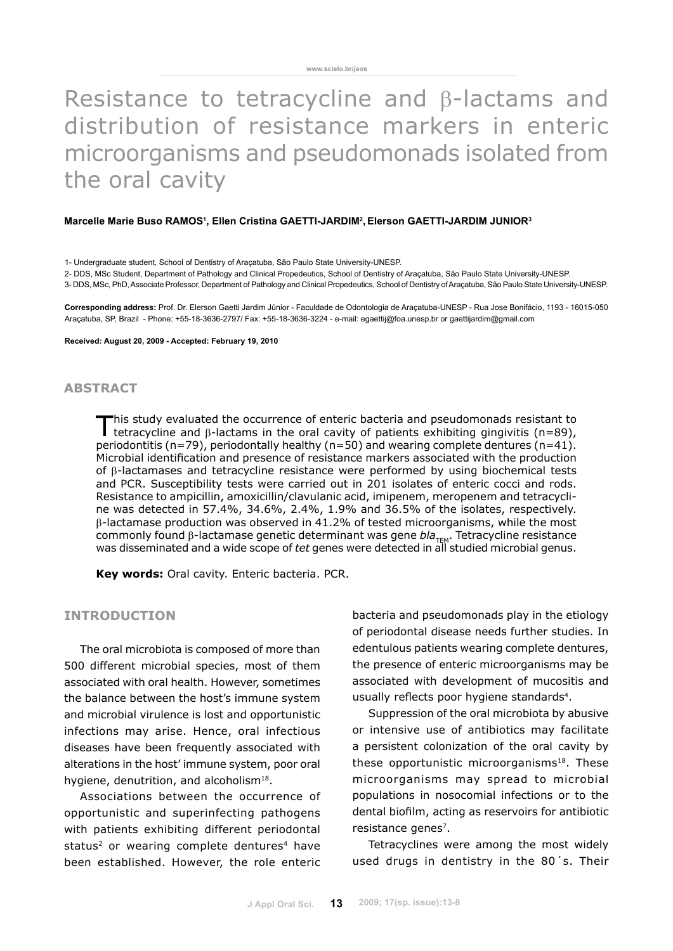# Resistance to tetracycline and β-lactams and distribution of resistance markers in enteric microorganisms and pseudomonads isolated from the oral cavity

#### Marcelle Marie Buso RAMOS<sup>1</sup>, Ellen Cristina GAETTI-JARDIM<sup>2</sup>, Elerson GAETTI-JARDIM JUNIOR<sup>3</sup>

1- Undergraduate student, School of Dentistry of Araçatuba, São Paulo State University-UNESP.

2- DDS, MSc Student, Department of Pathology and Clinical Propedeutics, School of Dentistry of Araçatuba, São Paulo State University-UNESP.

3- DDS, MSc, PhD, Associate Professor, Department of Pathology and Clinical Propedeutics, School of Dentistry of Araçatuba, São Paulo State University-UNESP.

**Corresponding address:** Prof. Dr. Elerson Gaetti Jardim Júnior - Faculdade de Odontologia de Araçatuba-UNESP - Rua Jose Bonifácio, 1193 - 16015-050 Araçatuba, SP, Brazil - Phone: +55-18-3636-2797/ Fax: +55-18-3636-3224 - e-mail: egaettij@foa.unesp.br or gaettijardim@gmail.com

**Received: August 20, 2009 - Accepted: February 19, 2010**

## **abstract**

This study evaluated the occurrence of enteric bacteria and pseudomonads resistant to tetracycline and β-lactams in the oral cavity of patients exhibiting gingivitis (n=89), periodontitis (n=79), periodontally healthy (n=50) and wearing complete dentures (n=41). Microbial identification and presence of resistance markers associated with the production of β-lactamases and tetracycline resistance were performed by using biochemical tests and PCR. Susceptibility tests were carried out in 201 isolates of enteric cocci and rods. Resistance to ampicillin, amoxicillin/clavulanic acid, imipenem, meropenem and tetracycline was detected in 57.4%, 34.6%, 2.4%, 1.9% and 36.5% of the isolates, respectively. β-lactamase production was observed in 41.2% of tested microorganisms, while the most commonly found β-lactamase genetic determinant was gene bla<sub>TEM</sub>. Tetracycline resistance was disseminated and a wide scope of *tet* genes were detected in all studied microbial genus.

**Key words:** Oral cavity. Enteric bacteria. PCR.

### **INTRODUCTION**

The oral microbiota is composed of more than 500 different microbial species, most of them associated with oral health. However, sometimes the balance between the host's immune system and microbial virulence is lost and opportunistic infections may arise. Hence, oral infectious diseases have been frequently associated with alterations in the host' immune system, poor oral hygiene, denutrition, and alcoholism<sup>18</sup>.

Associations between the occurrence of opportunistic and superinfecting pathogens with patients exhibiting different periodontal status<sup>2</sup> or wearing complete dentures<sup>4</sup> have been established. However, the role enteric bacteria and pseudomonads play in the etiology of periodontal disease needs further studies. In edentulous patients wearing complete dentures, the presence of enteric microorganisms may be associated with development of mucositis and usually reflects poor hygiene standards<sup>4</sup>.

Suppression of the oral microbiota by abusive or intensive use of antibiotics may facilitate a persistent colonization of the oral cavity by these opportunistic microorganisms $18$ . These microorganisms may spread to microbial populations in nosocomial infections or to the dental biofilm, acting as reservoirs for antibiotic resistance genes<sup>7</sup>.

Tetracyclines were among the most widely used drugs in dentistry in the 80´s. Their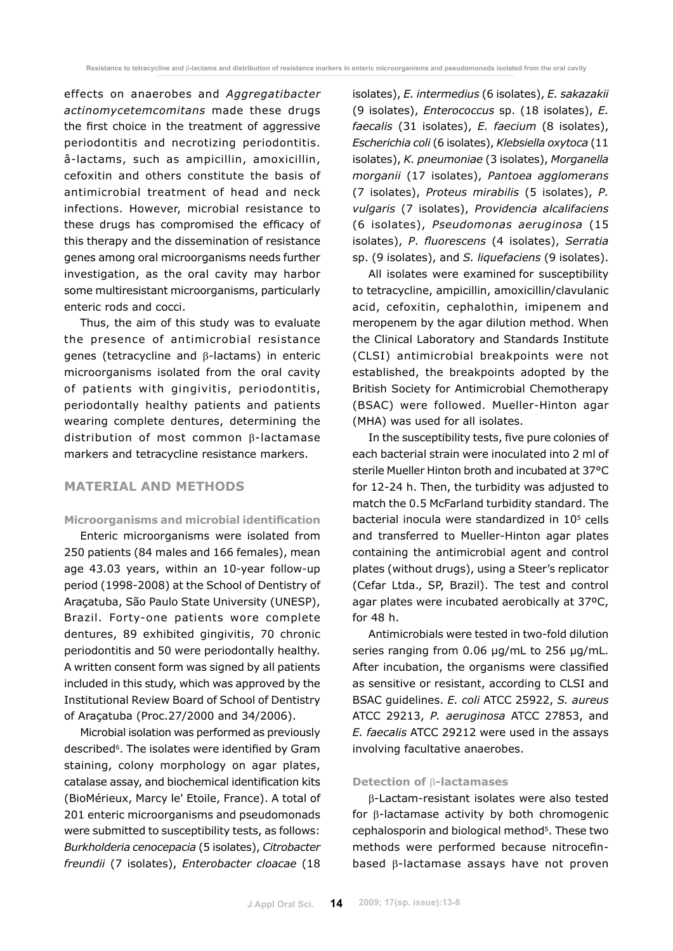effects on anaerobes and *Aggregatibacter actinomycetemcomitans* made these drugs the first choice in the treatment of aggressive periodontitis and necrotizing periodontitis. â-lactams, such as ampicillin, amoxicillin, cefoxitin and others constitute the basis of antimicrobial treatment of head and neck infections. However, microbial resistance to these drugs has compromised the efficacy of this therapy and the dissemination of resistance genes among oral microorganisms needs further investigation, as the oral cavity may harbor some multiresistant microorganisms, particularly enteric rods and cocci.

Thus, the aim of this study was to evaluate the presence of antimicrobial resistance genes (tetracycline and β-lactams) in enteric microorganisms isolated from the oral cavity of patients with gingivitis, periodontitis, periodontally healthy patients and patients wearing complete dentures, determining the distribution of most common  $\beta$ -lactamase markers and tetracycline resistance markers.

# **MATERIAL AND METHODS**

### **Microorganisms and microbial identification**

Enteric microorganisms were isolated from 250 patients (84 males and 166 females), mean age 43.03 years, within an 10-year follow-up period (1998-2008) at the School of Dentistry of Araçatuba, São Paulo State University (UNESP), Brazil. Forty-one patients wore complete dentures, 89 exhibited gingivitis, 70 chronic periodontitis and 50 were periodontally healthy. A written consent form was signed by all patients included in this study, which was approved by the Institutional Review Board of School of Dentistry of Araçatuba (Proc.27/2000 and 34/2006).

Microbial isolation was performed as previously described<sup>6</sup>. The isolates were identified by Gram staining, colony morphology on agar plates, catalase assay, and biochemical identification kits (BioMérieux, Marcy le' Etoile, France). A total of 201 enteric microorganisms and pseudomonads were submitted to susceptibility tests, as follows: *Burkholderia cenocepacia* (5 isolates), *Citrobacter freundii* (7 isolates), *Enterobacter cloacae* (18 isolates), *E. intermedius* (6 isolates), *E. sakazakii* (9 isolates), *Enterococcus* sp. (18 isolates), *E. faecalis* (31 isolates), *E. faecium* (8 isolates), *Escherichia coli* (6 isolates), *Klebsiella oxytoca* (11 isolates), *K. pneumoniae* (3 isolates), *Morganella morganii* (17 isolates), *Pantoea agglomerans* (7 isolates), *Proteus mirabilis* (5 isolates), *P. vulgaris* (7 isolates), *Providencia alcalifaciens* (6 isolates), *Pseudomonas aeruginosa* (15 isolates), *P*. *fluorescens* (4 isolates), *Serratia* sp. (9 isolates), and *S. liquefaciens* (9 isolates).

All isolates were examined for susceptibility to tetracycline, ampicillin, amoxicillin/clavulanic acid, cefoxitin, cephalothin, imipenem and meropenem by the agar dilution method. When the Clinical Laboratory and Standards Institute (CLSI) antimicrobial breakpoints were not established, the breakpoints adopted by the British Society for Antimicrobial Chemotherapy (BSAC) were followed. Mueller-Hinton agar (MHA) was used for all isolates.

In the susceptibility tests, five pure colonies of each bacterial strain were inoculated into 2 ml of sterile Mueller Hinton broth and incubated at 37°C for 12-24 h. Then, the turbidity was adjusted to match the 0.5 McFarland turbidity standard. The bacterial inocula were standardized in 105 cells and transferred to Mueller-Hinton agar plates containing the antimicrobial agent and control plates (without drugs), using a Steer's replicator (Cefar Ltda., SP, Brazil). The test and control agar plates were incubated aerobically at 37ºC, for 48 h.

Antimicrobials were tested in two-fold dilution series ranging from 0.06 µg/mL to 256 µg/mL. After incubation, the organisms were classified as sensitive or resistant, according to CLSI and BSAC guidelines. *E. coli* ATCC 25922, *S. aureus* ATCC 29213, *P. aeruginosa* ATCC 27853, and *E. faecalis* ATCC 29212 were used in the assays involving facultative anaerobes.

### **Detection of** β**-lactamases**

β-Lactam-resistant isolates were also tested for β-lactamase activity by both chromogenic cephalosporin and biological method<sup>5</sup>. These two methods were performed because nitrocefinbased β-lactamase assays have not proven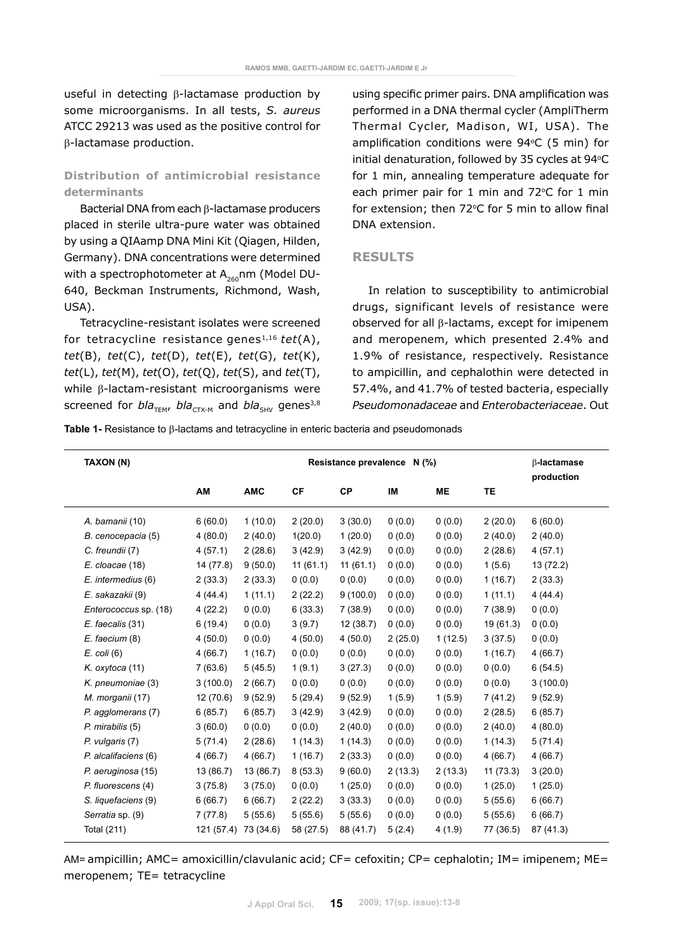useful in detecting β-lactamase production by some microorganisms. In all tests, *S. aureus* ATCC 29213 was used as the positive control for β-lactamase production.

# **Distribution of antimicrobial resistance determinants**

Bacterial DNA from each β-lactamase producers placed in sterile ultra-pure water was obtained by using a QIAamp DNA Mini Kit (Qiagen, Hilden, Germany). DNA concentrations were determined with a spectrophotometer at  $A_{260}$ nm (Model DU-640, Beckman Instruments, Richmond, Wash, USA).

Tetracycline-resistant isolates were screened for tetracycline resistance genes1,16 *tet*(A), *tet*(B), *tet*(C), *tet*(D), *tet*(E), *tet*(G), *tet*(K), *tet*(L), *tet*(M), *tet*(O), *tet*(Q), *tet*(S), and *tet*(T), while β-lactam-resistant microorganisms were screened for *bla<sub>TEM</sub>*, *bla<sub>CTX-M</sub>* and *bla<sub>SHV</sub>* genes<sup>3,8</sup> using specific primer pairs. DNA amplification was performed in a DNA thermal cycler (AmpliTherm Thermal Cycler, Madison, WI, USA). The amplification conditions were  $94^{\circ}$ C (5 min) for initial denaturation, followed by 35 cycles at 94°C for 1 min, annealing temperature adequate for each primer pair for 1 min and  $72^{\circ}$ C for 1 min for extension; then  $72^{\circ}$ C for 5 min to allow final DNA extension.

## **RESULTS**

In relation to susceptibility to antimicrobial drugs, significant levels of resistance were observed for all β-lactams, except for imipenem and meropenem, which presented 2.4% and 1.9% of resistance, respectively. Resistance to ampicillin, and cephalothin were detected in 57.4%, and 41.7% of tested bacteria, especially *Pseudomonadaceae* and *Enterobacteriaceae*. Out

**Table 1-** Resistance to β-lactams and tetracycline in enteric bacteria and pseudomonads

| TAXON (N)             | Resistance prevalence N (%) |            |           |           |         |           | $\beta$ -lactamase<br>production |           |
|-----------------------|-----------------------------|------------|-----------|-----------|---------|-----------|----------------------------------|-----------|
|                       | AM                          | <b>AMC</b> | <b>CF</b> | <b>CP</b> | IM      | <b>ME</b> | TE                               |           |
| A. bamanii (10)       | 6(60.0)                     | 1(10.0)    | 2(20.0)   | 3(30.0)   | 0(0.0)  | 0(0.0)    | 2(20.0)                          | 6(60.0)   |
| B. cenocepacia (5)    | 4(80.0)                     | 2(40.0)    | 1(20.0)   | 1(20.0)   | 0(0.0)  | 0(0.0)    | 2(40.0)                          | 2(40.0)   |
| C. freundii (7)       | 4(57.1)                     | 2(28.6)    | 3(42.9)   | 3(42.9)   | 0(0.0)  | 0(0.0)    | 2(28.6)                          | 4(57.1)   |
| E. cloacae (18)       | 14 (77.8)                   | 9(50.0)    | 11(61.1)  | 11(61.1)  | 0(0.0)  | 0(0.0)    | 1(5.6)                           | 13 (72.2) |
| E. intermedius (6)    | 2(33.3)                     | 2(33.3)    | 0(0.0)    | 0(0.0)    | 0(0.0)  | 0(0.0)    | 1(16.7)                          | 2(33.3)   |
| E. sakazakii (9)      | 4(44.4)                     | 1(11.1)    | 2(22.2)   | 9(100.0)  | 0(0.0)  | 0(0.0)    | 1(11.1)                          | 4(44.4)   |
| Enterococcus sp. (18) | 4(22.2)                     | 0(0.0)     | 6(33.3)   | 7(38.9)   | 0(0.0)  | 0(0.0)    | 7(38.9)                          | 0(0.0)    |
| E. faecalis (31)      | 6(19.4)                     | 0(0.0)     | 3(9.7)    | 12 (38.7) | 0(0.0)  | 0(0.0)    | 19 (61.3)                        | 0(0.0)    |
| $E.$ faecium $(8)$    | 4(50.0)                     | 0(0.0)     | 4(50.0)   | 4(50.0)   | 2(25.0) | 1(12.5)   | 3(37.5)                          | 0(0.0)    |
| $E.$ coli $(6)$       | 4(66.7)                     | 1(16.7)    | 0(0.0)    | (0.0)     | 0(0.0)  | 0(0.0)    | 1(16.7)                          | 4(66.7)   |
| K. oxytoca (11)       | 7(63.6)                     | 5(45.5)    | 1(9.1)    | 3(27.3)   | 0(0.0)  | 0(0.0)    | 0(0.0)                           | 6(54.5)   |
| K. pneumoniae (3)     | 3(100.0)                    | 2(66.7)    | 0(0.0)    | 0(0.0)    | 0(0.0)  | 0(0.0)    | 0(0.0)                           | 3(100.0)  |
| M. morganii (17)      | 12(70.6)                    | 9(52.9)    | 5(29.4)   | 9(52.9)   | 1(5.9)  | 1(5.9)    | 7(41.2)                          | 9(52.9)   |
| P. agglomerans (7)    | 6(85.7)                     | 6(85.7)    | 3(42.9)   | 3(42.9)   | 0(0.0)  | 0(0.0)    | 2(28.5)                          | 6(85.7)   |
| P. mirabilis (5)      | 3(60.0)                     | 0(0.0)     | 0(0.0)    | 2(40.0)   | 0(0.0)  | 0(0.0)    | 2(40.0)                          | 4(80.0)   |
| P. vulgaris (7)       | 5(71.4)                     | 2(28.6)    | 1(14.3)   | 1(14.3)   | 0(0.0)  | 0(0.0)    | 1(14.3)                          | 5(71.4)   |
| P. alcalifaciens (6)  | 4(66.7)                     | 4(66.7)    | 1(16.7)   | 2(33.3)   | 0(0.0)  | 0(0.0)    | 4(66.7)                          | 4(66.7)   |
| P. aeruginosa (15)    | 13 (86.7)                   | 13(86.7)   | 8(53.3)   | 9(60.0)   | 2(13.3) | 2(13.3)   | 11(73.3)                         | 3(20.0)   |
| P. fluorescens (4)    | 3(75.8)                     | 3(75.0)    | 0(0.0)    | 1(25.0)   | 0(0.0)  | 0(0.0)    | 1(25.0)                          | 1(25.0)   |
| S. liquefaciens (9)   | 6(66.7)                     | 6(66.7)    | 2(22.2)   | 3(33.3)   | 0(0.0)  | 0(0.0)    | 5(55.6)                          | 6(66.7)   |
| Serratia sp. (9)      | 7(77.8)                     | 5(55.6)    | 5(55.6)   | 5(55.6)   | 0(0.0)  | 0(0.0)    | 5(55.6)                          | 6(66.7)   |
| Total (211)           | 121 (57.4)                  | 73 (34.6)  | 58 (27.5) | 88 (41.7) | 5(2.4)  | 4(1.9)    | 77 (36.5)                        | 87 (41.3) |

AM= ampicillin; AMC= amoxicillin/clavulanic acid; CF= cefoxitin; CP= cephalotin; IM= imipenem; ME= meropenem; TE= tetracycline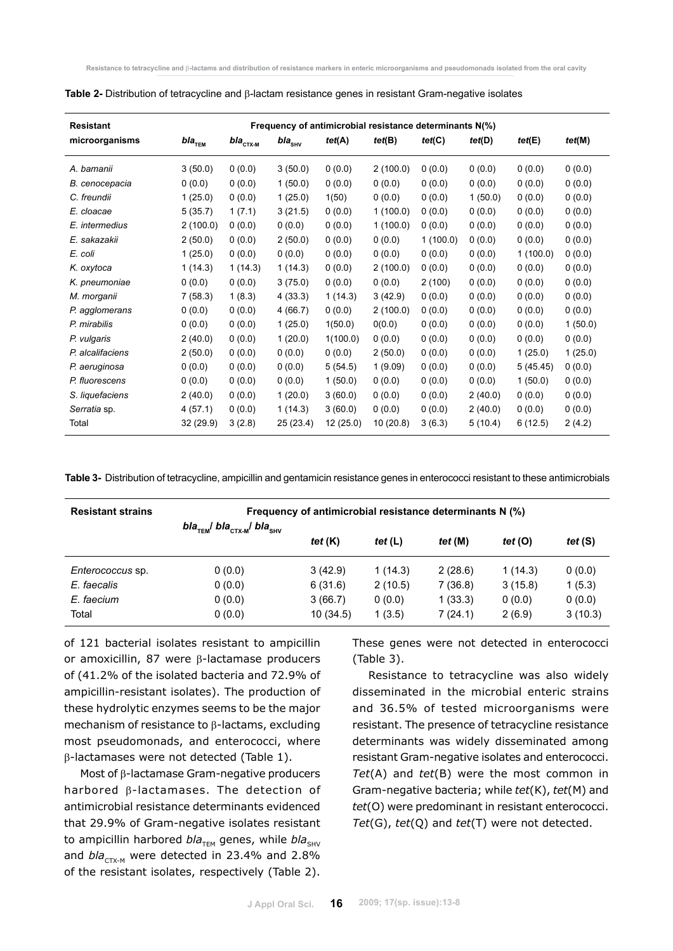| <b>Resistant</b> | Frequency of antimicrobial resistance determinants N(%) |                                              |                   |           |          |          |         |          |         |
|------------------|---------------------------------------------------------|----------------------------------------------|-------------------|-----------|----------|----------|---------|----------|---------|
| microorganisms   | bla $_{\tau_{\texttt{EM}}}$                             | $\boldsymbol{\mathit{bla}}_{\texttt{CTX-M}}$ | bla $_{\rm{SHV}}$ | tet(A)    | tet(B)   | tet(C)   | tet(D)  | tet(E)   | tet(M)  |
| A. bamanii       | 3(50.0)                                                 | 0(0.0)                                       | 3(50.0)           | 0(0.0)    | 2(100.0) | 0(0.0)   | 0(0.0)  | 0(0.0)   | 0(0.0)  |
| B. cenocepacia   | 0(0.0)                                                  | 0(0.0)                                       | 1(50.0)           | 0(0.0)    | 0(0.0)   | 0(0.0)   | 0(0.0)  | 0(0.0)   | 0(0.0)  |
| C. freundii      | 1(25.0)                                                 | 0(0.0)                                       | 1(25.0)           | 1(50)     | 0(0.0)   | 0(0.0)   | 1(50.0) | 0(0.0)   | 0(0.0)  |
| E. cloacae       | 5(35.7)                                                 | 1(7.1)                                       | 3(21.5)           | 0(0.0)    | 1(100.0) | 0(0.0)   | 0(0.0)  | 0(0.0)   | 0(0.0)  |
| E. intermedius   | 2(100.0)                                                | 0(0.0)                                       | 0(0.0)            | 0(0.0)    | 1(100.0) | 0(0.0)   | 0(0.0)  | 0(0.0)   | 0(0.0)  |
| E. sakazakii     | 2(50.0)                                                 | 0(0.0)                                       | 2(50.0)           | 0(0.0)    | (0.0)    | 1(100.0) | 0(0.0)  | 0(0.0)   | 0(0.0)  |
| E. coli          | 1(25.0)                                                 | 0(0.0)                                       | 0(0.0)            | 0(0.0)    | 0(0.0)   | 0(0.0)   | 0(0.0)  | 1(100.0) | 0(0.0)  |
| K. oxytoca       | 1(14.3)                                                 | 1(14.3)                                      | 1(14.3)           | 0(0.0)    | 2(100.0) | 0(0.0)   | 0(0.0)  | 0(0.0)   | 0(0.0)  |
| K. pneumoniae    | 0(0.0)                                                  | 0(0.0)                                       | 3(75.0)           | 0(0.0)    | 0(0.0)   | 2(100)   | 0(0.0)  | 0(0.0)   | 0(0.0)  |
| M. morganii      | 7(58.3)                                                 | 1(8.3)                                       | 4(33.3)           | 1(14.3)   | 3(42.9)  | 0(0.0)   | 0(0.0)  | 0(0.0)   | 0(0.0)  |
| P. agglomerans   | 0(0.0)                                                  | 0(0.0)                                       | 4(66.7)           | 0(0.0)    | 2(100.0) | 0(0.0)   | 0(0.0)  | 0(0.0)   | 0(0.0)  |
| P. mirabilis     | 0(0.0)                                                  | 0(0.0)                                       | 1(25.0)           | 1(50.0)   | 0(0.0)   | 0(0.0)   | 0(0.0)  | 0(0.0)   | 1(50.0) |
| P. vulgaris      | 2(40.0)                                                 | 0(0.0)                                       | 1(20.0)           | 1(100.0)  | 0(0.0)   | 0(0.0)   | 0(0.0)  | 0(0.0)   | 0(0.0)  |
| P. alcalifaciens | 2(50.0)                                                 | 0(0.0)                                       | 0(0.0)            | 0(0.0)    | 2(50.0)  | 0(0.0)   | 0(0.0)  | 1(25.0)  | 1(25.0) |
| P. aeruginosa    | 0(0.0)                                                  | 0(0.0)                                       | 0(0.0)            | 5(54.5)   | 1(9.09)  | 0(0.0)   | 0(0.0)  | 5(45.45) | 0(0.0)  |
| P. fluorescens   | 0(0.0)                                                  | 0(0.0)                                       | 0(0.0)            | 1(50.0)   | 0(0.0)   | 0(0.0)   | 0(0.0)  | 1(50.0)  | 0(0.0)  |
| S. liquefaciens  | 2(40.0)                                                 | 0(0.0)                                       | 1(20.0)           | 3(60.0)   | 0(0.0)   | 0(0.0)   | 2(40.0) | 0(0.0)   | 0(0.0)  |
| Serratia sp.     | 4(57.1)                                                 | 0(0.0)                                       | 1(14.3)           | 3(60.0)   | 0(0.0)   | 0(0.0)   | 2(40.0) | 0(0.0)   | 0(0.0)  |
| Total            | 32 (29.9)                                               | 3(2.8)                                       | 25 (23.4)         | 12 (25.0) | 10(20.8) | 3(6.3)   | 5(10.4) | 6(12.5)  | 2(4.2)  |

| Table 2- Distribution of tetracycline and $\beta$ -lactam resistance genes in resistant Gram-negative isolates |  |
|----------------------------------------------------------------------------------------------------------------|--|
|----------------------------------------------------------------------------------------------------------------|--|

**Table 3-** Distribution of tetracycline, ampicillin and gentamicin resistance genes in enterococci resistant to these antimicrobials

| <b>Resistant strains</b> | Frequency of antimicrobial resistance determinants N (%)   |           |           |           |           |           |  |  |
|--------------------------|------------------------------------------------------------|-----------|-----------|-----------|-----------|-----------|--|--|
|                          | $bla_{\text{TEM}}$ bla <sub>ctx-M</sub> bla <sub>shy</sub> | tet $(K)$ | tet $(L)$ | tet $(M)$ | tet $(O)$ | tet $(S)$ |  |  |
| Enterococcus sp.         | 0(0.0)                                                     | 3(42.9)   | 1(14.3)   | 2(28.6)   | 1(14.3)   | 0(0.0)    |  |  |
| E. faecalis              | 0(0.0)                                                     | 6(31.6)   | 2(10.5)   | 7(36.8)   | 3(15.8)   | 1(5.3)    |  |  |
| E. faecium               | 0(0.0)                                                     | 3(66.7)   | 0(0.0)    | 1(33.3)   | 0(0.0)    | 0(0.0)    |  |  |
| Total                    | 0(0.0)                                                     | 10(34.5)  | 1(3.5)    | 7(24.1)   | 2(6.9)    | 3(10.3)   |  |  |

of 121 bacterial isolates resistant to ampicillin or amoxicillin, 87 were β-lactamase producers of (41.2% of the isolated bacteria and 72.9% of ampicillin-resistant isolates). The production of these hydrolytic enzymes seems to be the major mechanism of resistance to β-lactams, excluding most pseudomonads, and enterococci, where β-lactamases were not detected (Table 1).

Most of β-lactamase Gram-negative producers harbored β-lactamases. The detection of antimicrobial resistance determinants evidenced that 29.9% of Gram-negative isolates resistant to ampicillin harbored *bla<sub>TEM</sub>* genes, while *bla*<sub>SHV</sub> and  $bla_{\text{CTX-M}}$  were detected in 23.4% and 2.8% of the resistant isolates, respectively (Table 2).

These genes were not detected in enterococci (Table 3).

Resistance to tetracycline was also widely disseminated in the microbial enteric strains and 36.5% of tested microorganisms were resistant. The presence of tetracycline resistance determinants was widely disseminated among resistant Gram-negative isolates and enterococci. *Tet*(A) and *tet*(B) were the most common in Gram-negative bacteria; while *tet*(K), *tet*(M) and *tet*(O) were predominant in resistant enterococci. *Tet*(G), *tet*(Q) and *tet*(T) were not detected.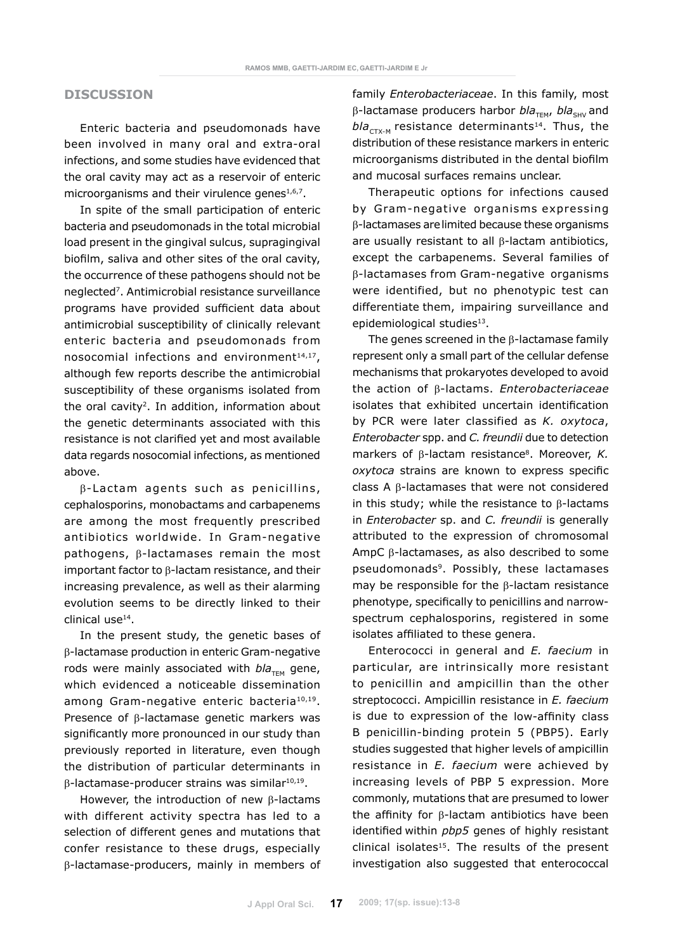### **DISCUSSION**

Enteric bacteria and pseudomonads have been involved in many oral and extra-oral infections, and some studies have evidenced that the oral cavity may act as a reservoir of enteric microorganisms and their virulence genes<sup>1,6,7</sup>.

In spite of the small participation of enteric bacteria and pseudomonads in the total microbial load present in the gingival sulcus, supragingival biofilm, saliva and other sites of the oral cavity, the occurrence of these pathogens should not be neglected7. Antimicrobial resistance surveillance programs have provided sufficient data about antimicrobial susceptibility of clinically relevant enteric bacteria and pseudomonads from nosocomial infections and environment<sup>14,17</sup>, although few reports describe the antimicrobial susceptibility of these organisms isolated from the oral cavity2. In addition, information about the genetic determinants associated with this resistance is not clarified yet and most available data regards nosocomial infections, as mentioned above.

 $β$ -Lactam agents such as penicillins, cephalosporins, monobactams and carbapenems are among the most frequently prescribed antibiotics worldwide. In Gram-negative pathogens, β-lactamases remain the most important factor to β-lactam resistance, and their increasing prevalence, as well as their alarming evolution seems to be directly linked to their clinical use14.

In the present study, the genetic bases of β-lactamase production in enteric Gram-negative rods were mainly associated with  $bla_{TFM}$  gene, which evidenced a noticeable dissemination among Gram-negative enteric bacteria<sup>10,19</sup>. Presence of β-lactamase genetic markers was significantly more pronounced in our study than previously reported in literature, even though the distribution of particular determinants in β-lactamase-producer strains was similar10,19.

However, the introduction of new β-lactams with different activity spectra has led to a selection of different genes and mutations that confer resistance to these drugs, especially β-lactamase-producers, mainly in members of family *Enterobacteriaceae*. In this family, most β-lactamase producers harbor *bla<sub>TEM</sub>*, *bla<sub>SHV</sub>* and  $bla_{CTX-M}$  resistance determinants<sup>14</sup>. Thus, the distribution of these resistance markers in enteric microorganisms distributed in the dental biofilm and mucosal surfaces remains unclear.

Therapeutic options for infections caused by Gram-negative organisms expressing β-lactamases arelimited because these organisms are usually resistant to all β-lactam antibiotics, except the carbapenems. Several families of β-lactamases from Gram-negative organisms were identified, but no phenotypic test can differentiate them, impairing surveillance and epidemiological studies<sup>13</sup>.

The genes screened in the β-lactamase family represent only a small part of the cellular defense mechanisms that prokaryotes developed to avoid the action of β-lactams. *Enterobacteriaceae*  isolates that exhibited uncertain identification by PCR were later classified as *K. oxytoca*, *Enterobacter* spp. and *C. freundii* due to detection markers of β-lactam resistance<sup>8</sup>. Moreover, *K. oxytoca* strains are known to express specific class A β-lactamases that were not considered in this study; while the resistance to β-lactams in *Enterobacter* sp. and *C. freundii* is generally attributed to the expression of chromosomal AmpC β-lactamases, as also described to some pseudomonads<sup>9</sup>. Possibly, these lactamases may be responsible for the β-lactam resistance phenotype, specifically to penicillins and narrowspectrum cephalosporins, registered in some isolates affiliated to these genera.

Enterococci in general and *E. faecium* in particular, are intrinsically more resistant to penicillin and ampicillin than the other streptococci. Ampicillin resistance in *E. faecium* is due to expression of the low-affinity class B penicillin-binding protein 5 (PBP5). Early studies suggested that higher levels of ampicillin resistance in *E. faecium* were achieved by increasing levels of PBP 5 expression. More commonly, mutations that are presumed to lower the affinity for β-lactam antibiotics have been identified within *pbp5* genes of highly resistant clinical isolates<sup>15</sup>. The results of the present investigation also suggested that enterococcal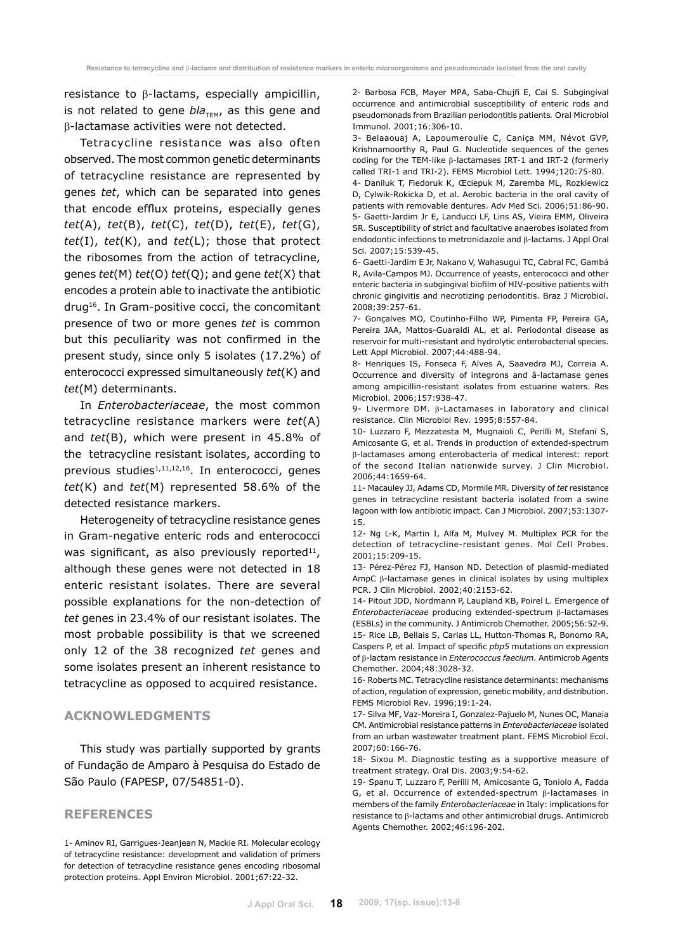resistance to β-lactams, especially ampicillin, is not related to gene *bla<sub>TEM</sub>*, as this gene and β-lactamase activities were not detected.

Tetracycline resistance was also often observed. The most common genetic determinants of tetracycline resistance are represented by genes *tet*, which can be separated into genes that encode efflux proteins, especially genes *tet*(A), *tet*(B), *tet*(C), *tet*(D), *tet*(E), *tet*(G), *tet*(I), *tet*(K), and *tet*(L); those that protect the ribosomes from the action of tetracycline, genes *tet*(M) *tet*(O) *tet*(Q); and gene *tet*(X) that encodes a protein able to inactivate the antibiotic drug16. In Gram-positive cocci, the concomitant presence of two or more genes *tet* is common but this peculiarity was not confirmed in the present study, since only 5 isolates (17.2%) of enterococci expressed simultaneously *tet*(K) and *tet*(M) determinants.

In *Enterobacteriaceae*, the most common tetracycline resistance markers were *tet*(A) and *tet*(B), which were present in 45.8% of the tetracycline resistant isolates, according to previous studies $1,11,12,16$ . In enterococci, genes *tet*(K) and *tet*(M) represented 58.6% of the detected resistance markers.

Heterogeneity of tetracycline resistance genes in Gram-negative enteric rods and enterococci was significant, as also previously reported $^{11}$ , although these genes were not detected in 18 enteric resistant isolates. There are several possible explanations for the non-detection of *tet* genes in 23.4% of our resistant isolates. The most probable possibility is that we screened only 12 of the 38 recognized *tet* genes and some isolates present an inherent resistance to tetracycline as opposed to acquired resistance.

### **Acknowledgments**

This study was partially supported by grants of Fundação de Amparo à Pesquisa do Estado de São Paulo (FAPESP, 07/54851-0).

### **References**

1- Aminov RI, Garrigues-Jeanjean N, Mackie RI. Molecular ecology of tetracycline resistance: development and validation of primers for detection of tetracycline resistance genes encoding ribosomal protection proteins. Appl Environ Microbiol. 2001;67:22-32.

2- Barbosa FCB, Mayer MPA, Saba-Chujfi E, Cai S. Subgingival occurrence and antimicrobial susceptibility of enteric rods and pseudomonads from Brazilian periodontitis patients*.* Oral Microbiol Immunol. 2001;16:306-10.

3- Belaaouaj A, Lapoumeroulie C, Caniça MM, Névot GVP, Krishnamoorthy R, Paul G. Nucleotide sequences of the genes coding for the TEM-like β-lactamases IRT-1 and IRT-2 (formerly called TRI-1 and TRI-2). FEMS Microbiol Lett. 1994;120:75-80.

4- Daniluk T, Fiedoruk K, Œciepuk M, Zaremba ML, Rozkiewicz D, Cylwik-Rokicka D, et al. Aerobic bacteria in the oral cavity of patients with removable dentures. Adv Med Sci. 2006;51:86-90. 5- Gaetti-Jardim Jr E, Landucci LF, Lins AS, Vieira EMM, Oliveira SR. Susceptibility of strict and facultative anaerobes isolated from endodontic infections to metronidazole and  $\beta$ -lactams. J Appl Oral Sci. 2007;15:539-45.

6- Gaetti-Jardim E Jr, Nakano V, Wahasugui TC, Cabral FC, Gambá R, Avila-Campos MJ. Occurrence of yeasts, enterococci and other enteric bacteria in subgingival biofilm of HIV-positive patients with chronic gingivitis and necrotizing periodontitis. Braz J Microbiol. 2008;39:257-61.

7- Gonçalves MO, Coutinho-Filho WP, Pimenta FP, Pereira GA, Pereira JAA, Mattos-Guaraldi AL, et al. Periodontal disease as reservoir for multi-resistant and hydrolytic enterobacterial species. Lett Appl Microbiol. 2007;44:488-94.

8- Henriques IS, Fonseca F, Alves A, Saavedra MJ, Correia A. Occurrence and diversity of integrons and â-lactamase genes among ampicillin-resistant isolates from estuarine waters. Res Microbiol. 2006;157:938-47.

9- Livermore DM. β-Lactamases in laboratory and clinical resistance. Clin Microbiol Rev. 1995;8:557-84.

10- Luzzaro F, Mezzatesta M, Mugnaioli C, Perilli M, Stefani S, Amicosante G, et al. Trends in production of extended-spectrum β-lactamases among enterobacteria of medical interest: report of the second Italian nationwide survey. J Clin Microbiol. 2006;44:1659-64.

11- Macauley JJ, Adams CD, Mormile MR. Diversity of *tet* resistance genes in tetracycline resistant bacteria isolated from a swine lagoon with low antibiotic impact. Can J Microbiol. 2007;53:1307- 15.

12- Ng L-K, Martin I, Alfa M, Mulvey M. Multiplex PCR for the detection of tetracycline-resistant genes. Mol Cell Probes. 2001;15:209-15.

13- Pérez-Pérez FJ, Hanson ND. Detection of plasmid-mediated AmpC β-lactamase genes in clinical isolates by using multiplex PCR. J Clin Microbiol. 2002;40:2153-62.

14- Pitout JDD, Nordmann P, Laupland KB, Poirel L. Emergence of *Enterobacteriaceae* producing extended-spectrum β-lactamases (ESBLs) in the community. J Antimicrob Chemother. 2005;56:52-9. 15- Rice LB, Bellais S, Carias LL, Hutton-Thomas R, Bonomo RA, Caspers P, et al. Impact of specific *pbp5* mutations on expression

of β-lactam resistance in *Enterococcus faecium.* Antimicrob Agents Chemother. 2004;48:3028-32.

16- Roberts MC. Tetracycline resistance determinants: mechanisms of action, regulation of expression, genetic mobility, and distribution. FEMS Microbiol Rev. 1996;19:1-24.

17- Silva MF, Vaz-Moreira I, Gonzalez-Pajuelo M, Nunes OC, Manaia CM. Antimicrobial resistance patterns in *Enterobacteriaceae* isolated from an urban wastewater treatment plant. FEMS Microbiol Ecol. 2007;60:166-76.

18- Sixou M. Diagnostic testing as a supportive measure of treatment strategy. Oral Dis. 2003;9:54-62.

19- Spanu T, Luzzaro F, Perilli M, Amicosante G, Toniolo A, Fadda G, et al. Occurrence of extended-spectrum β-lactamases in members of the family *Enterobacteriaceae* in Italy: implications for resistance to β-lactams and other antimicrobial drugs. Antimicrob Agents Chemother. 2002;46:196-202.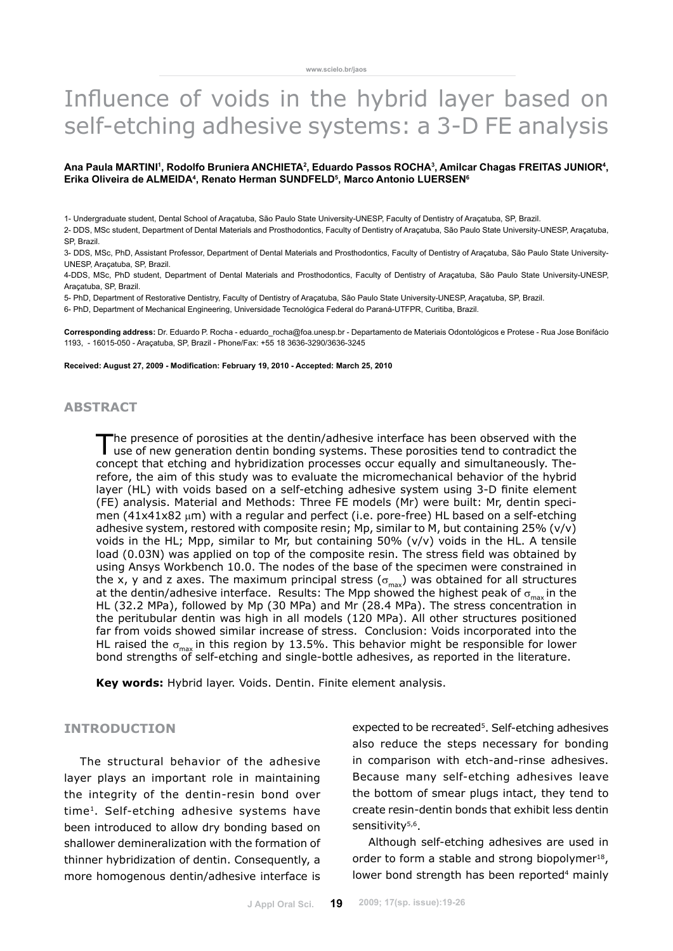# Influence of voids in the hybrid layer based on self-etching adhesive systems: a 3-D FE analysis

### Ana Paula MARTINI', Rodolfo Bruniera ANCHIETA<sup>2</sup>, Eduardo Passos ROCHA<sup>3</sup>, Amilcar Chagas FREITAS JUNIOR<del>'</del>, **Erika Oliveira de Almeida4 , Renato Herman SUNDFELD5 , Marco Antonio LUERSEN6**

1- Undergraduate student, Dental School of Araçatuba, São Paulo State University-UNESP, Faculty of Dentistry of Araçatuba, SP, Brazil.

2- DDS, MSc student, Department of Dental Materials and Prosthodontics, Faculty of Dentistry of Araçatuba, São Paulo State University-UNESP, Araçatuba, SP, Brazil.

3- DDS, MSc, PhD, Assistant Professor, Department of Dental Materials and Prosthodontics, Faculty of Dentistry of Araçatuba, São Paulo State University-UNESP, Araçatuba, SP, Brazil.

4-DDS, MSc, PhD student, Department of Dental Materials and Prosthodontics, Faculty of Dentistry of Araçatuba, São Paulo State University-UNESP, Araçatuba, SP, Brazil.

5- PhD, Department of Restorative Dentistry, Faculty of Dentistry of Araçatuba, São Paulo State University-UNESP, Araçatuba, SP, Brazil.

6- PhD, Department of Mechanical Engineering, Universidade Tecnológica Federal do Paraná-UTFPR, Curitiba, Brazil.

**Corresponding address:** Dr. Eduardo P. Rocha - eduardo\_rocha@foa.unesp.br - Departamento de Materiais Odontológicos e Protese - Rua Jose Bonifácio 1193, - 16015-050 - Araçatuba, SP, Brazil - Phone/Fax: +55 18 3636-3290/3636-3245

**Received: August 27, 2009 - Modification: February 19, 2010 - Accepted: March 25, 2010**

## **abstract**

The presence of porosities at the dentin/adhesive interface has been observed with the use of new generation dentin bonding systems. These porosities tend to contradict the concept that etching and hybridization processes occur equally and simultaneously. Therefore, the aim of this study was to evaluate the micromechanical behavior of the hybrid layer (HL) with voids based on a self-etching adhesive system using 3-D finite element (FE) analysis. Material and Methods: Three FE models (Mr) were built: Mr, dentin specimen (41x41x82 µm) with a regular and perfect (i.e. pore-free) HL based on a self-etching adhesive system, restored with composite resin; Mp, similar to M, but containing  $25\%$  (v/v) voids in the HL; Mpp, similar to Mr, but containing  $50\%$  (v/v) voids in the HL. A tensile load (0.03N) was applied on top of the composite resin. The stress field was obtained by using Ansys Workbench 10.0. The nodes of the base of the specimen were constrained in the x, y and z axes. The maximum principal stress ( $\sigma_{\text{max}}$ ) was obtained for all structures at the dentin/adhesive interface. Results: The Mpp showed the highest peak of  $\sigma_{\text{max}}$  in the HL (32.2 MPa), followed by Mp (30 MPa) and Mr (28.4 MPa). The stress concentration in the peritubular dentin was high in all models (120 MPa). All other structures positioned far from voids showed similar increase of stress. Conclusion: Voids incorporated into the HL raised the  $\sigma_{\text{max}}$  in this region by 13.5%. This behavior might be responsible for lower bond strengths of self-etching and single-bottle adhesives, as reported in the literature.

**Key words:** Hybrid layer. Voids. Dentin. Finite element analysis.

## **Introduction**

The structural behavior of the adhesive layer plays an important role in maintaining the integrity of the dentin-resin bond over time1. Self-etching adhesive systems have been introduced to allow dry bonding based on shallower demineralization with the formation of thinner hybridization of dentin. Consequently, a more homogenous dentin/adhesive interface is expected to be recreated<sup>5</sup>. Self-etching adhesives also reduce the steps necessary for bonding in comparison with etch-and-rinse adhesives. Because many self-etching adhesives leave the bottom of smear plugs intact, they tend to create resin-dentin bonds that exhibit less dentin sensitivity<sup>5,6</sup>.

Although self-etching adhesives are used in order to form a stable and strong biopolymer<sup>18</sup>, lower bond strength has been reported<sup>4</sup> mainly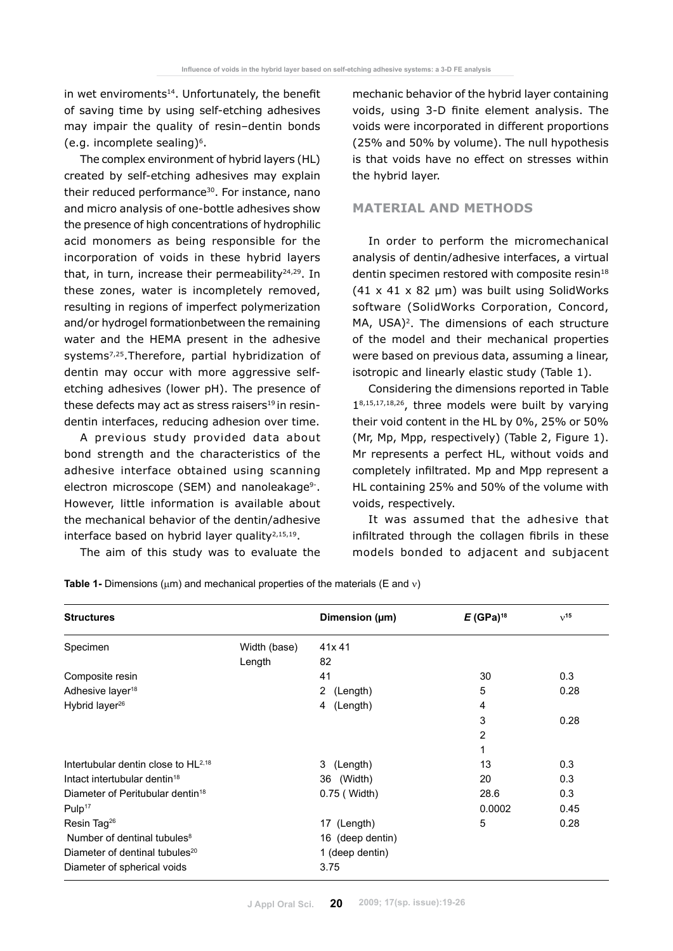in wet enviroments<sup>14</sup>. Unfortunately, the benefit of saving time by using self-etching adhesives may impair the quality of resin–dentin bonds (e.g. incomplete sealing) $6$ .

The complex environment of hybrid layers (HL) created by self-etching adhesives may explain their reduced performance<sup>30</sup>. For instance, nano and micro analysis of one-bottle adhesives show the presence of high concentrations of hydrophilic acid monomers as being responsible for the incorporation of voids in these hybrid layers that, in turn, increase their permeability $24,29$ . In these zones, water is incompletely removed, resulting in regions of imperfect polymerization and/or hydrogel formationbetween the remaining water and the HEMA present in the adhesive systems7,25.Therefore, partial hybridization of dentin may occur with more aggressive selfetching adhesives (lower pH). The presence of these defects may act as stress raisers<sup>19</sup> in resindentin interfaces, reducing adhesion over time.

A previous study provided data about bond strength and the characteristics of the adhesive interface obtained using scanning electron microscope (SEM) and nanoleakage<sup>9-</sup>. However, little information is available about the mechanical behavior of the dentin/adhesive interface based on hybrid layer quality $2,15,19$ .

The aim of this study was to evaluate the

mechanic behavior of the hybrid layer containing voids, using 3-D finite element analysis. The voids were incorporated in different proportions (25% and 50% by volume). The null hypothesis is that voids have no effect on stresses within the hybrid layer.

# **Material and Methods**

In order to perform the micromechanical analysis of dentin/adhesive interfaces, a virtual dentin specimen restored with composite resin<sup>18</sup>  $(41 \times 41 \times 82 \mu m)$  was built using SolidWorks software (SolidWorks Corporation, Concord, MA, USA)<sup>2</sup>. The dimensions of each structure of the model and their mechanical properties were based on previous data, assuming a linear, isotropic and linearly elastic study (Table 1).

Considering the dimensions reported in Table 18,15,17,18,26, three models were built by varying their void content in the HL by 0%, 25% or 50% (Mr, Mp, Mpp, respectively) (Table 2, Figure 1). Mr represents a perfect HL, without voids and completely infiltrated. Mp and Mpp represent a HL containing 25% and 50% of the volume with voids, respectively.

It was assumed that the adhesive that infiltrated through the collagen fibrils in these models bonded to adjacent and subjacent

|  |  |  |  |  | <b>Table 1-</b> Dimensions ( $\mu$ m) and mechanical properties of the materials (E and $\nu$ ) |  |
|--|--|--|--|--|-------------------------------------------------------------------------------------------------|--|
|--|--|--|--|--|-------------------------------------------------------------------------------------------------|--|

| <b>Structures</b>                            |              | Dimension (µm)                    | $E$ (GPa) <sup>18</sup> | $v^{15}$ |
|----------------------------------------------|--------------|-----------------------------------|-------------------------|----------|
| Specimen                                     | Width (base) | 41x 41                            |                         |          |
|                                              | Length       | 82                                |                         |          |
| Composite resin                              |              | 41                                | 30                      | 0.3      |
| Adhesive layer <sup>18</sup>                 |              | $\mathbf{2}^{\prime}$<br>(Length) | 5                       | 0.28     |
| Hybrid layer <sup>26</sup>                   |              | (Length)<br>4                     | 4                       |          |
|                                              |              |                                   | 3                       | 0.28     |
|                                              |              |                                   | 2                       |          |
|                                              |              |                                   |                         |          |
| Intertubular dentin close to $HL^{2,18}$     |              | 3 (Length)                        | 13                      | 0.3      |
| Intact intertubular dentin <sup>18</sup>     |              | 36 (Width)                        | 20                      | 0.3      |
| Diameter of Peritubular dentin <sup>18</sup> |              | 0.75 ( Width)                     | 28.6                    | 0.3      |
| Pulp <sup>17</sup>                           |              |                                   | 0.0002                  | 0.45     |
| Resin Tag <sup>26</sup>                      |              | 17 (Length)                       | 5                       | 0.28     |
| Number of dentinal tubules <sup>8</sup>      |              | 16 (deep dentin)                  |                         |          |
| Diameter of dentinal tubules <sup>20</sup>   |              | 1 (deep dentin)                   |                         |          |
| Diameter of spherical voids                  |              | 3.75                              |                         |          |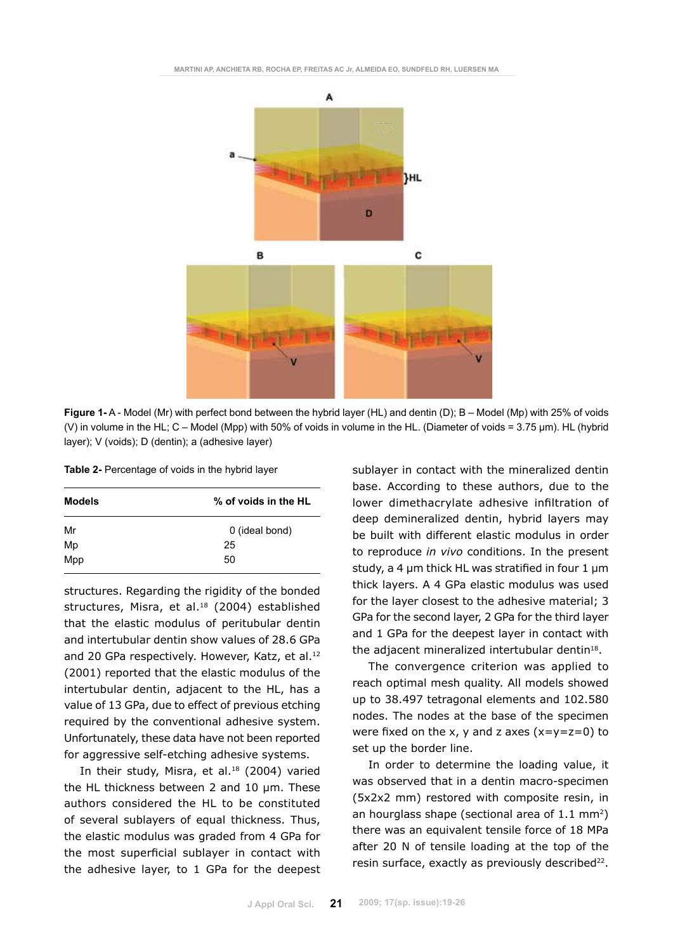

**Figure 1-** A - Model (Mr) with perfect bond between the hybrid layer (HL) and dentin (D); B – Model (Mp) with 25% of voids (V) in volume in the HL; C – Model (Mpp) with 50% of voids in volume in the HL. (Diameter of voids = 3.75 µm). HL (hybrid layer); V (voids); D (dentin); a (adhesive layer)

| Models | % of voids in the HL |  |  |  |
|--------|----------------------|--|--|--|
| Mr     | 0 (ideal bond)       |  |  |  |
| Mp     | 25                   |  |  |  |
| Mpp    | 50                   |  |  |  |

structures. Regarding the rigidity of the bonded structures, Misra, et al.<sup>18</sup> (2004) established that the elastic modulus of peritubular dentin and intertubular dentin show values of 28.6 GPa and 20 GPa respectively. However, Katz, et al.<sup>12</sup> (2001) reported that the elastic modulus of the intertubular dentin, adjacent to the HL, has a value of 13 GPa, due to effect of previous etching required by the conventional adhesive system. Unfortunately, these data have not been reported for aggressive self-etching adhesive systems.

In their study, Misra, et al.<sup>18</sup> (2004) varied the HL thickness between 2 and 10 um. These authors considered the HL to be constituted of several sublayers of equal thickness. Thus, the elastic modulus was graded from 4 GPa for the most superficial sublayer in contact with the adhesive layer, to 1 GPa for the deepest sublayer in contact with the mineralized dentin base. According to these authors, due to the lower dimethacrylate adhesive infiltration of deep demineralized dentin, hybrid layers may be built with different elastic modulus in order to reproduce *in vivo* conditions. In the present study, a 4 µm thick HL was stratified in four 1 µm thick layers. A 4 GPa elastic modulus was used for the layer closest to the adhesive material; 3 GPa for the second layer, 2 GPa for the third layer and 1 GPa for the deepest layer in contact with the adjacent mineralized intertubular dentin $18$ .

The convergence criterion was applied to reach optimal mesh quality. All models showed up to 38.497 tetragonal elements and 102.580 nodes. The nodes at the base of the specimen were fixed on the x, y and z axes  $(x=y=z=0)$  to set up the border line.

In order to determine the loading value, it was observed that in a dentin macro-specimen (5x2x2 mm) restored with composite resin, in an hourglass shape (sectional area of 1.1 mm2) there was an equivalent tensile force of 18 MPa after 20 N of tensile loading at the top of the resin surface, exactly as previously described<sup>22</sup>.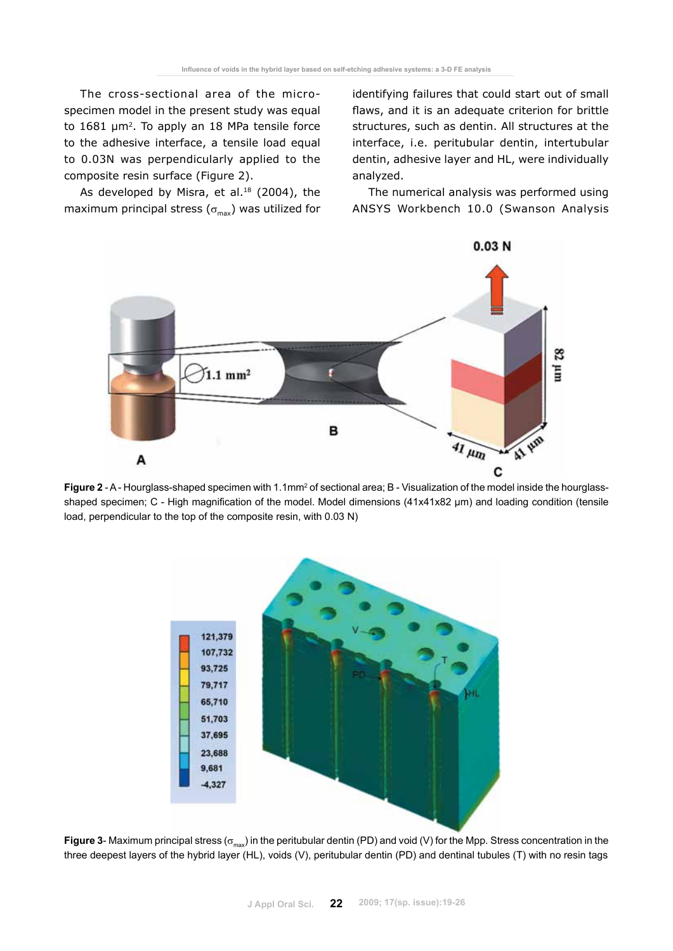The cross-sectional area of the microspecimen model in the present study was equal to 1681 µm<sup>2</sup>. To apply an 18 MPa tensile force to the adhesive interface, a tensile load equal to 0.03N was perpendicularly applied to the composite resin surface (Figure 2).

As developed by Misra, et al.<sup>18</sup> (2004), the maximum principal stress ( $\sigma_{\text{max}}$ ) was utilized for identifying failures that could start out of small flaws, and it is an adequate criterion for brittle structures, such as dentin. All structures at the interface, i.e. peritubular dentin, intertubular dentin, adhesive layer and HL, were individually analyzed.

The numerical analysis was performed using ANSYS Workbench 10.0 (Swanson Analysis



**Figure 2** - A - Hourglass-shaped specimen with 1.1mm<sup>2</sup> of sectional area; B - Visualization of the model inside the hourglassshaped specimen; C - High magnification of the model. Model dimensions (41x41x82 µm) and loading condition (tensile load, perpendicular to the top of the composite resin, with 0.03 N)



**Figure 3**- Maximum principal stress ( $\sigma_{max}$ ) in the peritubular dentin (PD) and void (V) for the Mpp. Stress concentration in the three deepest layers of the hybrid layer (HL), voids (V), peritubular dentin (PD) and dentinal tubules (T) with no resin tags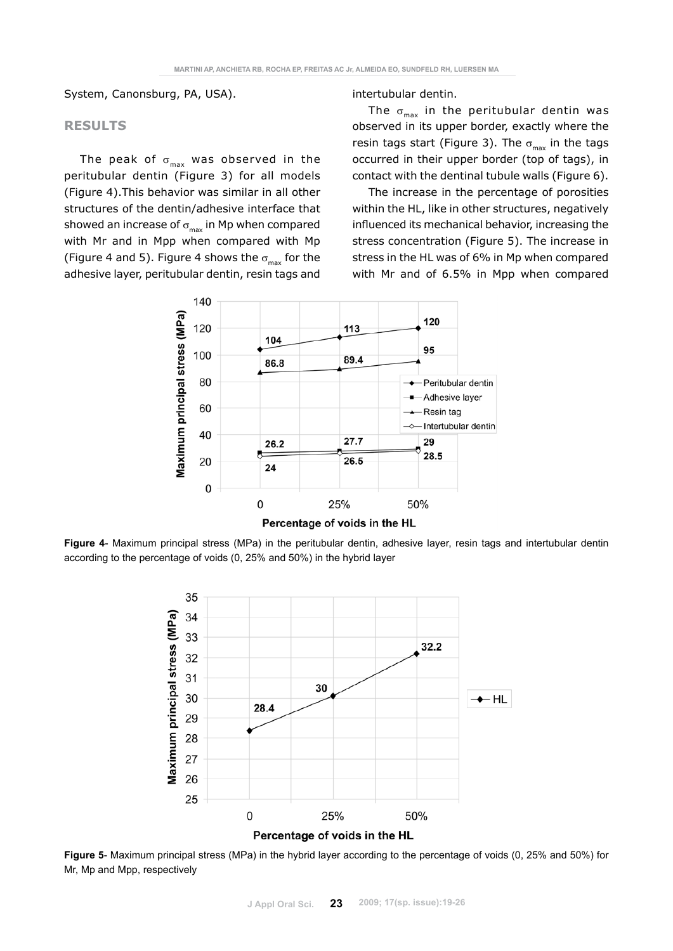System, Canonsburg, PA, USA).

### **Results**

The peak of  $\sigma_{\text{max}}$  was observed in the peritubular dentin (Figure 3) for all models (Figure 4).This behavior was similar in all other structures of the dentin/adhesive interface that showed an increase of  $\sigma_{\text{max}}$  in Mp when compared with Mr and in Mpp when compared with Mp (Figure 4 and 5). Figure 4 shows the  $\sigma_{\text{max}}$  for the adhesive layer, peritubular dentin, resin tags and

intertubular dentin.

The  $\sigma_{\text{max}}$  in the peritubular dentin was observed in its upper border, exactly where the resin tags start (Figure 3). The  $\sigma_{\text{max}}$  in the tags occurred in their upper border (top of tags), in contact with the dentinal tubule walls (Figure 6).

The increase in the percentage of porosities within the HL, like in other structures, negatively influenced its mechanical behavior, increasing the stress concentration (Figure 5). The increase in stress in the HL was of 6% in Mp when compared with Mr and of 6.5% in Mpp when compared



Percentage of voids in the HL

**Figure 4**- Maximum principal stress (MPa) in the peritubular dentin, adhesive layer, resin tags and intertubular dentin according to the percentage of voids (0, 25% and 50%) in the hybrid layer



**Figure 5**- Maximum principal stress (MPa) in the hybrid layer according to the percentage of voids (0, 25% and 50%) for Mr, Mp and Mpp, respectively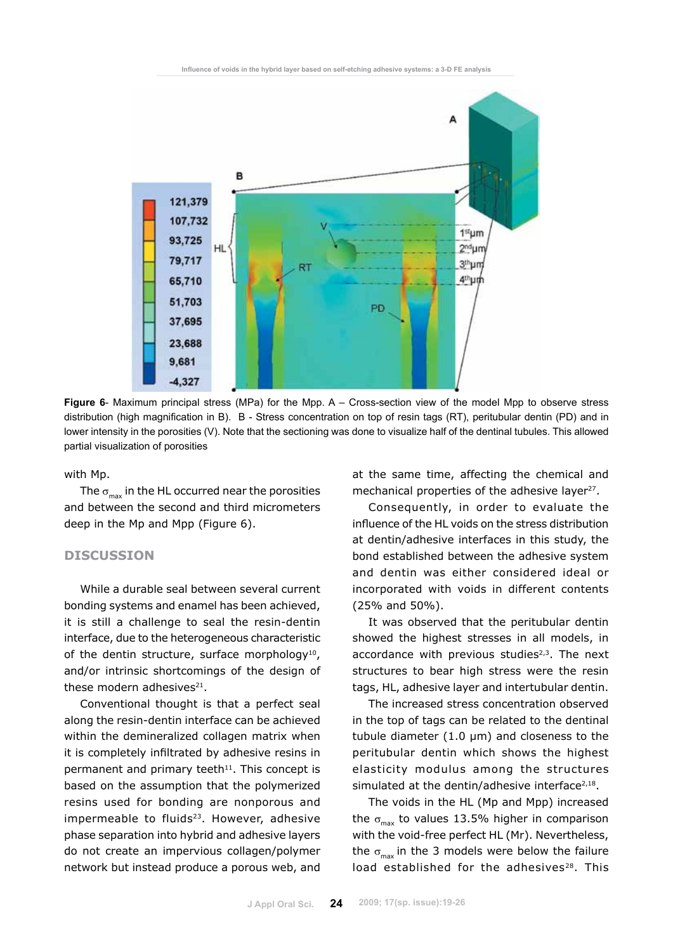

**Figure 6**- Maximum principal stress (MPa) for the Mpp. A – Cross-section view of the model Mpp to observe stress distribution (high magnification in B). B - Stress concentration on top of resin tags (RT), peritubular dentin (PD) and in lower intensity in the porosities (V). Note that the sectioning was done to visualize half of the dentinal tubules. This allowed partial visualization of porosities

with Mp.

The  $\sigma_{\text{max}}$  in the HL occurred near the porosities and between the second and third micrometers deep in the Mp and Mpp (Figure 6).

## **Discussion**

While a durable seal between several current bonding systems and enamel has been achieved, it is still a challenge to seal the resin-dentin interface, due to the heterogeneous characteristic of the dentin structure, surface morphology<sup>10</sup>, and/or intrinsic shortcomings of the design of these modern adhesives $21$ .

Conventional thought is that a perfect seal along the resin-dentin interface can be achieved within the demineralized collagen matrix when it is completely infiltrated by adhesive resins in permanent and primary teeth<sup>11</sup>. This concept is based on the assumption that the polymerized resins used for bonding are nonporous and impermeable to fluids<sup>23</sup>. However, adhesive phase separation into hybrid and adhesive layers do not create an impervious collagen/polymer network but instead produce a porous web, and at the same time, affecting the chemical and mechanical properties of the adhesive laver $27$ .

Consequently, in order to evaluate the influence of the HL voids on the stress distribution at dentin/adhesive interfaces in this study, the bond established between the adhesive system and dentin was either considered ideal or incorporated with voids in different contents (25% and 50%).

It was observed that the peritubular dentin showed the highest stresses in all models, in accordance with previous studies<sup>2,3</sup>. The next structures to bear high stress were the resin tags, HL, adhesive layer and intertubular dentin.

The increased stress concentration observed in the top of tags can be related to the dentinal tubule diameter  $(1.0 \mu m)$  and closeness to the peritubular dentin which shows the highest elasticity modulus among the structures simulated at the dentin/adhesive interface $2,18$ .

The voids in the HL (Mp and Mpp) increased the  $\sigma_{\text{max}}$  to values 13.5% higher in comparison with the void-free perfect HL (Mr). Nevertheless, the  $\sigma_{\text{max}}$  in the 3 models were below the failure load established for the adhesives<sup>28</sup>. This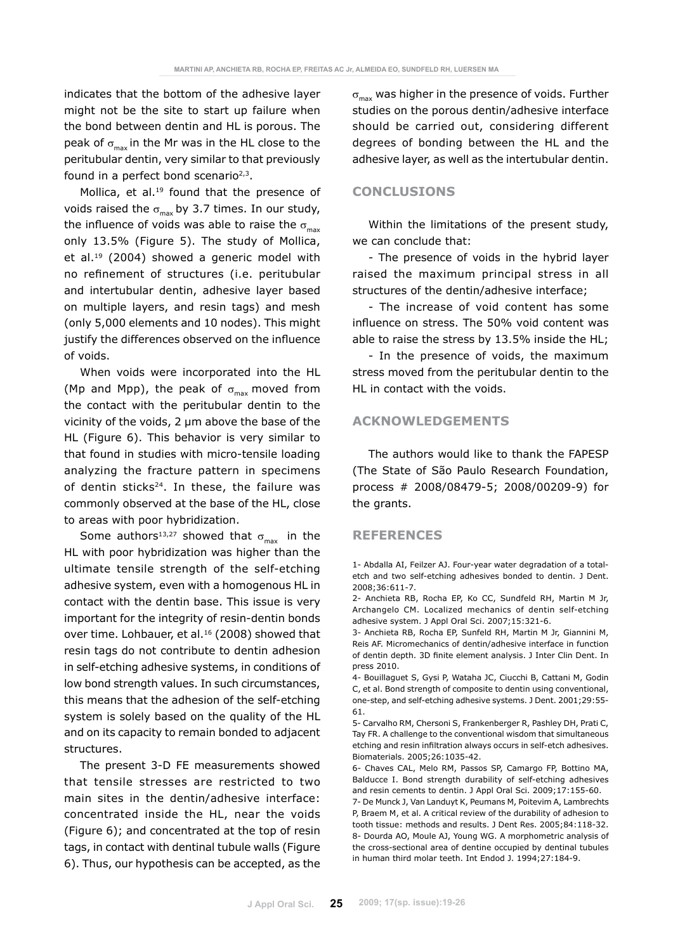indicates that the bottom of the adhesive layer might not be the site to start up failure when the bond between dentin and HL is porous. The peak of  $\sigma_{\text{max}}$  in the Mr was in the HL close to the peritubular dentin, very similar to that previously found in a perfect bond scenario $2,3$ .

Mollica, et al.<sup>19</sup> found that the presence of voids raised the  $\sigma_{\text{max}}$  by 3.7 times. In our study, the influence of voids was able to raise the  $\sigma_{\text{max}}$ only 13.5% (Figure 5). The study of Mollica, et al.<sup>19</sup> (2004) showed a generic model with no refinement of structures (i.e. peritubular and intertubular dentin, adhesive layer based on multiple layers, and resin tags) and mesh (only 5,000 elements and 10 nodes). This might justify the differences observed on the influence of voids.

When voids were incorporated into the HL (Mp and Mpp), the peak of  $\sigma_{\text{max}}$  moved from the contact with the peritubular dentin to the vicinity of the voids, 2 µm above the base of the HL (Figure 6). This behavior is very similar to that found in studies with micro-tensile loading analyzing the fracture pattern in specimens of dentin sticks<sup>24</sup>. In these, the failure was commonly observed at the base of the HL, close to areas with poor hybridization.

Some authors<sup>13,27</sup> showed that  $\sigma_{\text{max}}$  in the HL with poor hybridization was higher than the ultimate tensile strength of the self-etching adhesive system, even with a homogenous HL in contact with the dentin base. This issue is very important for the integrity of resin-dentin bonds over time. Lohbauer, et al.<sup>16</sup> (2008) showed that resin tags do not contribute to dentin adhesion in self-etching adhesive systems, in conditions of low bond strength values. In such circumstances, this means that the adhesion of the self-etching system is solely based on the quality of the HL and on its capacity to remain bonded to adjacent structures.

The present 3-D FE measurements showed that tensile stresses are restricted to two main sites in the dentin/adhesive interface: concentrated inside the HL, near the voids (Figure 6); and concentrated at the top of resin tags, in contact with dentinal tubule walls (Figure 6). Thus, our hypothesis can be accepted, as the  $\sigma_{\text{max}}$  was higher in the presence of voids. Further studies on the porous dentin/adhesive interface should be carried out, considering different degrees of bonding between the HL and the adhesive layer, as well as the intertubular dentin.

# **Conclusions**

Within the limitations of the present study, we can conclude that:

- The presence of voids in the hybrid layer raised the maximum principal stress in all structures of the dentin/adhesive interface;

- The increase of void content has some influence on stress. The 50% void content was able to raise the stress by 13.5% inside the HL;

- In the presence of voids, the maximum stress moved from the peritubular dentin to the HL in contact with the voids.

## **Acknowledgements**

The authors would like to thank the FAPESP (The State of São Paulo Research Foundation, process # 2008/08479-5; 2008/00209-9) for the grants.

### **References**

1- Abdalla AI, Feilzer AJ. Four-year water degradation of a totaletch and two self-etching adhesives bonded to dentin. J Dent. 2008;36:611-7.

3- Anchieta RB, Rocha EP, Sunfeld RH, Martin M Jr, Giannini M, Reis AF. Micromechanics of dentin/adhesive interface in function of dentin depth. 3D finite element analysis. J Inter Clin Dent. In press 2010.

4- Bouillaguet S, Gysi P, Wataha JC, Ciucchi B, Cattani M, Godin C, et al. Bond strength of composite to dentin using conventional, one-step, and self-etching adhesive systems. J Dent. 2001;29:55- 61.

5- Carvalho RM, Chersoni S, Frankenberger R, Pashley DH, Prati C, Tay FR. A challenge to the conventional wisdom that simultaneous etching and resin infiltration always occurs in self-etch adhesives. Biomaterials. 2005;26:1035-42.

6- Chaves CAL, Melo RM, Passos SP, Camargo FP, Bottino MA, Balducce I. Bond strength durability of self-etching adhesives and resin cements to dentin. J Appl Oral Sci. 2009;17:155-60.

7- De Munck J, Van Landuyt K, Peumans M, Poitevim A, Lambrechts P, Braem M, et al. A critical review of the durability of adhesion to tooth tissue: methods and results. J Dent Res. 2005;84:118-32. 8- Dourda AO, Moule AJ, Young WG. A morphometric analysis of the cross-sectional area of dentine occupied by dentinal tubules in human third molar teeth. Int Endod J. 1994;27:184-9.

<sup>2-</sup> Anchieta RB, Rocha EP, Ko CC, Sundfeld RH, Martin M Jr, Archangelo CM. Localized mechanics of dentin self-etching adhesive system. J Appl Oral Sci. 2007;15:321-6.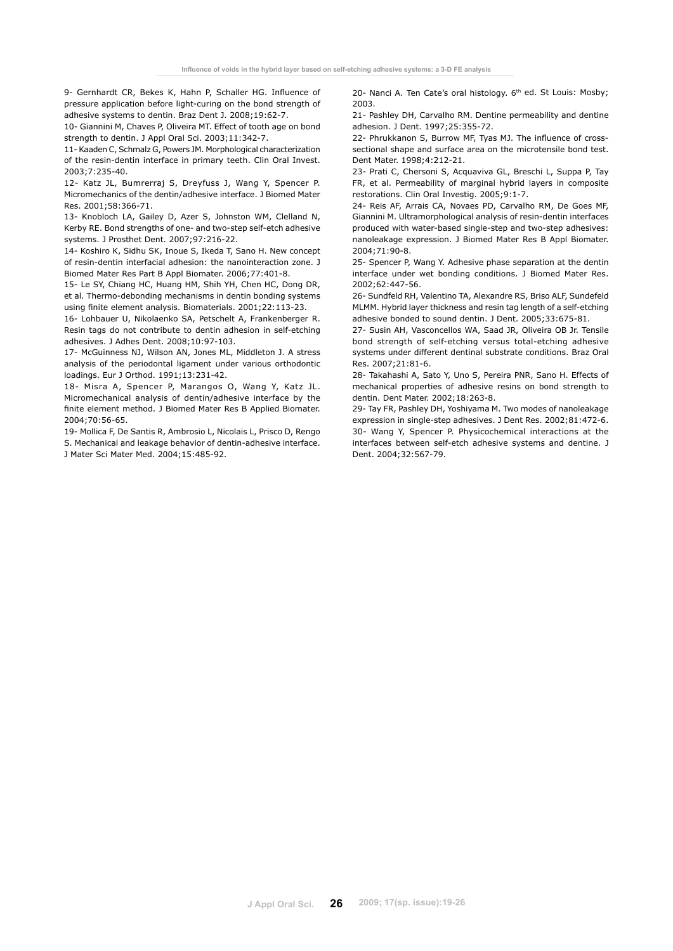9- Gernhardt CR, Bekes K, Hahn P, Schaller HG. Influence of pressure application before light-curing on the bond strength of adhesive systems to dentin. Braz Dent J. 2008;19:62-7.

10- Giannini M, Chaves P, Oliveira MT. Effect of tooth age on bond strength to dentin. J Appl Oral Sci. 2003;11:342-7.

11- Kaaden C, Schmalz G, Powers JM. Morphological characterization of the resin-dentin interface in primary teeth. Clin Oral Invest. 2003;7:235-40.

12- Katz JL, Bumrerraj S, Dreyfuss J, Wang Y, Spencer P. Micromechanics of the dentin/adhesive interface. J Biomed Mater Res. 2001;58:366-71.

13- Knobloch LA, Gailey D, Azer S, Johnston WM, Clelland N, Kerby RE. Bond strengths of one- and two-step self-etch adhesive systems. J Prosthet Dent. 2007;97:216-22.

14- Koshiro K, Sidhu SK, Inoue S, Ikeda T, Sano H. New concept of resin-dentin interfacial adhesion: the nanointeraction zone. J Biomed Mater Res Part B Appl Biomater. 2006;77:401-8.

15- Le SY, Chiang HC, Huang HM, Shih YH, Chen HC, Dong DR, et al. Thermo-debonding mechanisms in dentin bonding systems using finite element analysis. Biomaterials. 2001;22:113-23.

16- Lohbauer U, Nikolaenko SA, Petschelt A, Frankenberger R. Resin tags do not contribute to dentin adhesion in self-etching adhesives. J Adhes Dent. 2008;10:97-103.

17- McGuinness NJ, Wilson AN, Jones ML, Middleton J. A stress analysis of the periodontal ligament under various orthodontic loadings. Eur J Orthod. 1991;13:231-42.

18- Misra A, Spencer P, Marangos O, Wang Y, Katz JL. Micromechanical analysis of dentin/adhesive interface by the finite element method. J Biomed Mater Res B Applied Biomater. 2004;70:56-65.

19- Mollica F, De Santis R, Ambrosio L, Nicolais L, Prisco D, Rengo S. Mechanical and leakage behavior of dentin-adhesive interface. J Mater Sci Mater Med. 2004;15:485-92.

20- Nanci A. Ten Cate's oral histology. 6th ed. St Louis: Mosby; 2003.

21- Pashley DH, Carvalho RM. Dentine permeability and dentine adhesion. J Dent. 1997;25:355-72.

22- Phrukkanon S, Burrow MF, Tyas MJ. The influence of crosssectional shape and surface area on the microtensile bond test. Dent Mater. 1998;4:212-21.

23- Prati C, Chersoni S, Acquaviva GL, Breschi L, Suppa P, Tay FR, et al. Permeability of marginal hybrid layers in composite restorations. Clin Oral Investig. 2005;9:1-7.

24- Reis AF, Arrais CA, Novaes PD, Carvalho RM, De Goes MF, Giannini M. Ultramorphological analysis of resin-dentin interfaces produced with water-based single-step and two-step adhesives: nanoleakage expression. J Biomed Mater Res B Appl Biomater. 2004;71:90-8.

25- Spencer P, Wang Y. Adhesive phase separation at the dentin interface under wet bonding conditions. J Biomed Mater Res. 2002;62:447-56.

26- Sundfeld RH, Valentino TA, Alexandre RS, Briso ALF, Sundefeld MLMM. Hybrid layer thickness and resin tag length of a self-etching adhesive bonded to sound dentin. J Dent. 2005;33:675-81.

27- Susin AH, Vasconcellos WA, Saad JR, Oliveira OB Jr. Tensile bond strength of self-etching versus total-etching adhesive systems under different dentinal substrate conditions. Braz Oral Res. 2007;21:81-6.

28- Takahashi A, Sato Y, Uno S, Pereira PNR, Sano H. Effects of mechanical properties of adhesive resins on bond strength to dentin. Dent Mater. 2002;18:263-8.

29- Tay FR, Pashley DH, Yoshiyama M. Two modes of nanoleakage expression in single-step adhesives. J Dent Res. 2002;81:472-6. 30- Wang Y, Spencer P. Physicochemical interactions at the interfaces between self-etch adhesive systems and dentine. J Dent. 2004;32:567-79.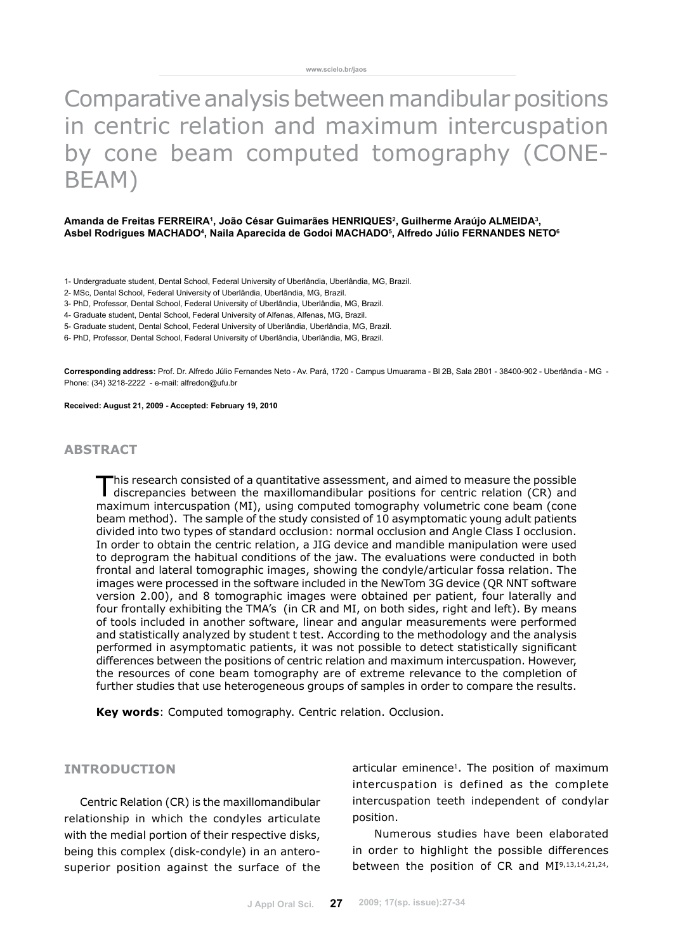# Comparative analysis between mandibular positions in centric relation and maximum intercuspation by cone beam computed tomography (CONE-BEAM)

### Amanda de Freitas FERREIRA<sup>1</sup>, João César Guimarães HENRIQUES<sup>2</sup>, Guilherme Araújo ALMEIDA<sup>3</sup>, **Asbel Rodrigues MACHADO4 , Naila Aparecida de Godoi MACHADO5 , Alfredo Júlio FERNANDES NETO6**

- 1- Undergraduate student, Dental School, Federal University of Uberlândia, Uberlândia, MG, Brazil.
- 2- MSc, Dental School, Federal University of Uberlândia, Uberlândia, MG, Brazil.
- 3- PhD, Professor, Dental School, Federal University of Uberlândia, Uberlândia, MG, Brazil.
- 4- Graduate student, Dental School, Federal University of Alfenas, Alfenas, MG, Brazil.
- 5- Graduate student, Dental School, Federal University of Uberlândia, Uberlândia, MG, Brazil.
- 6- PhD, Professor, Dental School, Federal University of Uberlândia, Uberlândia, MG, Brazil.

**Corresponding address:** Prof. Dr. Alfredo Júlio Fernandes Neto - Av. Pará, 1720 - Campus Umuarama - Bl 2B, Sala 2B01 - 38400-902 - Uberlândia - MG - Phone: (34) 3218-2222 - e-mail: alfredon@ufu.br

**Received: August 21, 2009 - Accepted: February 19, 2010**

## **abstract**

This research consisted of a quantitative assessment, and aimed to measure the possible discrepancies between the maxillomandibular positions for centric relation (CR) and maximum intercuspation (MI), using computed tomography volumetric cone beam (cone beam method). The sample of the study consisted of 10 asymptomatic young adult patients divided into two types of standard occlusion: normal occlusion and Angle Class I occlusion. In order to obtain the centric relation, a JIG device and mandible manipulation were used to deprogram the habitual conditions of the jaw. The evaluations were conducted in both frontal and lateral tomographic images, showing the condyle/articular fossa relation. The images were processed in the software included in the NewTom 3G device (QR NNT software version 2.00), and 8 tomographic images were obtained per patient, four laterally and four frontally exhibiting the TMA's (in CR and MI, on both sides, right and left). By means of tools included in another software, linear and angular measurements were performed and statistically analyzed by student t test. According to the methodology and the analysis performed in asymptomatic patients, it was not possible to detect statistically significant differences between the positions of centric relation and maximum intercuspation. However, the resources of cone beam tomography are of extreme relevance to the completion of further studies that use heterogeneous groups of samples in order to compare the results.

**Key words**: Computed tomography. Centric relation. Occlusion.

### **INTRODUCTION**

Centric Relation (CR) is the maxillomandibular relationship in which the condyles articulate with the medial portion of their respective disks, being this complex (disk-condyle) in an anterosuperior position against the surface of the articular eminence<sup>1</sup>. The position of maximum intercuspation is defined as the complete intercuspation teeth independent of condylar position.

 Numerous studies have been elaborated in order to highlight the possible differences between the position of CR and MI9,13,14,21,24,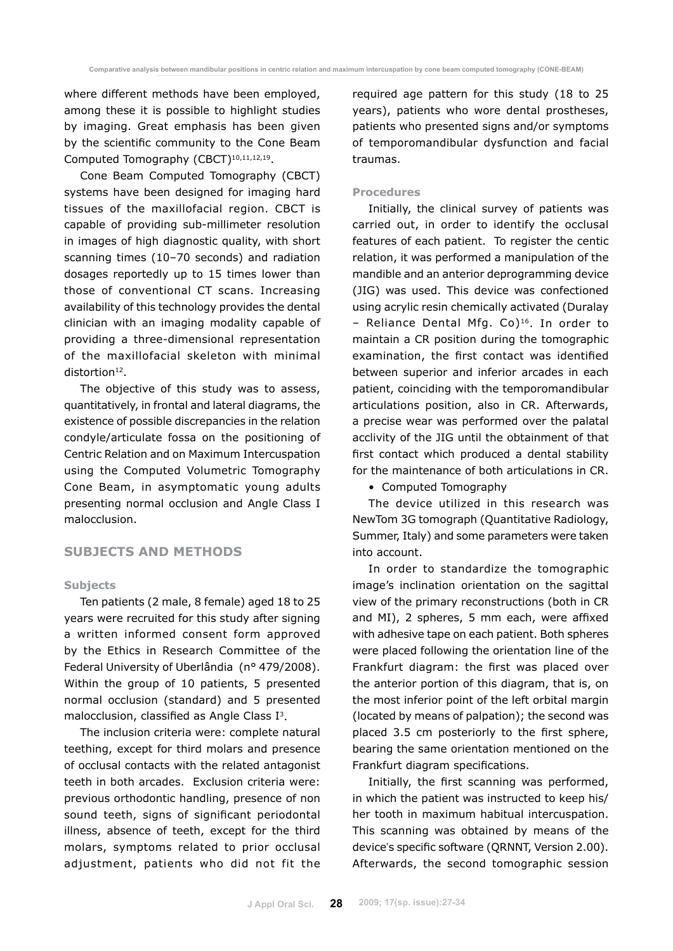where different methods have been employed, among these it is possible to highlight studies by imaging. Great emphasis has been given by the scientific community to the Cone Beam Computed Tomography (CBCT)<sup>10,11,12,19</sup>.

Cone Beam Computed Tomography (CBCT) systems have been designed for imaging hard tissues of the maxillofacial region. CBCT is capable of providing sub-millimeter resolution in images of high diagnostic quality, with short scanning times (10–70 seconds) and radiation dosages reportedly up to 15 times lower than those of conventional CT scans. Increasing availability of this technology provides the dental clinician with an imaging modality capable of providing a three-dimensional representation of the maxillofacial skeleton with minimal distortion<sup>12</sup>.

The objective of this study was to assess, quantitatively, in frontal and lateral diagrams, the existence of possible discrepancies in the relation condyle/articulate fossa on the positioning of Centric Relation and on Maximum Intercuspation using the Computed Volumetric Tomography Cone Beam, in asymptomatic young adults presenting normal occlusion and Angle Class I malocclusion.

# **SUBJECTS AND METHODS**

### **Subjects**

Ten patients (2 male, 8 female) aged 18 to 25 years were recruited for this study after signing a written informed consent form approved by the Ethics in Research Committee of the Federal University of Uberlândia (n° 479/2008). Within the group of 10 patients, 5 presented normal occlusion (standard) and 5 presented malocclusion, classified as Angle Class I3.

The inclusion criteria were: complete natural teething, except for third molars and presence of occlusal contacts with the related antagonist teeth in both arcades. Exclusion criteria were: previous orthodontic handling, presence of non sound teeth, signs of significant periodontal illness, absence of teeth, except for the third molars, symptoms related to prior occlusal adjustment, patients who did not fit the required age pattern for this study (18 to 25 years), patients who wore dental prostheses, patients who presented signs and/or symptoms of temporomandibular dysfunction and facial traumas.

### **Procedures**

Initially, the clinical survey of patients was carried out, in order to identify the occlusal features of each patient. To register the centic relation, it was performed a manipulation of the mandible and an anterior deprogramming device (JIG) was used. This device was confectioned using acrylic resin chemically activated (Duralay – Reliance Dental Mfg. Co)16. In order to maintain a CR position during the tomographic examination, the first contact was identified between superior and inferior arcades in each patient, coinciding with the temporomandibular articulations position, also in CR. Afterwards, a precise wear was performed over the palatal acclivity of the JIG until the obtainment of that first contact which produced a dental stability for the maintenance of both articulations in CR.

• Computed Tomography

The device utilized in this research was NewTom 3G tomograph (Quantitative Radiology, Summer, Italy) and some parameters were taken into account.

In order to standardize the tomographic image's inclination orientation on the sagittal view of the primary reconstructions (both in CR and MI), 2 spheres, 5 mm each, were affixed with adhesive tape on each patient. Both spheres were placed following the orientation line of the Frankfurt diagram: the first was placed over the anterior portion of this diagram, that is, on the most inferior point of the left orbital margin (located by means of palpation); the second was placed 3.5 cm posteriorly to the first sphere, bearing the same orientation mentioned on the Frankfurt diagram specifications.

Initially, the first scanning was performed, in which the patient was instructed to keep his/ her tooth in maximum habitual intercuspation. This scanning was obtained by means of the device's specific software (QRNNT, Version 2.00). Afterwards, the second tomographic session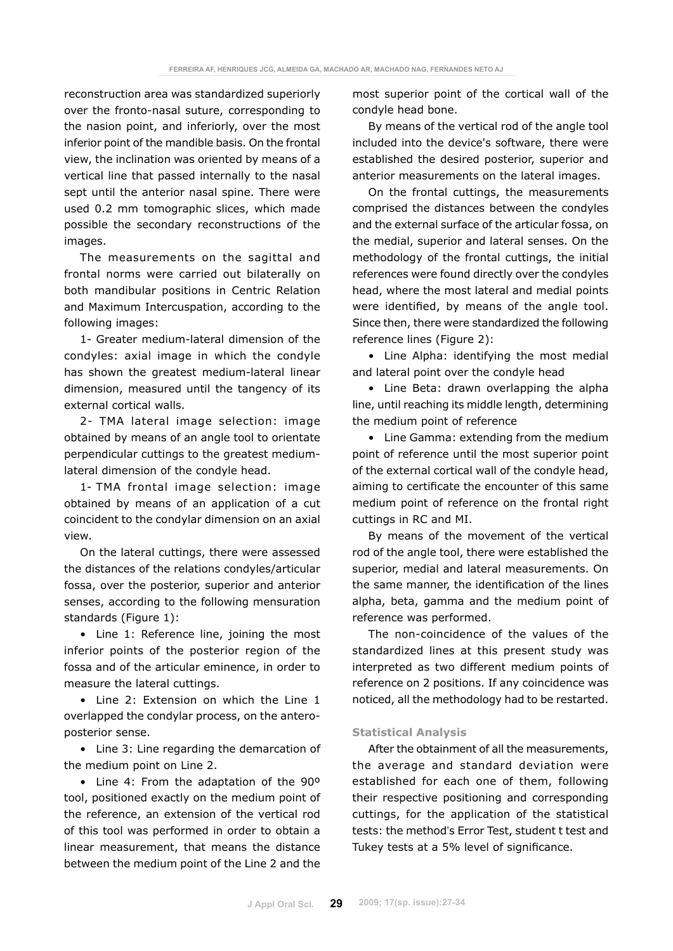reconstruction area was standardized superiorly over the fronto-nasal suture, corresponding to the nasion point, and inferiorly, over the most inferior point of the mandible basis. On the frontal view, the inclination was oriented by means of a vertical line that passed internally to the nasal sept until the anterior nasal spine. There were used 0.2 mm tomographic slices, which made possible the secondary reconstructions of the images.

The measurements on the sagittal and frontal norms were carried out bilaterally on both mandibular positions in Centric Relation and Maximum Intercuspation, according to the following images:

1- Greater medium-lateral dimension of the condyles: axial image in which the condyle has shown the greatest medium-lateral linear dimension, measured until the tangency of its external cortical walls.

2- TMA lateral image selection: image obtained by means of an angle tool to orientate perpendicular cuttings to the greatest mediumlateral dimension of the condyle head.

1- TMA frontal image selection: image obtained by means of an application of a cut coincident to the condylar dimension on an axial view.

On the lateral cuttings, there were assessed the distances of the relations condyles/articular fossa, over the posterior, superior and anterior senses, according to the following mensuration standards (Figure 1):

• Line 1: Reference line, joining the most inferior points of the posterior region of the fossa and of the articular eminence, in order to measure the lateral cuttings.

• Line 2: Extension on which the Line 1 overlapped the condylar process, on the anteroposterior sense.

• Line 3: Line regarding the demarcation of the medium point on Line 2.

• Line 4: From the adaptation of the 90º tool, positioned exactly on the medium point of the reference, an extension of the vertical rod of this tool was performed in order to obtain a linear measurement, that means the distance between the medium point of the Line 2 and the most superior point of the cortical wall of the condyle head bone.

By means of the vertical rod of the angle tool included into the device's software, there were established the desired posterior, superior and anterior measurements on the lateral images.

On the frontal cuttings, the measurements comprised the distances between the condyles and the external surface of the articular fossa, on the medial, superior and lateral senses. On the methodology of the frontal cuttings, the initial references were found directly over the condyles head, where the most lateral and medial points were identified, by means of the angle tool. Since then, there were standardized the following reference lines (Figure 2):

• Line Alpha: identifying the most medial and lateral point over the condyle head

• Line Beta: drawn overlapping the alpha line, until reaching its middle length, determining the medium point of reference

• Line Gamma: extending from the medium point of reference until the most superior point of the external cortical wall of the condyle head, aiming to certificate the encounter of this same medium point of reference on the frontal right cuttings in RC and MI.

By means of the movement of the vertical rod of the angle tool, there were established the superior, medial and lateral measurements. On the same manner, the identification of the lines alpha, beta, gamma and the medium point of reference was performed.

The non-coincidence of the values of the standardized lines at this present study was interpreted as two different medium points of reference on 2 positions. If any coincidence was noticed, all the methodology had to be restarted.

### **Statistical Analysis**

After the obtainment of all the measurements, the average and standard deviation were established for each one of them, following their respective positioning and corresponding cuttings, for the application of the statistical tests: the method's Error Test, student t test and Tukey tests at a 5% level of significance.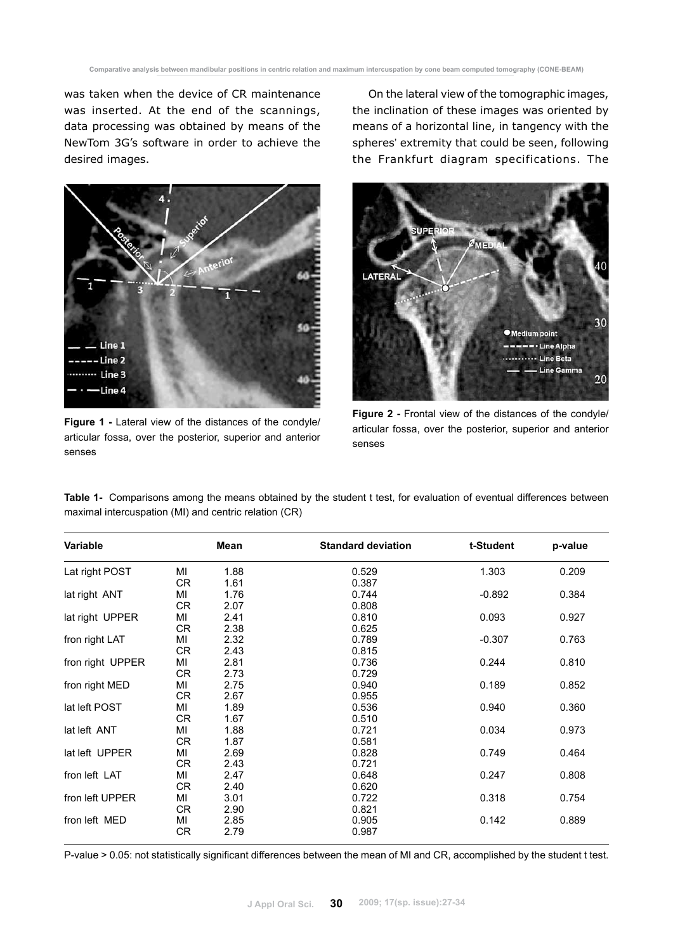was taken when the device of CR maintenance was inserted. At the end of the scannings, data processing was obtained by means of the NewTom 3G's software in order to achieve the desired images.



**Figure 1 -** Lateral view of the distances of the condyle/ articular fossa, over the posterior, superior and anterior senses

On the lateral view of the tomographic images, the inclination of these images was oriented by means of a horizontal line, in tangency with the spheres' extremity that could be seen, following the Frankfurt diagram specifications. The



**Figure 2 -** Frontal view of the distances of the condyle/ articular fossa, over the posterior, superior and anterior senses

**Table 1-** Comparisons among the means obtained by the student t test, for evaluation of eventual differences between maximal intercuspation (MI) and centric relation (CR)

| Variable         |                 | Mean         | <b>Standard deviation</b> | t-Student | p-value |
|------------------|-----------------|--------------|---------------------------|-----------|---------|
| Lat right POST   | ΜI<br>CR.       | 1.88<br>1.61 | 0.529<br>0.387            | 1.303     | 0.209   |
| lat right ANT    | ΜI<br>CR.       | 1.76<br>2.07 | 0.744<br>0.808            | $-0.892$  | 0.384   |
| lat right UPPER  | MI<br>CR        | 2.41<br>2.38 | 0.810<br>0.625            | 0.093     | 0.927   |
| fron right LAT   | MI<br><b>CR</b> | 2.32<br>2.43 | 0.789<br>0.815            | $-0.307$  | 0.763   |
| fron right UPPER | MI<br>CR        | 2.81<br>2.73 | 0.736<br>0.729            | 0.244     | 0.810   |
| fron right MED   | MI<br>CR.       | 2.75<br>2.67 | 0.940<br>0.955            | 0.189     | 0.852   |
| lat left POST    | MI<br>CR.       | 1.89<br>1.67 | 0.536<br>0.510            | 0.940     | 0.360   |
| lat left ANT     | MI<br>CR        | 1.88<br>1.87 | 0.721<br>0.581            | 0.034     | 0.973   |
| lat left UPPER   | MI<br>CR.       | 2.69<br>2.43 | 0.828<br>0.721            | 0.749     | 0.464   |
| fron left LAT    | MI<br>CR.       | 2.47<br>2.40 | 0.648<br>0.620            | 0.247     | 0.808   |
| fron left UPPER  | MI<br>CR.       | 3.01<br>2.90 | 0.722<br>0.821            | 0.318     | 0.754   |
| fron left MED    | ΜI<br>CR        | 2.85<br>2.79 | 0.905<br>0.987            | 0.142     | 0.889   |

P-value > 0.05: not statistically significant differences between the mean of MI and CR, accomplished by the student t test.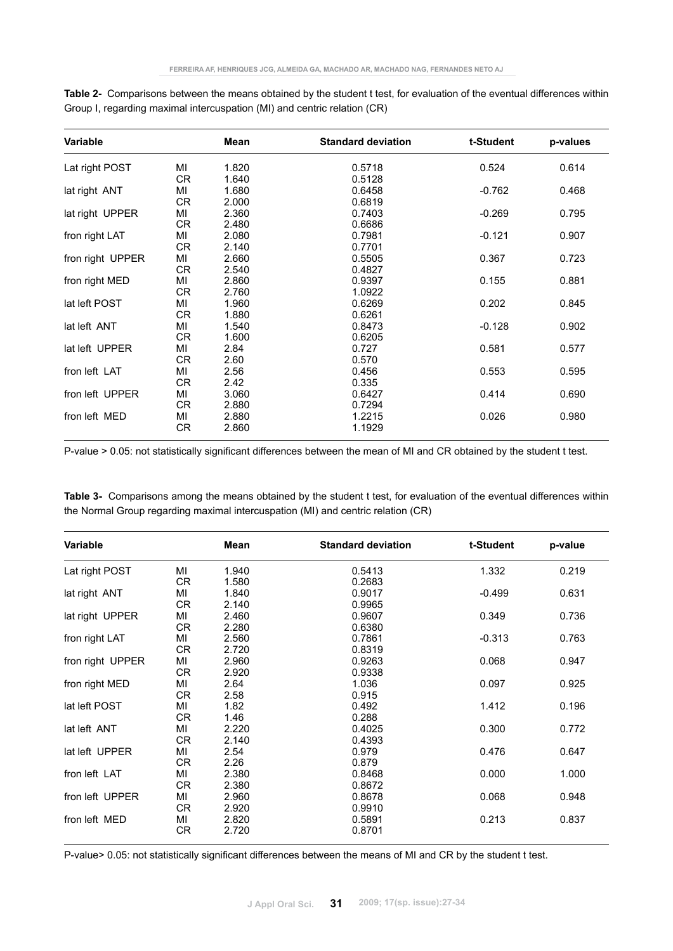| Variable         |           | Mean  | <b>Standard deviation</b> | t-Student | p-values |
|------------------|-----------|-------|---------------------------|-----------|----------|
| Lat right POST   | MI        | 1.820 | 0.5718                    | 0.524     | 0.614    |
|                  | CR.       | 1.640 | 0.5128                    |           |          |
| lat right ANT    | MI        | 1.680 | 0.6458                    | $-0.762$  | 0.468    |
|                  | CR.       | 2.000 | 0.6819                    |           |          |
| lat right UPPER  | ΜI        | 2.360 | 0.7403                    | $-0.269$  | 0.795    |
|                  | CR.       | 2.480 | 0.6686                    |           |          |
| fron right LAT   | MI        | 2.080 | 0.7981                    | $-0.121$  | 0.907    |
|                  | CR.       | 2.140 | 0.7701                    |           |          |
| fron right UPPER | MI        | 2.660 | 0.5505                    | 0.367     | 0.723    |
|                  | <b>CR</b> | 2.540 | 0.4827                    |           |          |
| fron right MED   | MI        | 2.860 | 0.9397                    | 0.155     | 0.881    |
|                  | CR        | 2.760 | 1.0922                    |           |          |
| lat left POST    | MI        | 1.960 | 0.6269                    | 0.202     | 0.845    |
|                  | CR        | 1.880 | 0.6261                    |           |          |
| lat left ANT     | MI        | 1.540 | 0.8473                    | $-0.128$  | 0.902    |
|                  | CR        | 1.600 | 0.6205                    |           |          |
| lat left UPPER   | MI        | 2.84  | 0.727                     | 0.581     | 0.577    |
|                  | CR        | 2.60  | 0.570                     |           |          |
| fron left LAT    | MI        | 2.56  | 0.456                     | 0.553     | 0.595    |
|                  | CR        | 2.42  | 0.335                     |           |          |
| fron left UPPER  | MI        | 3.060 | 0.6427                    | 0.414     | 0.690    |
|                  | CR        | 2.880 | 0.7294                    |           |          |
| fron left MED    | ΜI        | 2.880 | 1.2215                    | 0.026     | 0.980    |
|                  | CR        | 2.860 | 1.1929                    |           |          |

**Table 2-** Comparisons between the means obtained by the student t test, for evaluation of the eventual differences within Group I, regarding maximal intercuspation (MI) and centric relation (CR)

P-value > 0.05: not statistically significant differences between the mean of MI and CR obtained by the student t test.

|  | Table 3- Comparisons among the means obtained by the student t test, for evaluation of the eventual differences within |  |  |  |
|--|------------------------------------------------------------------------------------------------------------------------|--|--|--|
|  | the Normal Group regarding maximal intercuspation (MI) and centric relation (CR)                                       |  |  |  |

| Variable         |           | Mean  | <b>Standard deviation</b> | t-Student | p-value |
|------------------|-----------|-------|---------------------------|-----------|---------|
| Lat right POST   | ΜI        | 1.940 | 0.5413                    | 1.332     | 0.219   |
|                  | CR        | 1.580 | 0.2683                    |           |         |
| lat right ANT    | ΜI        | 1.840 | 0.9017                    | $-0.499$  | 0.631   |
|                  | CR        | 2.140 | 0.9965                    |           |         |
| lat right UPPER  | MI        | 2.460 | 0.9607                    | 0.349     | 0.736   |
|                  | CR        | 2.280 | 0.6380                    |           |         |
| fron right LAT   | ΜI        | 2.560 | 0.7861                    | $-0.313$  | 0.763   |
|                  | <b>CR</b> | 2.720 | 0.8319                    |           |         |
| fron right UPPER | ΜI        | 2.960 | 0.9263                    | 0.068     | 0.947   |
|                  | CR        | 2.920 | 0.9338                    |           |         |
| fron right MED   | MI        | 2.64  | 1.036                     | 0.097     | 0.925   |
|                  | CR        | 2.58  | 0.915                     |           |         |
| lat left POST    | MI        | 1.82  | 0.492                     | 1.412     | 0.196   |
|                  | CR        | 1.46  | 0.288                     |           |         |
| lat left ANT     | MI        | 2.220 | 0.4025                    | 0.300     | 0.772   |
|                  | CR        | 2.140 | 0.4393                    |           |         |
| lat left UPPER   | MI        | 2.54  | 0.979                     | 0.476     | 0.647   |
|                  | <b>CR</b> | 2.26  | 0.879                     |           |         |
| fron left LAT    | MI        | 2.380 | 0.8468                    | 0.000     | 1.000   |
|                  | CR        | 2.380 | 0.8672                    |           |         |
| fron left UPPER  | MI        | 2.960 | 0.8678                    | 0.068     | 0.948   |
|                  | CR        | 2.920 | 0.9910                    |           |         |
| fron left MED    | ΜI        | 2.820 | 0.5891                    | 0.213     | 0.837   |
|                  | CR        | 2.720 | 0.8701                    |           |         |

P-value> 0.05: not statistically significant differences between the means of MI and CR by the student t test.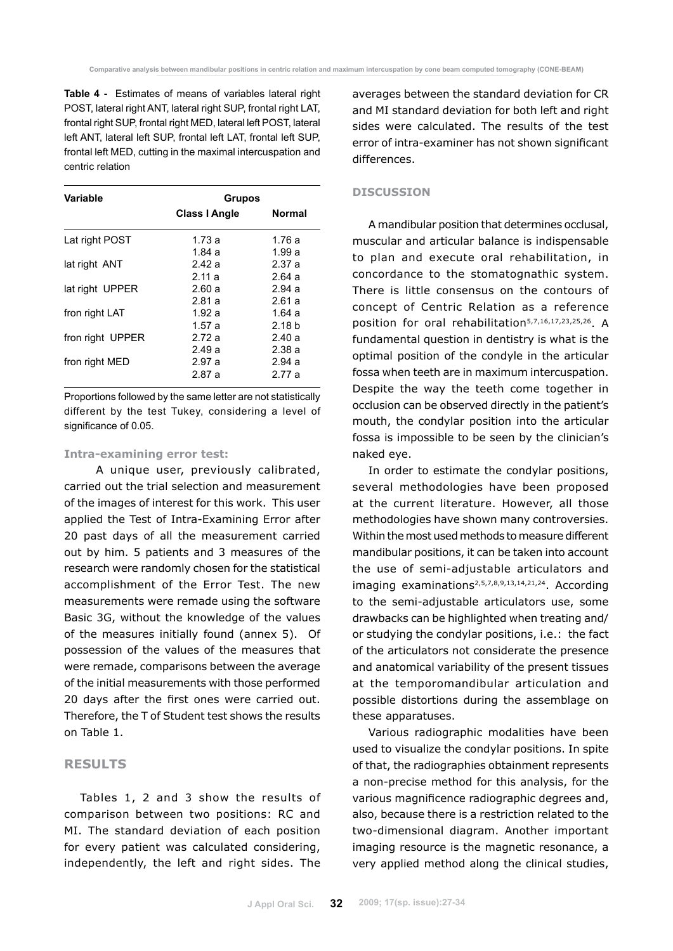**Table 4 -** Estimates of means of variables lateral right POST, lateral right ANT, lateral right SUP, frontal right LAT, frontal right SUP, frontal right MED, lateral left POST, lateral left ANT, lateral left SUP, frontal left LAT, frontal left SUP, frontal left MED, cutting in the maximal intercuspation and centric relation

| Variable         | <b>Grupos</b>        |                   |
|------------------|----------------------|-------------------|
|                  | <b>Class I Angle</b> | <b>Normal</b>     |
| Lat right POST   | 1.73a                | 1.76a             |
|                  | 1.84a                | 1.99a             |
| lat right ANT    | 2.42a                | 2.37a             |
|                  | 2.11a                | 2.64a             |
| lat right UPPER  | 2.60a                | 2.94a             |
|                  | 2.81 a               | 2.61a             |
| fron right LAT   | 1.92 $a$             | 1.64a             |
|                  | 1.57a                | 2.18 <sub>b</sub> |
| fron right UPPER | 2.72 a               | 2.40a             |
|                  | 2.49a                | 2.38a             |
| fron right MED   | 2.97a                | 2.94a             |
|                  | 2.87a                | 2.77 a            |

Proportions followed by the same letter are not statistically different by the test Tukey, considering a level of significance of 0.05.

### **Intra-examining error test:**

A unique user, previously calibrated, carried out the trial selection and measurement of the images of interest for this work. This user applied the Test of Intra-Examining Error after 20 past days of all the measurement carried out by him. 5 patients and 3 measures of the research were randomly chosen for the statistical accomplishment of the Error Test. The new measurements were remade using the software Basic 3G, without the knowledge of the values of the measures initially found (annex 5). Of possession of the values of the measures that were remade, comparisons between the average of the initial measurements with those performed 20 days after the first ones were carried out. Therefore, the T of Student test shows the results on Table 1.

## **RESULTS**

Tables 1, 2 and 3 show the results of comparison between two positions: RC and MI. The standard deviation of each position for every patient was calculated considering, independently, the left and right sides. The averages between the standard deviation for CR and MI standard deviation for both left and right sides were calculated. The results of the test error of intra-examiner has not shown significant differences.

### **DISCUSSION**

A mandibular position that determines occlusal, muscular and articular balance is indispensable to plan and execute oral rehabilitation, in concordance to the stomatognathic system. There is little consensus on the contours of concept of Centric Relation as a reference position for oral rehabilitation5,7,16,17,23,25,26. A fundamental question in dentistry is what is the optimal position of the condyle in the articular fossa when teeth are in maximum intercuspation. Despite the way the teeth come together in occlusion can be observed directly in the patient's mouth, the condylar position into the articular fossa is impossible to be seen by the clinician's naked eye.

In order to estimate the condylar positions, several methodologies have been proposed at the current literature. However, all those methodologies have shown many controversies. Within the most used methods to measure different mandibular positions, it can be taken into account the use of semi-adjustable articulators and imaging examinations2,5,7,8,9,13,14,21,24. According to the semi-adjustable articulators use, some drawbacks can be highlighted when treating and/ or studying the condylar positions, i.e.: the fact of the articulators not considerate the presence and anatomical variability of the present tissues at the temporomandibular articulation and possible distortions during the assemblage on these apparatuses.

Various radiographic modalities have been used to visualize the condylar positions. In spite of that, the radiographies obtainment represents a non-precise method for this analysis, for the various magnificence radiographic degrees and, also, because there is a restriction related to the two-dimensional diagram. Another important imaging resource is the magnetic resonance, a very applied method along the clinical studies,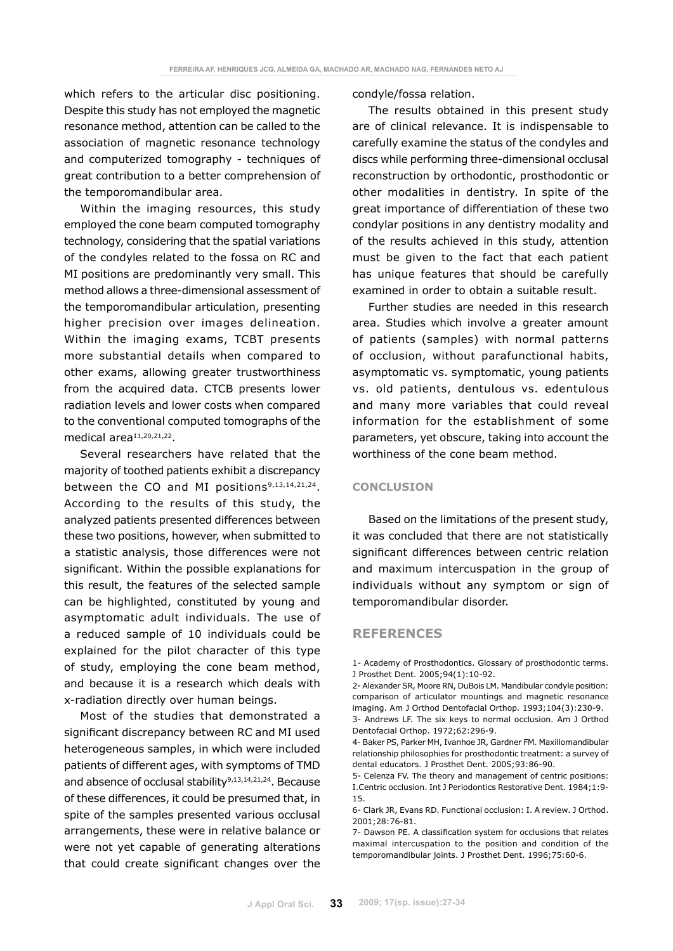which refers to the articular disc positioning. Despite this study has not employed the magnetic resonance method, attention can be called to the association of magnetic resonance technology and computerized tomography - techniques of great contribution to a better comprehension of the temporomandibular area.

Within the imaging resources, this study employed the cone beam computed tomography technology, considering that the spatial variations of the condyles related to the fossa on RC and MI positions are predominantly very small. This method allows a three-dimensional assessment of the temporomandibular articulation, presenting higher precision over images delineation. Within the imaging exams, TCBT presents more substantial details when compared to other exams, allowing greater trustworthiness from the acquired data. CTCB presents lower radiation levels and lower costs when compared to the conventional computed tomographs of the medical area<sup>11,20,21,22</sup>.

Several researchers have related that the majority of toothed patients exhibit a discrepancy between the CO and MI positions<sup>9,13,14,21,24</sup>. According to the results of this study, the analyzed patients presented differences between these two positions, however, when submitted to a statistic analysis, those differences were not significant. Within the possible explanations for this result, the features of the selected sample can be highlighted, constituted by young and asymptomatic adult individuals. The use of a reduced sample of 10 individuals could be explained for the pilot character of this type of study, employing the cone beam method, and because it is a research which deals with x-radiation directly over human beings.

Most of the studies that demonstrated a significant discrepancy between RC and MI used heterogeneous samples, in which were included patients of different ages, with symptoms of TMD and absence of occlusal stability<sup>9,13,14,21,24</sup>. Because of these differences, it could be presumed that, in spite of the samples presented various occlusal arrangements, these were in relative balance or were not yet capable of generating alterations that could create significant changes over the condyle/fossa relation.

The results obtained in this present study are of clinical relevance. It is indispensable to carefully examine the status of the condyles and discs while performing three-dimensional occlusal reconstruction by orthodontic, prosthodontic or other modalities in dentistry. In spite of the great importance of differentiation of these two condylar positions in any dentistry modality and of the results achieved in this study, attention must be given to the fact that each patient has unique features that should be carefully examined in order to obtain a suitable result.

Further studies are needed in this research area. Studies which involve a greater amount of patients (samples) with normal patterns of occlusion, without parafunctional habits, asymptomatic vs. symptomatic, young patients vs. old patients, dentulous vs. edentulous and many more variables that could reveal information for the establishment of some parameters, yet obscure, taking into account the worthiness of the cone beam method.

### **CONCLUSION**

Based on the limitations of the present study, it was concluded that there are not statistically significant differences between centric relation and maximum intercuspation in the group of individuals without any symptom or sign of temporomandibular disorder.

### **REFERENCES**

<sup>1-</sup> Academy of Prosthodontics. Glossary of prosthodontic terms. J Prosthet Dent. 2005;94(1):10-92.

<sup>2-</sup> Alexander SR, Moore RN, DuBois LM. Mandibular condyle position: comparison of articulator mountings and magnetic resonance imaging. Am J Orthod Dentofacial Orthop. 1993;104(3):230-9.

<sup>3-</sup> Andrews LF. The six keys to normal occlusion. Am J Orthod Dentofacial Orthop. 1972;62:296-9.

<sup>4-</sup> Baker PS, Parker MH, Ivanhoe JR, Gardner FM. Maxillomandibular relationship philosophies for prosthodontic treatment: a survey of dental educators. J Prosthet Dent. 2005;93:86-90.

<sup>5-</sup> Celenza FV. The theory and management of centric positions: I.Centric occlusion. Int J Periodontics Restorative Dent. 1984;1:9- 15.

<sup>6-</sup> Clark JR, Evans RD. Functional occlusion: I. A review. J Orthod. 2001;28:76-81.

<sup>7-</sup> Dawson PE. A classification system for occlusions that relates maximal intercuspation to the position and condition of the temporomandibular joints. J Prosthet Dent. 1996;75:60-6.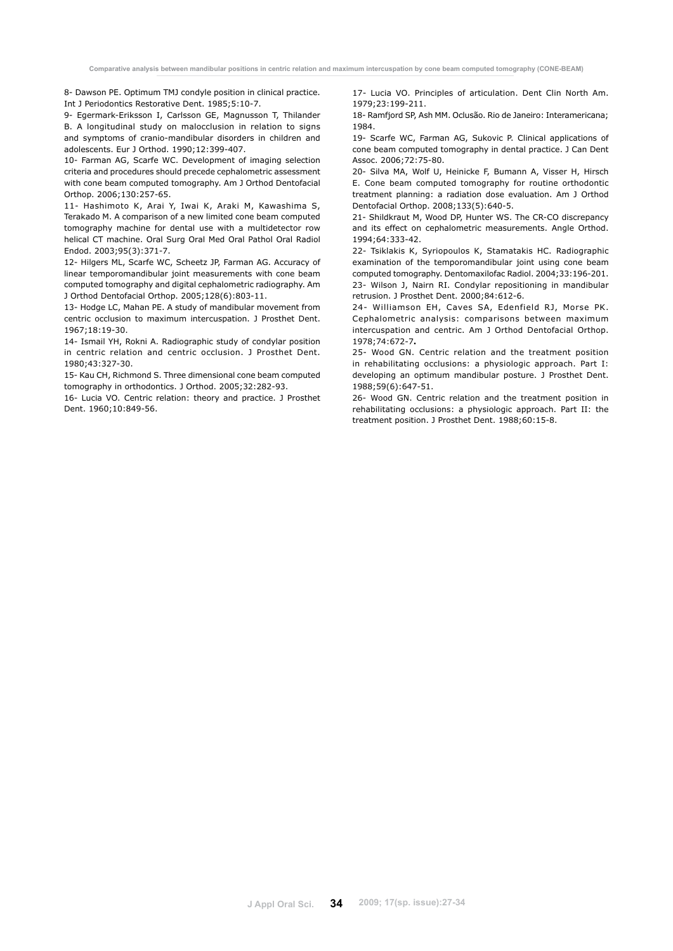8- Dawson PE. Optimum TMJ condyle position in clinical practice. Int J Periodontics Restorative Dent. 1985;5:10-7.

9- Egermark-Eriksson I, Carlsson GE, Magnusson T, Thilander B. A longitudinal study on malocclusion in relation to signs and symptoms of cranio-mandibular disorders in children and adolescents. Eur J Orthod. 1990;12:399-407.

10- Farman AG, Scarfe WC. Development of imaging selection criteria and procedures should precede cephalometric assessment with cone beam computed tomography. Am J Orthod Dentofacial Orthop. 2006;130:257-65.

11- Hashimoto K, Arai Y, Iwai K, Araki M, Kawashima S, Terakado M. A comparison of a new limited cone beam computed tomography machine for dental use with a multidetector row helical CT machine. Oral Surg Oral Med Oral Pathol Oral Radiol Endod. 2003;95(3):371-7.

12- Hilgers ML, Scarfe WC, Scheetz JP, Farman AG. Accuracy of linear temporomandibular joint measurements with cone beam computed tomography and digital cephalometric radiography. Am J Orthod Dentofacial Orthop. 2005;128(6):803-11.

13- Hodge LC, Mahan PE. A study of mandibular movement from centric occlusion to maximum intercuspation. J Prosthet Dent. 1967;18:19-30.

14- Ismail YH, Rokni A. Radiographic study of condylar position in centric relation and centric occlusion. J Prosthet Dent. 1980;43:327-30.

15- Kau CH, Richmond S. Three dimensional cone beam computed tomography in orthodontics. J Orthod. 2005;32:282-93.

16- Lucia VO. Centric relation: theory and practice. J Prosthet Dent. 1960;10:849-56.

17- Lucia VO. Principles of articulation. Dent Clin North Am. 1979;23:199-211.

18- Ramfjord SP, Ash MM. Oclusão. Rio de Janeiro: Interamericana; 1984.

19- Scarfe WC, Farman AG, Sukovic P. Clinical applications of cone beam computed tomography in dental practice. J Can Dent Assoc. 2006;72:75-80.

20- Silva MA, Wolf U, Heinicke F, Bumann A, Visser H, Hirsch E. Cone beam computed tomography for routine orthodontic treatment planning: a radiation dose evaluation. Am J Orthod Dentofacial Orthop. 2008;133(5):640-5.

21- Shildkraut M, Wood DP, Hunter WS. The CR-CO discrepancy and its effect on cephalometric measurements. Angle Orthod. 1994;64:333-42.

22- Tsiklakis K, Syriopoulos K, Stamatakis HC. Radiographic examination of the temporomandibular joint using cone beam computed tomography. Dentomaxilofac Radiol. 2004;33:196-201. 23- Wilson J, Nairn RI. Condylar repositioning in mandibular retrusion. J Prosthet Dent. 2000;84:612-6.

24- Williamson EH, Caves SA, Edenfield RJ, Morse PK. Cephalometric analysis: comparisons between maximum intercuspation and centric. Am J Orthod Dentofacial Orthop. 1978;74:672-7**.**

25- Wood GN. Centric relation and the treatment position in rehabilitating occlusions: a physiologic approach. Part I: developing an optimum mandibular posture. J Prosthet Dent. 1988;59(6):647-51.

26- Wood GN. Centric relation and the treatment position in rehabilitating occlusions: a physiologic approach. Part II: the treatment position. J Prosthet Dent. 1988;60:15-8.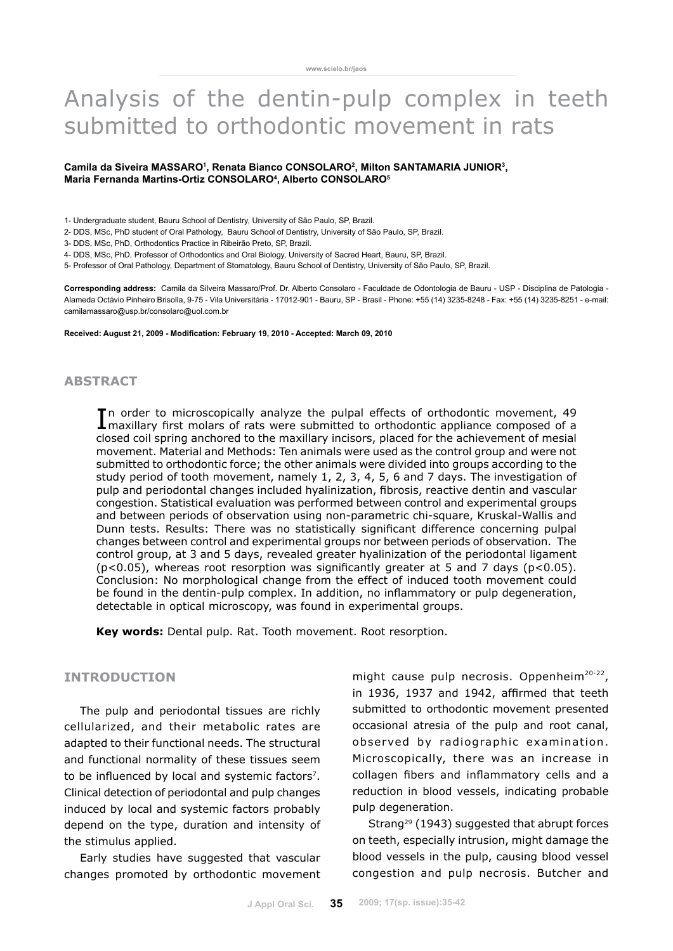# Analysis of the dentin-pulp complex in teeth submitted to orthodontic movement in rats

### Camila da Siveira MASSARO<sup>1</sup>, Renata Bianco CONSOLARO<sup>2</sup>, Milton SANTAMARIA JUNIOR<sup>3</sup>, **Maria Fernanda Martins-Ortiz CONSOLARO4 , Alberto CONSOLARO5**

1- Undergraduate student, Bauru School of Dentistry, University of São Paulo, SP, Brazil.

- 2- DDS, MSc, PhD student of Oral Pathology, Bauru School of Dentistry, University of São Paulo, SP, Brazil.
- 3- DDS, MSc, PhD, Orthodontics Practice in Ribeirão Preto, SP, Brazil.
- 4- DDS, MSc, PhD, Professor of Orthodontics and Oral Biology, University of Sacred Heart, Bauru, SP, Brazil.
- 5- Professor of Oral Pathology, Department of Stomatology, Bauru School of Dentistry, University of São Paulo, SP, Brazil.

**Corresponding address:** Camila da Silveira Massaro/Prof. Dr. Alberto Consolaro - Faculdade de Odontologia de Bauru - USP - Disciplina de Patologia - Alameda Octávio Pinheiro Brisolla, 9-75 - Vila Universitária - 17012-901 - Bauru, SP - Brasil - Phone: +55 (14) 3235-8248 - Fax: +55 (14) 3235-8251 - e-mail: camilamassaro@usp.br/consolaro@uol.com.br

**Received: August 21, 2009 - Modification: February 19, 2010 - Accepted: March 09, 2010**

## **abstract**

In order to microscopically analyze the pulpal effects of orthodontic movement, 49 maxillary first molars of rats were submitted to orthodontic appliance composed of a maxillary first molars of rats were submitted to orthodontic appliance composed of a closed coil spring anchored to the maxillary incisors, placed for the achievement of mesial movement. Material and Methods: Ten animals were used as the control group and were not submitted to orthodontic force; the other animals were divided into groups according to the study period of tooth movement, namely 1, 2, 3, 4, 5, 6 and 7 days. The investigation of pulp and periodontal changes included hyalinization, fibrosis, reactive dentin and vascular congestion. Statistical evaluation was performed between control and experimental groups and between periods of observation using non-parametric chi-square, Kruskal-Wallis and Dunn tests. Results: There was no statistically significant difference concerning pulpal changes between control and experimental groups nor between periods of observation. The control group, at 3 and 5 days, revealed greater hyalinization of the periodontal ligament  $(p<0.05)$ , whereas root resorption was significantly greater at 5 and 7 days ( $p<0.05$ ). Conclusion: No morphological change from the effect of induced tooth movement could be found in the dentin-pulp complex. In addition, no inflammatory or pulp degeneration, detectable in optical microscopy, was found in experimental groups.

**Key words:** Dental pulp. Rat. Tooth movement. Root resorption.

# **INTRODUCTION**

The pulp and periodontal tissues are richly cellularized, and their metabolic rates are adapted to their functional needs. The structural and functional normality of these tissues seem to be influenced by local and systemic factors<sup>7</sup>. Clinical detection of periodontal and pulp changes induced by local and systemic factors probably depend on the type, duration and intensity of the stimulus applied.

Early studies have suggested that vascular changes promoted by orthodontic movement might cause pulp necrosis. Oppenheim $20-22$ , in 1936, 1937 and 1942, affirmed that teeth submitted to orthodontic movement presented occasional atresia of the pulp and root canal, observed by radiographic examination. Microscopically, there was an increase in collagen fibers and inflammatory cells and a reduction in blood vessels, indicating probable pulp degeneration.

Strang<sup>29</sup> (1943) suggested that abrupt forces on teeth, especially intrusion, might damage the blood vessels in the pulp, causing blood vessel congestion and pulp necrosis. Butcher and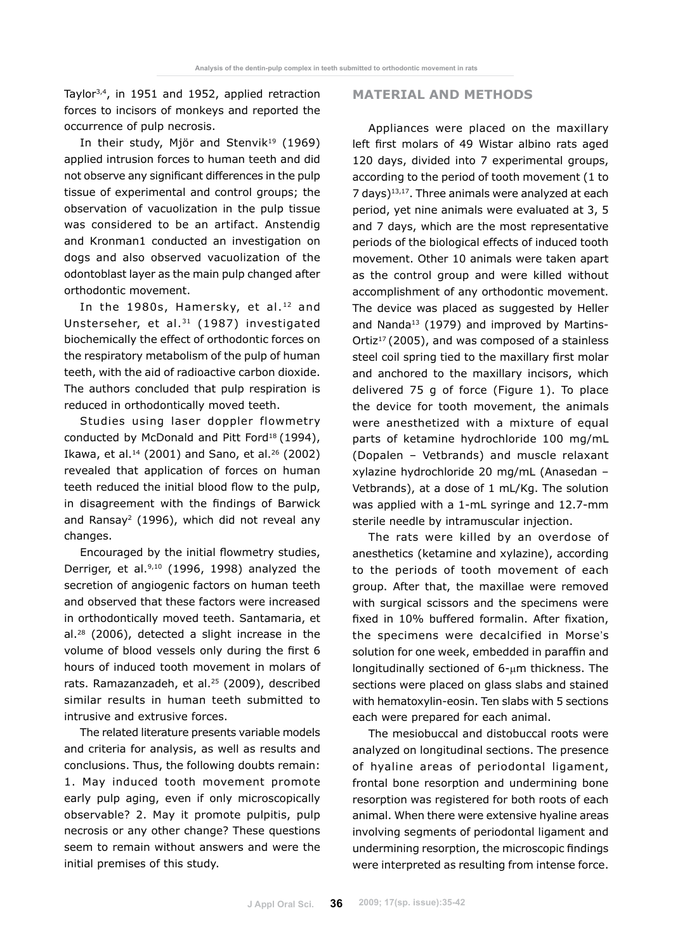Taylor3,4, in 1951 and 1952, applied retraction forces to incisors of monkeys and reported the occurrence of pulp necrosis.

In their study, Mjör and Stenvik<sup>19</sup> (1969) applied intrusion forces to human teeth and did not observe any significant differences in the pulp tissue of experimental and control groups; the observation of vacuolization in the pulp tissue was considered to be an artifact. Anstendig and Kronman1 conducted an investigation on dogs and also observed vacuolization of the odontoblast layer as the main pulp changed after orthodontic movement.

In the 1980s, Hamersky, et al.<sup>12</sup> and Unsterseher, et al.31 (1987) investigated biochemically the effect of orthodontic forces on the respiratory metabolism of the pulp of human teeth, with the aid of radioactive carbon dioxide. The authors concluded that pulp respiration is reduced in orthodontically moved teeth.

Studies using laser doppler flowmetry conducted by McDonald and Pitt Ford<sup>18</sup> (1994), Ikawa, et al.14 (2001) and Sano, et al.26 (2002) revealed that application of forces on human teeth reduced the initial blood flow to the pulp, in disagreement with the findings of Barwick and Ransay<sup>2</sup> (1996), which did not reveal any changes.

Encouraged by the initial flowmetry studies, Derriger, et al. $9,10$  (1996, 1998) analyzed the secretion of angiogenic factors on human teeth and observed that these factors were increased in orthodontically moved teeth. Santamaria, et al.28 (2006), detected a slight increase in the volume of blood vessels only during the first 6 hours of induced tooth movement in molars of rats. Ramazanzadeh, et al.<sup>25</sup> (2009), described similar results in human teeth submitted to intrusive and extrusive forces.

The related literature presents variable models and criteria for analysis, as well as results and conclusions. Thus, the following doubts remain: 1. May induced tooth movement promote early pulp aging, even if only microscopically observable? 2. May it promote pulpitis, pulp necrosis or any other change? These questions seem to remain without answers and were the initial premises of this study.

## **MATERIAL AND METHODS**

Appliances were placed on the maxillary left first molars of 49 Wistar albino rats aged 120 days, divided into 7 experimental groups, according to the period of tooth movement (1 to 7 days)13,17. Three animals were analyzed at each period, yet nine animals were evaluated at 3, 5 and 7 days, which are the most representative periods of the biological effects of induced tooth movement. Other 10 animals were taken apart as the control group and were killed without accomplishment of any orthodontic movement. The device was placed as suggested by Heller and Nanda<sup>13</sup> (1979) and improved by Martins-Ortiz<sup>17</sup> (2005), and was composed of a stainless steel coil spring tied to the maxillary first molar and anchored to the maxillary incisors, which delivered 75 g of force (Figure 1). To place the device for tooth movement, the animals were anesthetized with a mixture of equal parts of ketamine hydrochloride 100 mg/mL (Dopalen – Vetbrands) and muscle relaxant xylazine hydrochloride 20 mg/mL (Anasedan – Vetbrands), at a dose of 1 mL/Kg. The solution was applied with a 1-mL syringe and 12.7-mm sterile needle by intramuscular injection.

The rats were killed by an overdose of anesthetics (ketamine and xylazine), according to the periods of tooth movement of each group. After that, the maxillae were removed with surgical scissors and the specimens were fixed in 10% buffered formalin. After fixation, the specimens were decalcified in Morse's solution for one week, embedded in paraffin and longitudinally sectioned of  $6$ - $\mu$ m thickness. The sections were placed on glass slabs and stained with hematoxylin-eosin. Ten slabs with 5 sections each were prepared for each animal.

The mesiobuccal and distobuccal roots were analyzed on longitudinal sections. The presence of hyaline areas of periodontal ligament, frontal bone resorption and undermining bone resorption was registered for both roots of each animal. When there were extensive hyaline areas involving segments of periodontal ligament and undermining resorption, the microscopic findings were interpreted as resulting from intense force.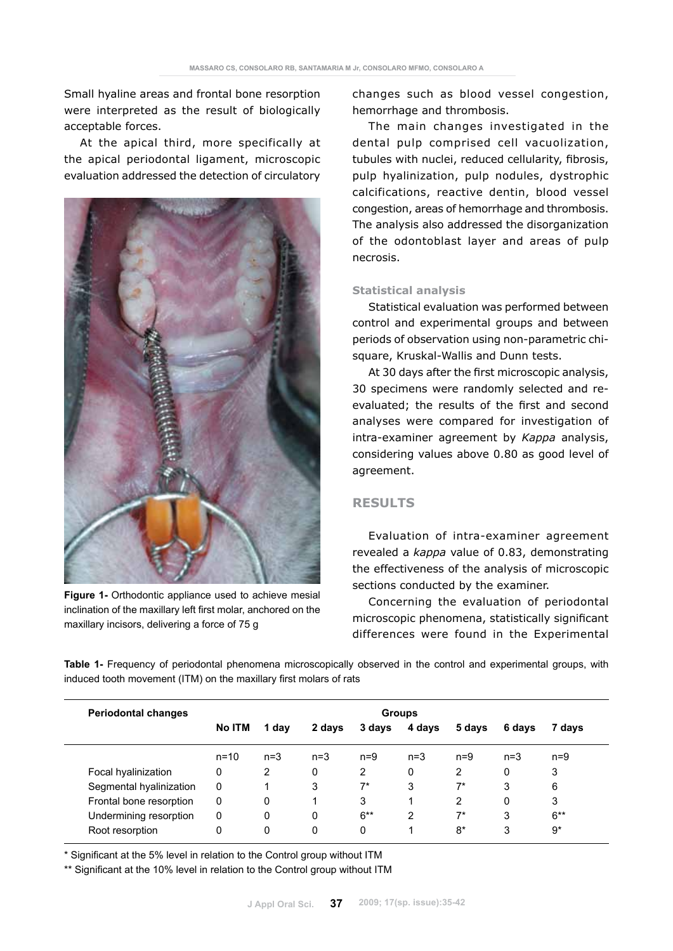Small hyaline areas and frontal bone resorption were interpreted as the result of biologically acceptable forces.

At the apical third, more specifically at the apical periodontal ligament, microscopic evaluation addressed the detection of circulatory



**Figure 1-** Orthodontic appliance used to achieve mesial inclination of the maxillary left first molar, anchored on the maxillary incisors, delivering a force of 75 g

changes such as blood vessel congestion, hemorrhage and thrombosis.

The main changes investigated in the dental pulp comprised cell vacuolization, tubules with nuclei, reduced cellularity, fibrosis, pulp hyalinization, pulp nodules, dystrophic calcifications, reactive dentin, blood vessel congestion, areas of hemorrhage and thrombosis. The analysis also addressed the disorganization of the odontoblast layer and areas of pulp necrosis.

### **Statistical analysis**

Statistical evaluation was performed between control and experimental groups and between periods of observation using non-parametric chisquare, Kruskal-Wallis and Dunn tests.

At 30 days after the first microscopic analysis, 30 specimens were randomly selected and reevaluated; the results of the first and second analyses were compared for investigation of intra-examiner agreement by *Kappa* analysis, considering values above 0.80 as good level of agreement.

# **RESULTS**

Evaluation of intra-examiner agreement revealed a *kappa* value of 0.83, demonstrating the effectiveness of the analysis of microscopic sections conducted by the examiner.

Concerning the evaluation of periodontal microscopic phenomena, statistically significant differences were found in the Experimental

**Table 1-** Frequency of periodontal phenomena microscopically observed in the control and experimental groups, with induced tooth movement (ITM) on the maxillary first molars of rats

| <b>Periodontal changes</b> | <b>Groups</b> |       |        |        |        |        |        |        |
|----------------------------|---------------|-------|--------|--------|--------|--------|--------|--------|
|                            | <b>No ITM</b> | 1 day | 2 days | 3 days | 4 days | 5 days | 6 days | 7 days |
|                            | $n = 10$      | $n=3$ | $n=3$  | $n=9$  | $n=3$  | $n=9$  | $n=3$  | $n=9$  |
| Focal hyalinization        | 0             | 2     | 0      | 2      | 0      | 2      | 0      | 3      |
| Segmental hyalinization    | 0             |       | 3      | 7*     | 3      | 7*     | 3      | 6      |
| Frontal bone resorption    | 0             | 0     |        | 3      |        | 2      | 0      | 3      |
| Undermining resorption     | 0             | 0     | 0      | $6***$ | 2      | 7*     | 3      | $6***$ |
| Root resorption            | 0             | 0     | 0      | 0      |        | $8*$   | 3      | $9*$   |

\* Significant at the 5% level in relation to the Control group without ITM

\*\* Significant at the 10% level in relation to the Control group without ITM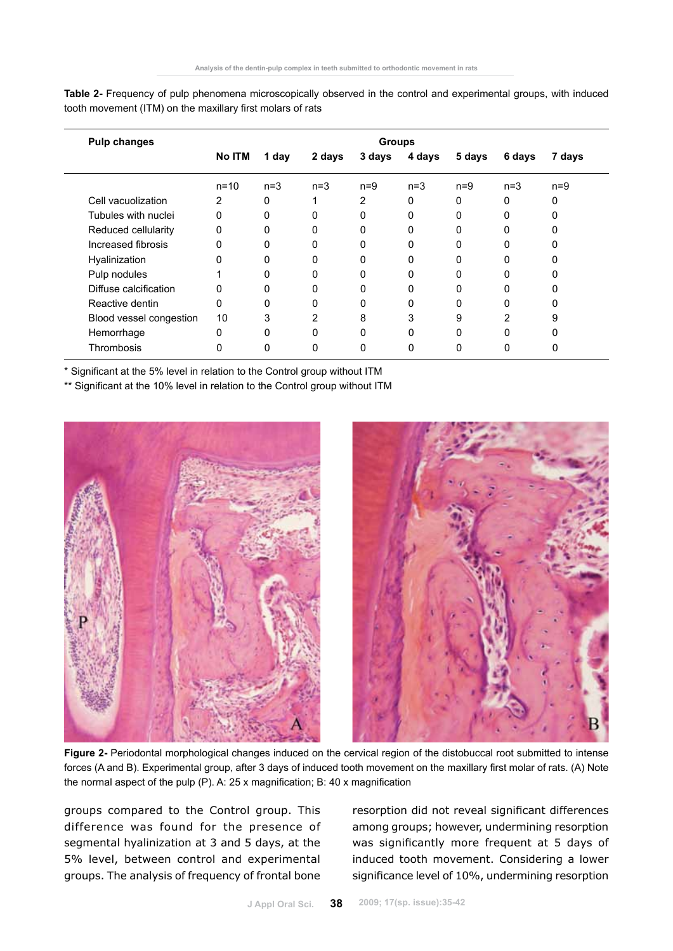| <b>Pulp changes</b>     | <b>Groups</b> |              |        |        |        |        |        |        |
|-------------------------|---------------|--------------|--------|--------|--------|--------|--------|--------|
|                         | No ITM        | 1 day        | 2 days | 3 days | 4 days | 5 days | 6 days | 7 days |
|                         | $n = 10$      | $n=3$        | $n=3$  | $n=9$  | $n=3$  | $n=9$  | $n=3$  | $n=9$  |
| Cell vacuolization      | 2             | 0            |        | 2      | 0      | 0      | 0      | 0      |
| Tubules with nuclei     | 0             | $\Omega$     | 0      | O      | 0      | 0      | 0      | ი      |
| Reduced cellularity     | 0             | 0            | 0      | 0      | 0      | 0      | 0      |        |
| Increased fibrosis      | 0             | $\Omega$     | 0      | ŋ      | 0      | O      | O      |        |
| Hyalinization           | 0             | 0            | 0      |        | 0      |        | 0      |        |
| Pulp nodules            |               | $\Omega$     | 0      | O      | 0      | 0      | 0      |        |
| Diffuse calcification   | 0             | 0            | 0      |        | 0      | 0      | 0      |        |
| Reactive dentin         | $\Omega$      | $\Omega$     | 0      |        | 0      | 0      | 0      |        |
| Blood vessel congestion | 10            | 3            | 2      | 8      | 3      | 9      | 2      | 9      |
| Hemorrhage              | 0             | $\Omega$     | 0      |        | 0      | 0      | 0      |        |
| Thrombosis              |               | <sup>0</sup> | 0      |        | 0      | 0      | 0      |        |

**Table 2-** Frequency of pulp phenomena microscopically observed in the control and experimental groups, with induced tooth movement (ITM) on the maxillary first molars of rats

\* Significant at the 5% level in relation to the Control group without ITM

\*\* Significant at the 10% level in relation to the Control group without ITM



**Figure 2-** Periodontal morphological changes induced on the cervical region of the distobuccal root submitted to intense forces (A and B). Experimental group, after 3 days of induced tooth movement on the maxillary first molar of rats. (A) Note the normal aspect of the pulp (P). A: 25 x magnification; B: 40 x magnification

groups compared to the Control group. This difference was found for the presence of segmental hyalinization at 3 and 5 days, at the 5% level, between control and experimental groups. The analysis of frequency of frontal bone resorption did not reveal significant differences among groups; however, undermining resorption was significantly more frequent at 5 days of induced tooth movement. Considering a lower significance level of 10%, undermining resorption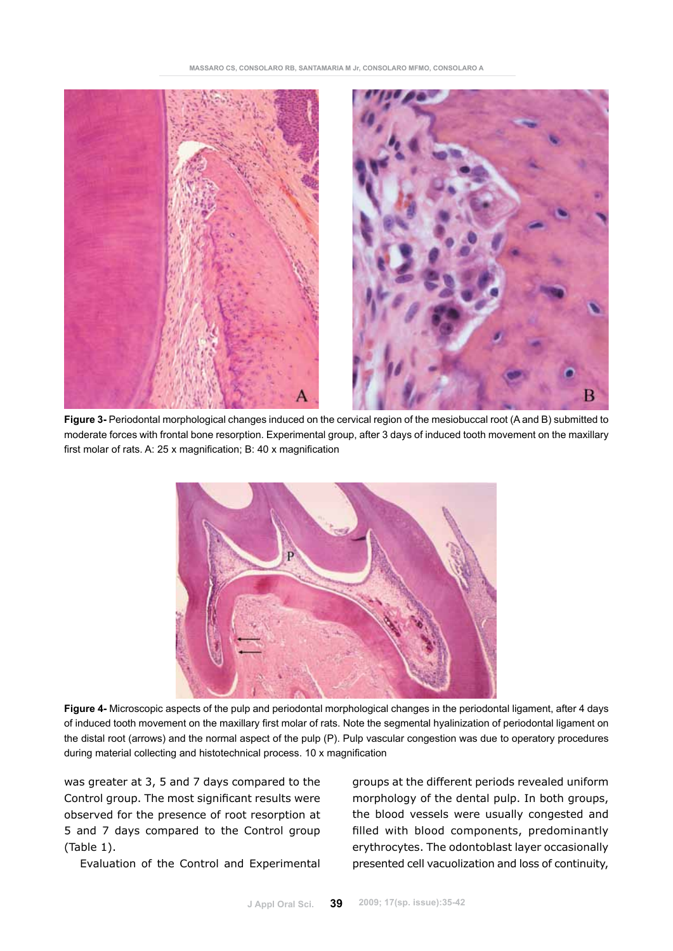

**Figure 3-** Periodontal morphological changes induced on the cervical region of the mesiobuccal root (A and B) submitted to moderate forces with frontal bone resorption. Experimental group, after 3 days of induced tooth movement on the maxillary first molar of rats. A: 25 x magnification; B: 40 x magnification



**Figure 4-** Microscopic aspects of the pulp and periodontal morphological changes in the periodontal ligament, after 4 days of induced tooth movement on the maxillary first molar of rats. Note the segmental hyalinization of periodontal ligament on the distal root (arrows) and the normal aspect of the pulp (P). Pulp vascular congestion was due to operatory procedures during material collecting and histotechnical process. 10 x magnification

was greater at 3, 5 and 7 days compared to the Control group. The most significant results were observed for the presence of root resorption at 5 and 7 days compared to the Control group (Table 1).

Evaluation of the Control and Experimental

groups at the different periods revealed uniform morphology of the dental pulp. In both groups, the blood vessels were usually congested and filled with blood components, predominantly erythrocytes. The odontoblast layer occasionally presented cell vacuolization and loss of continuity,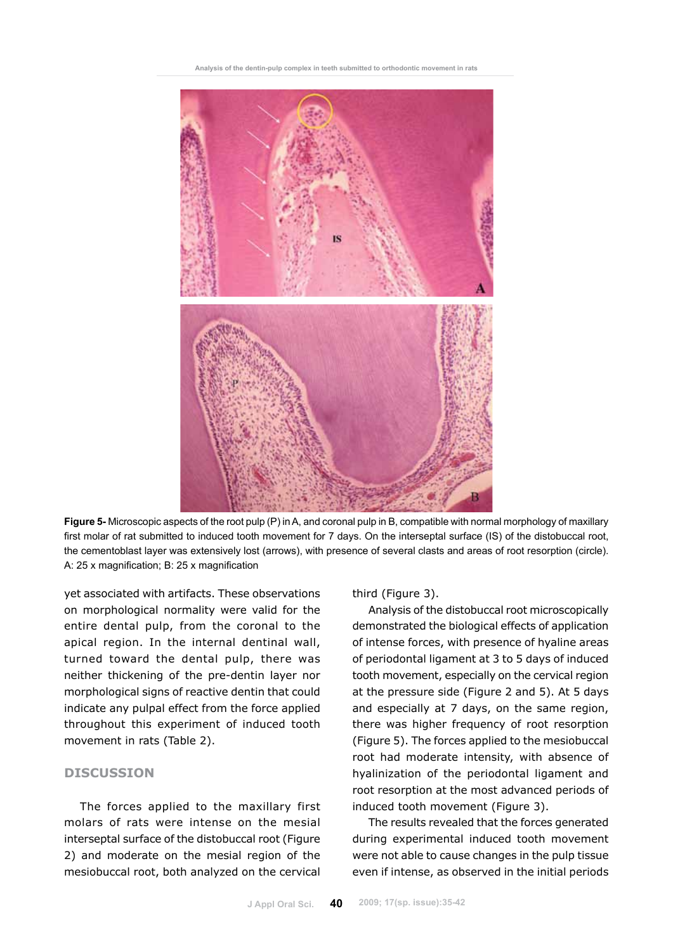

**Figure 5-** Microscopic aspects of the root pulp (P) in A, and coronal pulp in B, compatible with normal morphology of maxillary first molar of rat submitted to induced tooth movement for 7 days. On the interseptal surface (IS) of the distobuccal root, the cementoblast layer was extensively lost (arrows), with presence of several clasts and areas of root resorption (circle). A: 25 x magnification; B: 25 x magnification

yet associated with artifacts. These observations on morphological normality were valid for the entire dental pulp, from the coronal to the apical region. In the internal dentinal wall, turned toward the dental pulp, there was neither thickening of the pre-dentin layer nor morphological signs of reactive dentin that could indicate any pulpal effect from the force applied throughout this experiment of induced tooth movement in rats (Table 2).

## **DISCUSSION**

The forces applied to the maxillary first molars of rats were intense on the mesial interseptal surface of the distobuccal root (Figure 2) and moderate on the mesial region of the mesiobuccal root, both analyzed on the cervical

# third (Figure 3).

Analysis of the distobuccal root microscopically demonstrated the biological effects of application of intense forces, with presence of hyaline areas of periodontal ligament at 3 to 5 days of induced tooth movement, especially on the cervical region at the pressure side (Figure 2 and 5). At 5 days and especially at 7 days, on the same region, there was higher frequency of root resorption (Figure 5). The forces applied to the mesiobuccal root had moderate intensity, with absence of hyalinization of the periodontal ligament and root resorption at the most advanced periods of induced tooth movement (Figure 3).

The results revealed that the forces generated during experimental induced tooth movement were not able to cause changes in the pulp tissue even if intense, as observed in the initial periods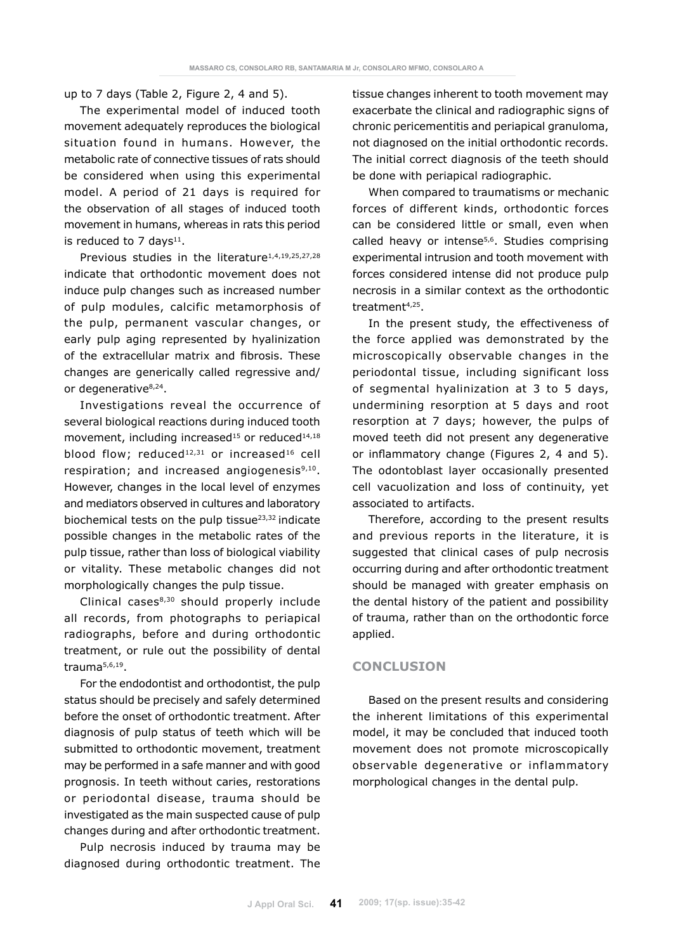up to 7 days (Table 2, Figure 2, 4 and 5).

The experimental model of induced tooth movement adequately reproduces the biological situation found in humans. However, the metabolic rate of connective tissues of rats should be considered when using this experimental model. A period of 21 days is required for the observation of all stages of induced tooth movement in humans, whereas in rats this period is reduced to 7 days $11$ .

Previous studies in the literature<sup>1,4,19,25,27,28</sup> indicate that orthodontic movement does not induce pulp changes such as increased number of pulp modules, calcific metamorphosis of the pulp, permanent vascular changes, or early pulp aging represented by hyalinization of the extracellular matrix and fibrosis. These changes are generically called regressive and/ or degenerative<sup>8,24</sup>.

Investigations reveal the occurrence of several biological reactions during induced tooth movement, including increased<sup>15</sup> or reduced<sup>14,18</sup> blood flow; reduced<sup>12,31</sup> or increased<sup>16</sup> cell respiration; and increased angiogenesis<sup>9,10</sup>. However, changes in the local level of enzymes and mediators observed in cultures and laboratory biochemical tests on the pulp tissue23,32 indicate possible changes in the metabolic rates of the pulp tissue, rather than loss of biological viability or vitality. These metabolic changes did not morphologically changes the pulp tissue.

Clinical cases $8,30$  should properly include all records, from photographs to periapical radiographs, before and during orthodontic treatment, or rule out the possibility of dental trauma5,6,19.

For the endodontist and orthodontist, the pulp status should be precisely and safely determined before the onset of orthodontic treatment. After diagnosis of pulp status of teeth which will be submitted to orthodontic movement, treatment may be performed in a safe manner and with good prognosis. In teeth without caries, restorations or periodontal disease, trauma should be investigated as the main suspected cause of pulp changes during and after orthodontic treatment.

Pulp necrosis induced by trauma may be diagnosed during orthodontic treatment. The tissue changes inherent to tooth movement may exacerbate the clinical and radiographic signs of chronic pericementitis and periapical granuloma, not diagnosed on the initial orthodontic records. The initial correct diagnosis of the teeth should be done with periapical radiographic.

When compared to traumatisms or mechanic forces of different kinds, orthodontic forces can be considered little or small, even when called heavy or intense<sup>5,6</sup>. Studies comprising experimental intrusion and tooth movement with forces considered intense did not produce pulp necrosis in a similar context as the orthodontic treatment<sup>4,25</sup>.

In the present study, the effectiveness of the force applied was demonstrated by the microscopically observable changes in the periodontal tissue, including significant loss of segmental hyalinization at 3 to 5 days, undermining resorption at 5 days and root resorption at 7 days; however, the pulps of moved teeth did not present any degenerative or inflammatory change (Figures 2, 4 and 5). The odontoblast layer occasionally presented cell vacuolization and loss of continuity, yet associated to artifacts.

Therefore, according to the present results and previous reports in the literature, it is suggested that clinical cases of pulp necrosis occurring during and after orthodontic treatment should be managed with greater emphasis on the dental history of the patient and possibility of trauma, rather than on the orthodontic force applied.

# **CONCLUSION**

Based on the present results and considering the inherent limitations of this experimental model, it may be concluded that induced tooth movement does not promote microscopically observable degenerative or inflammatory morphological changes in the dental pulp.